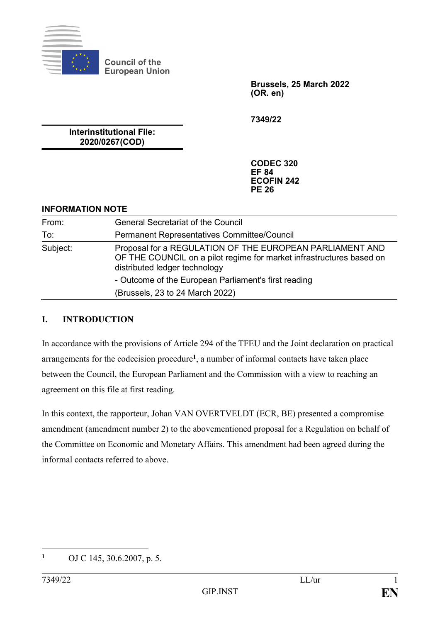

**Council of the European Union**

> **Brussels, 25 March 2022 (OR. en)**

**7349/22**

**Interinstitutional File: 2020/0267(COD)**

> **CODEC 320 EF 84 ECOFIN 242 PE 26**

### **INFORMATION NOTE**

| From:    | <b>General Secretariat of the Council</b>                                                                                                                         |
|----------|-------------------------------------------------------------------------------------------------------------------------------------------------------------------|
| To:      | <b>Permanent Representatives Committee/Council</b>                                                                                                                |
| Subject: | Proposal for a REGULATION OF THE EUROPEAN PARLIAMENT AND<br>OF THE COUNCIL on a pilot regime for market infrastructures based on<br>distributed ledger technology |
|          | - Outcome of the European Parliament's first reading                                                                                                              |
|          | (Brussels, 23 to 24 March 2022)                                                                                                                                   |

## **I. INTRODUCTION**

In accordance with the provisions of Article 294 of the TFEU and the Joint declaration on practical arrangements for the codecision procedure**<sup>1</sup>** , a number of informal contacts have taken place between the Council, the European Parliament and the Commission with a view to reaching an agreement on this file at first reading.

In this context, the rapporteur, Johan VAN OVERTVELDT (ECR, BE) presented a compromise amendment (amendment number 2) to the abovementioned proposal for a Regulation on behalf of the Committee on Economic and Monetary Affairs. This amendment had been agreed during the informal contacts referred to above.

 $\mathbf{1}$ **<sup>1</sup>** OJ C 145, 30.6.2007, p. 5.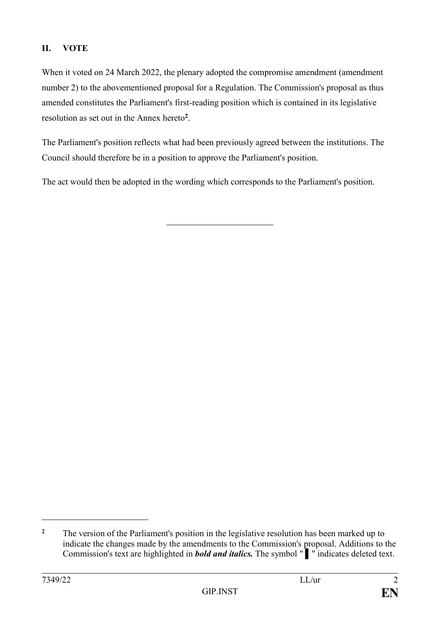# **II. VOTE**

When it voted on 24 March 2022, the plenary adopted the compromise amendment (amendment number 2) to the abovementioned proposal for a Regulation. The Commission's proposal as thus amended constitutes the Parliament's first-reading position which is contained in its legislative resolution as set out in the Annex hereto**<sup>2</sup>** .

The Parliament's position reflects what had been previously agreed between the institutions. The Council should therefore be in a position to approve the Parliament's position.

The act would then be adopted in the wording which corresponds to the Parliament's position.

1

<sup>&</sup>lt;sup>2</sup> The version of the Parliament's position in the legislative resolution has been marked up to indicate the changes made by the amendments to the Commission's proposal. Additions to the Commission's text are highlighted in *bold and italics.* The symbol " ▌" indicates deleted text.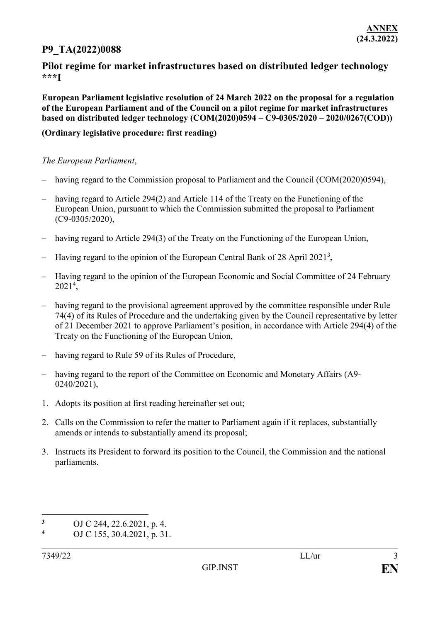## **P9\_TA(2022)0088**

### **Pilot regime for market infrastructures based on distributed ledger technology \*\*\*I**

**European Parliament legislative resolution of 24 March 2022 on the proposal for a regulation of the European Parliament and of the Council on a pilot regime for market infrastructures based on distributed ledger technology (COM(2020)0594 – C9-0305/2020 – 2020/0267(COD))**

#### **(Ordinary legislative procedure: first reading)**

#### *The European Parliament*,

- having regard to the Commission proposal to Parliament and the Council (COM(2020)0594),
- having regard to Article 294(2) and Article 114 of the Treaty on the Functioning of the European Union, pursuant to which the Commission submitted the proposal to Parliament (C9-0305/2020),
- having regard to Article 294(3) of the Treaty on the Functioning of the European Union,
- Having regard to the opinion of the European Central Bank of 28 April 2021<sup>3</sup> *,*
- Having regard to the opinion of the European Economic and Social Committee of 24 February 2021<sup>4</sup> ,
- having regard to the provisional agreement approved by the committee responsible under Rule 74(4) of its Rules of Procedure and the undertaking given by the Council representative by letter of 21 December 2021 to approve Parliament's position, in accordance with Article 294(4) of the Treaty on the Functioning of the European Union,
- having regard to Rule 59 of its Rules of Procedure,
- having regard to the report of the Committee on Economic and Monetary Affairs (A9- 0240/2021),
- 1. Adopts its position at first reading hereinafter set out;
- 2. Calls on the Commission to refer the matter to Parliament again if it replaces, substantially amends or intends to substantially amend its proposal;
- 3. Instructs its President to forward its position to the Council, the Commission and the national parliaments.

1

**<sup>3</sup>** OJ C 244, 22.6.2021, p. 4.

**<sup>4</sup>** OJ C 155, 30.4.2021, p. 31.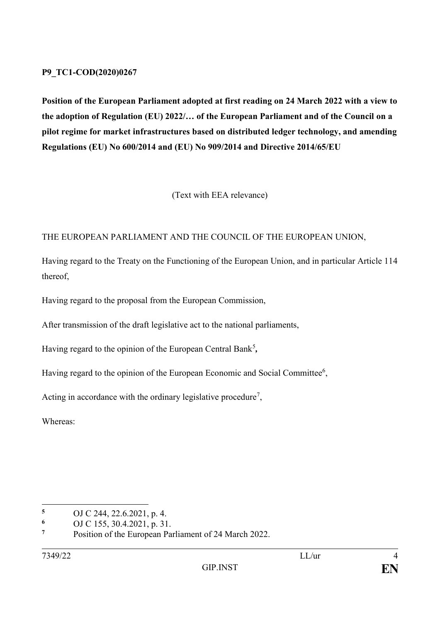### **P9\_TC1-COD(2020)0267**

**Position of the European Parliament adopted at first reading on 24 March 2022 with a view to the adoption of Regulation (EU) 2022/… of the European Parliament and of the Council on a pilot regime for market infrastructures based on distributed ledger technology, and amending Regulations (EU) No 600/2014 and (EU) No 909/2014 and Directive 2014/65/EU** 

(Text with EEA relevance)

### THE EUROPEAN PARLIAMENT AND THE COUNCIL OF THE EUROPEAN UNION,

Having regard to the Treaty on the Functioning of the European Union, and in particular Article 114 thereof,

Having regard to the proposal from the European Commission,

After transmission of the draft legislative act to the national parliaments,

Having regard to the opinion of the European Central Bank<sup>5</sup>,

Having regard to the opinion of the European Economic and Social Committee<sup>6</sup>,

Acting in accordance with the ordinary legislative procedure<sup>7</sup>,

Whereas:

<sup>&</sup>lt;u>.</u> **<sup>5</sup>** OJ C 244, 22.6.2021, p. 4.

**<sup>6</sup>** OJ C 155, 30.4.2021, p. 31.

**<sup>7</sup>** Position of the European Parliament of 24 March 2022.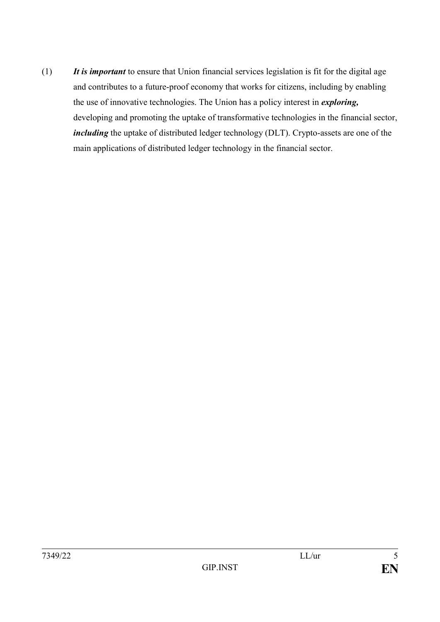(1) *It is important* to ensure that Union financial services legislation is fit for the digital age and contributes to a future-proof economy that works for citizens, including by enabling the use of innovative technologies. The Union has a policy interest in *exploring,* developing and promoting the uptake of transformative technologies in the financial sector, *including* the uptake of distributed ledger technology (DLT). Crypto-assets are one of the main applications of distributed ledger technology in the financial sector.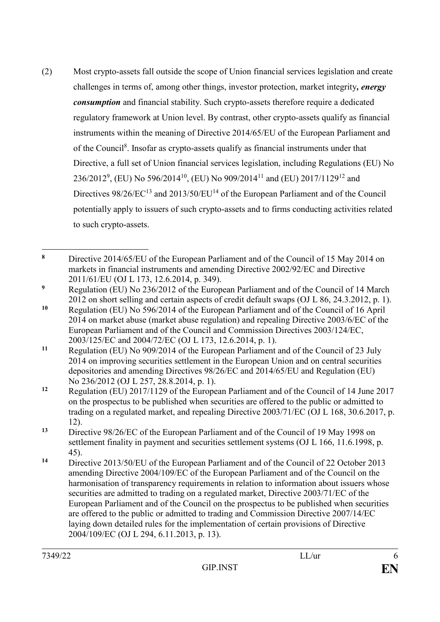(2) Most crypto-assets fall outside the scope of Union financial services legislation and create challenges in terms of, among other things, investor protection, market integrity*, energy consumption* and financial stability. Such crypto-assets therefore require a dedicated regulatory framework at Union level. By contrast, other crypto-assets qualify as financial instruments within the meaning of Directive 2014/65/EU of the European Parliament and of the Council<sup>8</sup>. Insofar as crypto-assets qualify as financial instruments under that Directive, a full set of Union financial services legislation, including Regulations (EU) No 236/2012<sup>9</sup>, (EU) No 596/2014<sup>10</sup>, (EU) No 909/2014<sup>11</sup> and (EU) 2017/1129<sup>12</sup> and Directives  $98/26$ /EC<sup>13</sup> and 2013/50/EU<sup>14</sup> of the European Parliament and of the Council potentially apply to issuers of such crypto-assets and to firms conducting activities related to such crypto-assets.

 $\mathbf{8}$ **<sup>8</sup>** Directive 2014/65/EU of the European Parliament and of the Council of 15 May 2014 on markets in financial instruments and amending Directive 2002/92/EC and Directive 2011/61/EU (OJ L 173, 12.6.2014, p. 349).

**<sup>9</sup>** Regulation (EU) No 236/2012 of the European Parliament and of the Council of 14 March 2012 on short selling and certain aspects of credit default swaps (OJ L 86, 24.3.2012, p. 1).

**<sup>10</sup>** Regulation (EU) No 596/2014 of the European Parliament and of the Council of 16 April 2014 on market abuse (market abuse regulation) and repealing Directive 2003/6/EC of the European Parliament and of the Council and Commission Directives 2003/124/EC, 2003/125/EC and 2004/72/EC (OJ L 173, 12.6.2014, p. 1).

**<sup>11</sup>** Regulation (EU) No 909/2014 of the European Parliament and of the Council of 23 July 2014 on improving securities settlement in the European Union and on central securities depositories and amending Directives 98/26/EC and 2014/65/EU and Regulation (EU) No 236/2012 (OJ L 257, 28.8.2014, p. 1).

**<sup>12</sup>** Regulation (EU) 2017/1129 of the European Parliament and of the Council of 14 June 2017 on the prospectus to be published when securities are offered to the public or admitted to trading on a regulated market, and repealing Directive 2003/71/EC (OJ L 168, 30.6.2017, p. 12).

**<sup>13</sup>** Directive 98/26/EC of the European Parliament and of the Council of 19 May 1998 on settlement finality in payment and securities settlement systems (OJ L 166, 11.6.1998, p. 45).

**<sup>14</sup>** Directive 2013/50/EU of the European Parliament and of the Council of 22 October 2013 amending Directive 2004/109/EC of the European Parliament and of the Council on the harmonisation of transparency requirements in relation to information about issuers whose securities are admitted to trading on a regulated market, Directive 2003/71/EC of the European Parliament and of the Council on the prospectus to be published when securities are offered to the public or admitted to trading and Commission Directive 2007/14/EC laying down detailed rules for the implementation of certain provisions of Directive 2004/109/EC (OJ L 294, 6.11.2013, p. 13).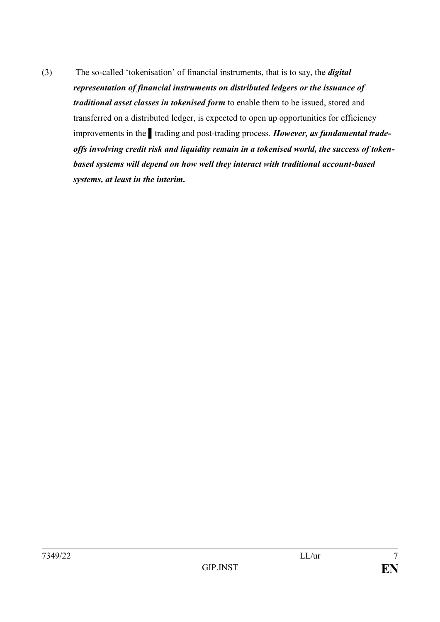(3) The so-called 'tokenisation' of financial instruments, that is to say, the *digital representation of financial instruments on distributed ledgers or the issuance of traditional asset classes in tokenised form* to enable them to be issued, stored and transferred on a distributed ledger, is expected to open up opportunities for efficiency improvements in the trading and post-trading process. *However, as fundamental tradeoffs involving credit risk and liquidity remain in a tokenised world, the success of tokenbased systems will depend on how well they interact with traditional account-based systems, at least in the interim.*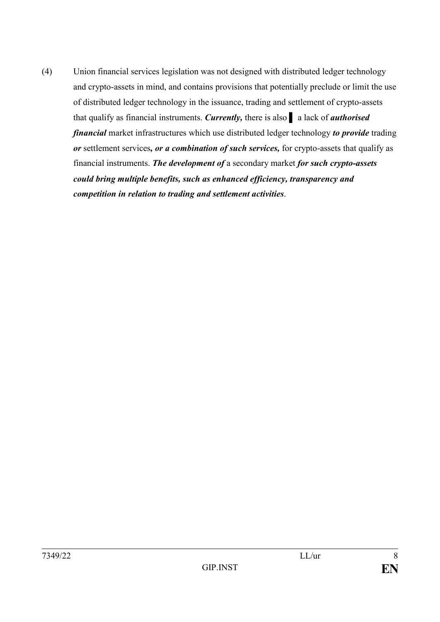(4) Union financial services legislation was not designed with distributed ledger technology and crypto-assets in mind, and contains provisions that potentially preclude or limit the use of distributed ledger technology in the issuance, trading and settlement of crypto-assets that qualify as financial instruments. *Currently,* there is also ▌ a lack of *authorised financial* market infrastructures which use distributed ledger technology *to provide* trading *or* settlement services*, or a combination of such services,* for crypto-assets that qualify as financial instruments. *The development of* a secondary market *for such crypto-assets could bring multiple benefits, such as enhanced efficiency, transparency and competition in relation to trading and settlement activities*.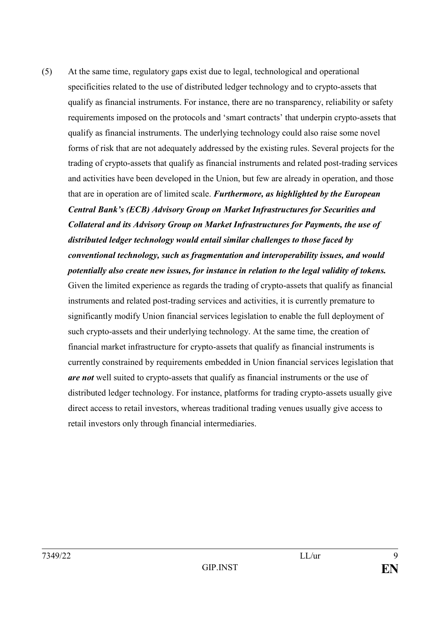(5) At the same time, regulatory gaps exist due to legal, technological and operational specificities related to the use of distributed ledger technology and to crypto-assets that qualify as financial instruments. For instance, there are no transparency, reliability or safety requirements imposed on the protocols and 'smart contracts' that underpin crypto-assets that qualify as financial instruments. The underlying technology could also raise some novel forms of risk that are not adequately addressed by the existing rules. Several projects for the trading of crypto-assets that qualify as financial instruments and related post-trading services and activities have been developed in the Union, but few are already in operation, and those that are in operation are of limited scale. *Furthermore, as highlighted by the European Central Bank's (ECB) Advisory Group on Market Infrastructures for Securities and Collateral and its Advisory Group on Market Infrastructures for Payments, the use of distributed ledger technology would entail similar challenges to those faced by conventional technology, such as fragmentation and interoperability issues, and would potentially also create new issues, for instance in relation to the legal validity of tokens.*  Given the limited experience as regards the trading of crypto-assets that qualify as financial instruments and related post-trading services and activities, it is currently premature to significantly modify Union financial services legislation to enable the full deployment of such crypto-assets and their underlying technology. At the same time, the creation of financial market infrastructure for crypto-assets that qualify as financial instruments is currently constrained by requirements embedded in Union financial services legislation that *are not* well suited to crypto-assets that qualify as financial instruments or the use of distributed ledger technology. For instance, platforms for trading crypto-assets usually give direct access to retail investors, whereas traditional trading venues usually give access to retail investors only through financial intermediaries.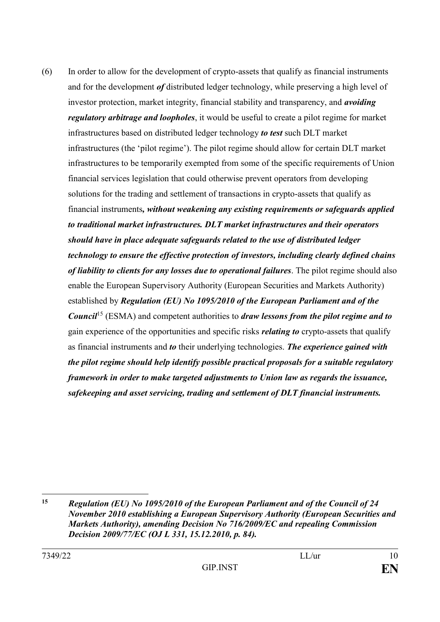(6) In order to allow for the development of crypto-assets that qualify as financial instruments and for the development *of* distributed ledger technology, while preserving a high level of investor protection, market integrity, financial stability and transparency, and *avoiding regulatory arbitrage and loopholes*, it would be useful to create a pilot regime for market infrastructures based on distributed ledger technology *to test* such DLT market infrastructures (the 'pilot regime'). The pilot regime should allow for certain DLT market infrastructures to be temporarily exempted from some of the specific requirements of Union financial services legislation that could otherwise prevent operators from developing solutions for the trading and settlement of transactions in crypto-assets that qualify as financial instruments*, without weakening any existing requirements or safeguards applied to traditional market infrastructures. DLT market infrastructures and their operators should have in place adequate safeguards related to the use of distributed ledger technology to ensure the effective protection of investors, including clearly defined chains of liability to clients for any losses due to operational failures*. The pilot regime should also enable the European Supervisory Authority (European Securities and Markets Authority) established by *Regulation (EU) No 1095/2010 of the European Parliament and of the Council*<sup>15</sup> (ESMA) and competent authorities to *draw lessons from the pilot regime and to*  gain experience of the opportunities and specific risks *relating to* crypto-assets that qualify as financial instruments and *to* their underlying technologies. *The experience gained with the pilot regime should help identify possible practical proposals for a suitable regulatory framework in order to make targeted adjustments to Union law as regards the issuance, safekeeping and asset servicing, trading and settlement of DLT financial instruments.* 

<sup>&</sup>lt;u>.</u> **<sup>15</sup>** *Regulation (EU) No 1095/2010 of the European Parliament and of the Council of 24 November 2010 establishing a European Supervisory Authority (European Securities and Markets Authority), amending Decision No 716/2009/EC and repealing Commission Decision 2009/77/EC (OJ L 331, 15.12.2010, p. 84).*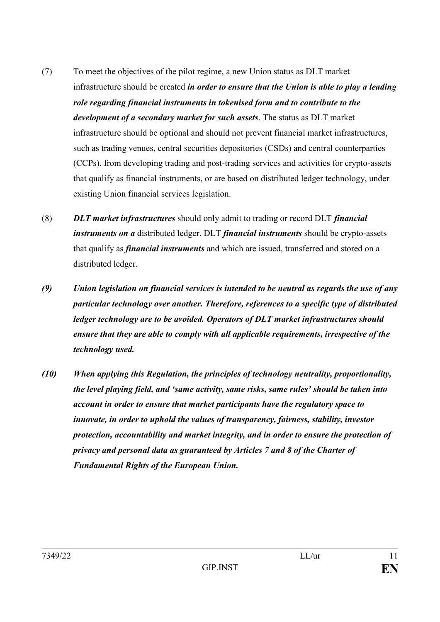- (7) To meet the objectives of the pilot regime, a new Union status as DLT market infrastructure should be created *in order to ensure that the Union is able to play a leading role regarding financial instruments in tokenised form and to contribute to the development of a secondary market for such assets*. The status as DLT market infrastructure should be optional and should not prevent financial market infrastructures, such as trading venues, central securities depositories (CSDs) and central counterparties (CCPs), from developing trading and post-trading services and activities for crypto-assets that qualify as financial instruments, or are based on distributed ledger technology, under existing Union financial services legislation.
- (8) *DLT market infrastructures* should only admit to trading or record DLT *financial instruments on a* distributed ledger. DLT *financial instruments* should be crypto-assets that qualify as *financial instruments* and which are issued, transferred and stored on a distributed ledger.
- *(9) Union legislation on financial services is intended to be neutral as regards the use of any particular technology over another. Therefore, references to a specific type of distributed ledger technology are to be avoided. Operators of DLT market infrastructures should ensure that they are able to comply with all applicable requirements, irrespective of the technology used.*
- *(10) When applying this Regulation, the principles of technology neutrality, proportionality, the level playing field, and 'same activity, same risks, same rules' should be taken into account in order to ensure that market participants have the regulatory space to innovate, in order to uphold the values of transparency, fairness, stability, investor protection, accountability and market integrity, and in order to ensure the protection of privacy and personal data as guaranteed by Articles 7 and 8 of the Charter of Fundamental Rights of the European Union.*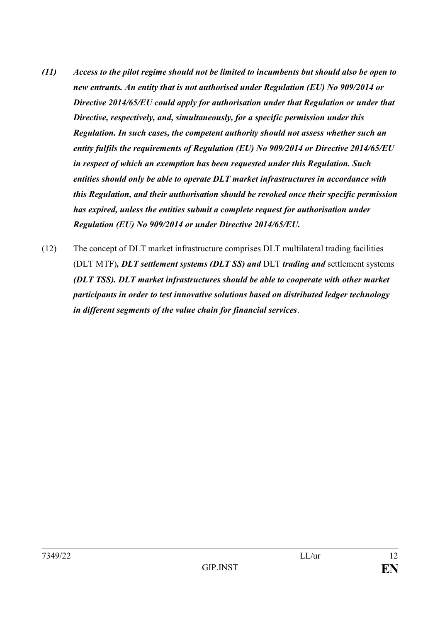- *(11) Access to the pilot regime should not be limited to incumbents but should also be open to new entrants. An entity that is not authorised under Regulation (EU) No 909/2014 or Directive 2014/65/EU could apply for authorisation under that Regulation or under that Directive, respectively, and, simultaneously, for a specific permission under this Regulation. In such cases, the competent authority should not assess whether such an entity fulfils the requirements of Regulation (EU) No 909/2014 or Directive 2014/65/EU in respect of which an exemption has been requested under this Regulation. Such entities should only be able to operate DLT market infrastructures in accordance with this Regulation, and their authorisation should be revoked once their specific permission has expired, unless the entities submit a complete request for authorisation under Regulation (EU) No 909/2014 or under Directive 2014/65/EU.*
- (12) The concept of DLT market infrastructure comprises DLT multilateral trading facilities (DLT MTF)*, DLT settlement systems (DLT SS) and* DLT *trading and* settlement systems *(DLT TSS). DLT market infrastructures should be able to cooperate with other market participants in order to test innovative solutions based on distributed ledger technology in different segments of the value chain for financial services*.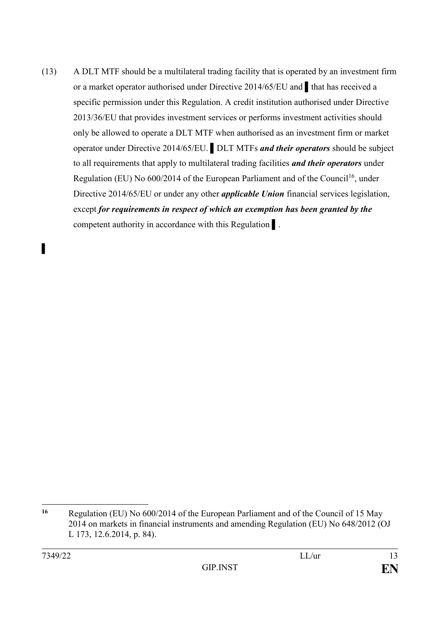(13) A DLT MTF should be a multilateral trading facility that is operated by an investment firm or a market operator authorised under Directive 2014/65/EU and ▌that has received a specific permission under this Regulation. A credit institution authorised under Directive 2013/36/EU that provides investment services or performs investment activities should only be allowed to operate a DLT MTF when authorised as an investment firm or market operator under Directive 2014/65/EU. ▌DLT MTFs *and their operators* should be subject to all requirements that apply to multilateral trading facilities *and their operators* under Regulation (EU) No  $600/2014$  of the European Parliament and of the Council<sup>16</sup>, under Directive 2014/65/EU or under any other *applicable Union* financial services legislation, except *for requirements in respect of which an exemption has been granted by the* competent authority in accordance with this Regulation  $\vert$ .

▌

<sup>&</sup>lt;u>.</u> **<sup>16</sup>** Regulation (EU) No 600/2014 of the European Parliament and of the Council of 15 May 2014 on markets in financial instruments and amending Regulation (EU) No 648/2012 (OJ L 173, 12.6.2014, p. 84).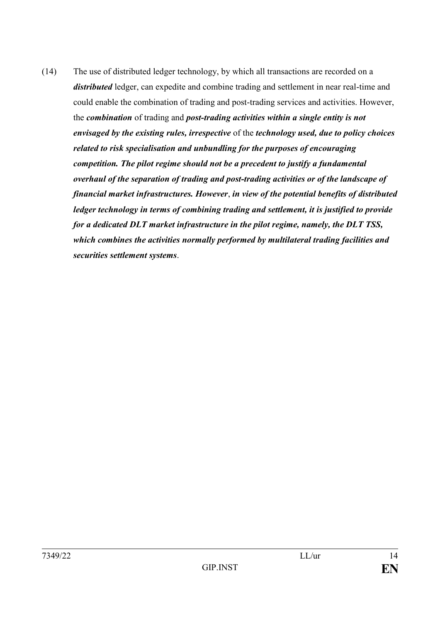(14) The use of distributed ledger technology, by which all transactions are recorded on a *distributed* ledger, can expedite and combine trading and settlement in near real-time and could enable the combination of trading and post-trading services and activities. However, the *combination* of trading and *post-trading activities within a single entity is not envisaged by the existing rules, irrespective* of the *technology used, due to policy choices related to risk specialisation and unbundling for the purposes of encouraging competition. The pilot regime should not be a precedent to justify a fundamental overhaul of the separation of trading and post-trading activities or of the landscape of financial market infrastructures. However*, *in view of the potential benefits of distributed ledger technology in terms of combining trading and settlement, it is justified to provide for a dedicated DLT market infrastructure in the pilot regime, namely, the DLT TSS, which combines the activities normally performed by multilateral trading facilities and securities settlement systems*.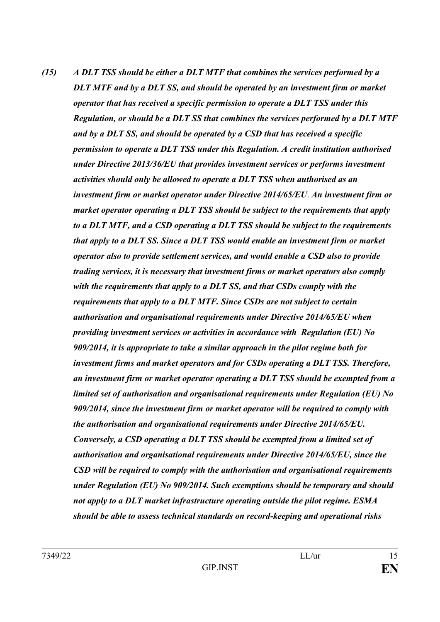*(15) A DLT TSS should be either a DLT MTF that combines the services performed by a DLT MTF and by a DLT SS, and should be operated by an investment firm or market operator that has received a specific permission to operate a DLT TSS under this Regulation, or should be a DLT SS that combines the services performed by a DLT MTF and by a DLT SS, and should be operated by a CSD that has received a specific permission to operate a DLT TSS under this Regulation. A credit institution authorised under Directive 2013/36/EU that provides investment services or performs investment activities should only be allowed to operate a DLT TSS when authorised as an investment firm or market operator under Directive 2014/65/EU*. *An investment firm or market operator operating a DLT TSS should be subject to the requirements that apply to a DLT MTF, and a CSD operating a DLT TSS should be subject to the requirements that apply to a DLT SS. Since a DLT TSS would enable an investment firm or market operator also to provide settlement services, and would enable a CSD also to provide trading services, it is necessary that investment firms or market operators also comply with the requirements that apply to a DLT SS, and that CSDs comply with the requirements that apply to a DLT MTF. Since CSDs are not subject to certain authorisation and organisational requirements under Directive 2014/65/EU when providing investment services or activities in accordance with Regulation (EU) No 909/2014, it is appropriate to take a similar approach in the pilot regime both for investment firms and market operators and for CSDs operating a DLT TSS. Therefore, an investment firm or market operator operating a DLT TSS should be exempted from a limited set of authorisation and organisational requirements under Regulation (EU) No 909/2014, since the investment firm or market operator will be required to comply with the authorisation and organisational requirements under Directive 2014/65/EU. Conversely, a CSD operating a DLT TSS should be exempted from a limited set of authorisation and organisational requirements under Directive 2014/65/EU, since the CSD will be required to comply with the authorisation and organisational requirements under Regulation (EU) No 909/2014. Such exemptions should be temporary and should not apply to a DLT market infrastructure operating outside the pilot regime. ESMA should be able to assess technical standards on record-keeping and operational risks*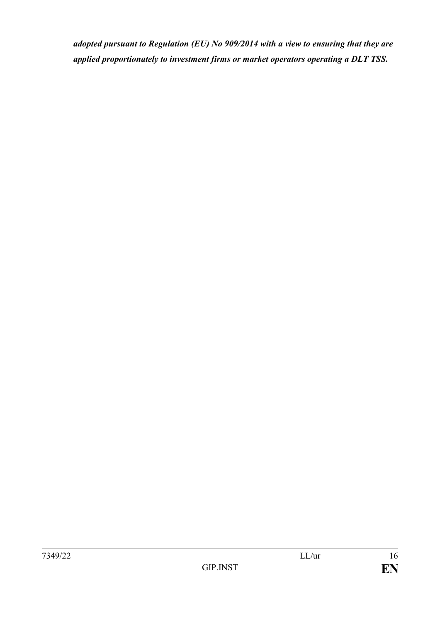*adopted pursuant to Regulation (EU) No 909/2014 with a view to ensuring that they are applied proportionately to investment firms or market operators operating a DLT TSS.*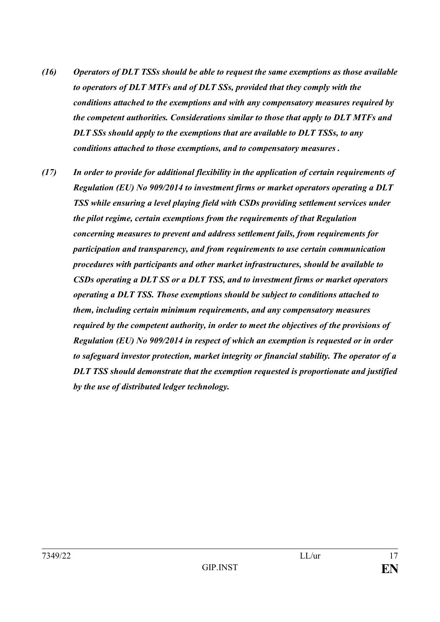- *(16) Operators of DLT TSSs should be able to request the same exemptions as those available to operators of DLT MTFs and of DLT SSs, provided that they comply with the conditions attached to the exemptions and with any compensatory measures required by the competent authorities. Considerations similar to those that apply to DLT MTFs and DLT SSs should apply to the exemptions that are available to DLT TSSs, to any conditions attached to those exemptions, and to compensatory measures .*
- *(17) In order to provide for additional flexibility in the application of certain requirements of Regulation (EU) No 909/2014 to investment firms or market operators operating a DLT TSS while ensuring a level playing field with CSDs providing settlement services under the pilot regime, certain exemptions from the requirements of that Regulation concerning measures to prevent and address settlement fails, from requirements for participation and transparency, and from requirements to use certain communication procedures with participants and other market infrastructures, should be available to CSDs operating a DLT SS or a DLT TSS, and to investment firms or market operators operating a DLT TSS. Those exemptions should be subject to conditions attached to them, including certain minimum requirements, and any compensatory measures required by the competent authority, in order to meet the objectives of the provisions of Regulation (EU) No 909/2014 in respect of which an exemption is requested or in order to safeguard investor protection, market integrity or financial stability. The operator of a DLT TSS should demonstrate that the exemption requested is proportionate and justified by the use of distributed ledger technology.*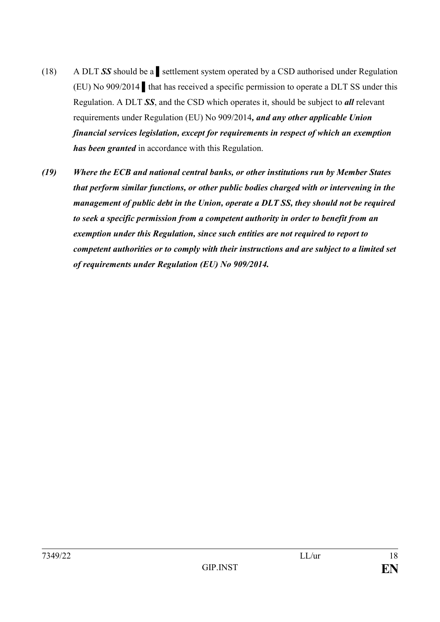- (18) A DLT *SS* should be a ▌settlement system operated by a CSD authorised under Regulation (EU) No 909/2014 *▌*that has received a specific permission to operate a DLT SS under this Regulation. A DLT *SS*, and the CSD which operates it, should be subject to *all* relevant requirements under Regulation (EU) No 909/2014*, and any other applicable Union financial services legislation, except for requirements in respect of which an exemption has been granted* in accordance with this Regulation.
- *(19) Where the ECB and national central banks, or other institutions run by Member States that perform similar functions, or other public bodies charged with or intervening in the management of public debt in the Union, operate a DLT SS, they should not be required to seek a specific permission from a competent authority in order to benefit from an exemption under this Regulation, since such entities are not required to report to competent authorities or to comply with their instructions and are subject to a limited set of requirements under Regulation (EU) No 909/2014.*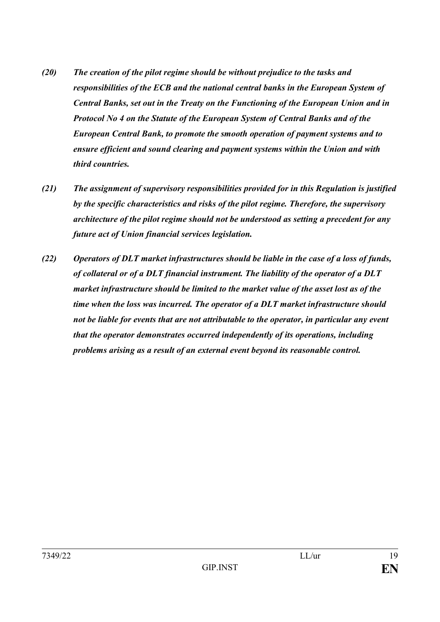- *(20) The creation of the pilot regime should be without prejudice to the tasks and responsibilities of the ECB and the national central banks in the European System of Central Banks, set out in the Treaty on the Functioning of the European Union and in Protocol No 4 on the Statute of the European System of Central Banks and of the European Central Bank, to promote the smooth operation of payment systems and to ensure efficient and sound clearing and payment systems within the Union and with third countries.*
- *(21) The assignment of supervisory responsibilities provided for in this Regulation is justified by the specific characteristics and risks of the pilot regime. Therefore, the supervisory architecture of the pilot regime should not be understood as setting a precedent for any future act of Union financial services legislation.*
- *(22) Operators of DLT market infrastructures should be liable in the case of a loss of funds, of collateral or of a DLT financial instrument. The liability of the operator of a DLT market infrastructure should be limited to the market value of the asset lost as of the time when the loss was incurred. The operator of a DLT market infrastructure should not be liable for events that are not attributable to the operator, in particular any event that the operator demonstrates occurred independently of its operations, including problems arising as a result of an external event beyond its reasonable control.*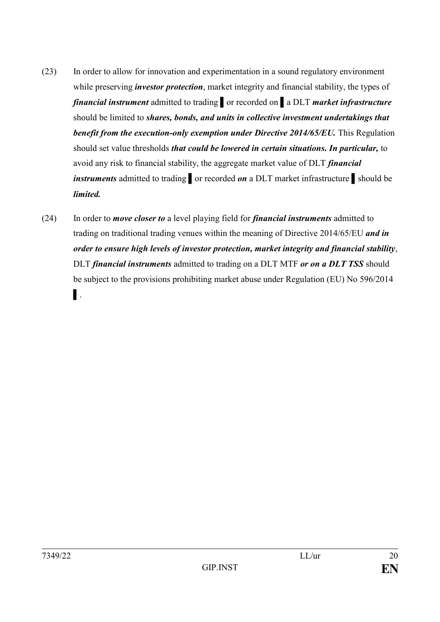- (23) In order to allow for innovation and experimentation in a sound regulatory environment while preserving *investor protection*, market integrity and financial stability, the types of *financial instrument* admitted to trading ▌or recorded on ▌a DLT *market infrastructure* should be limited to *shares, bonds, and units in collective investment undertakings that benefit from the execution-only exemption under Directive 2014/65/EU.* This Regulation should set value thresholds *that could be lowered in certain situations. In particular,* to avoid any risk to financial stability, the aggregate market value of DLT *financial instruments* admitted to trading nor recorded *on* a DLT market infrastructure should be *limited.*
- (24) In order to *move closer to* a level playing field for *financial instruments* admitted to trading on traditional trading venues within the meaning of Directive 2014/65/EU *and in order to ensure high levels of investor protection, market integrity and financial stability*, DLT *financial instruments* admitted to trading on a DLT MTF *or on a DLT TSS* should be subject to the provisions prohibiting market abuse under Regulation (EU) No 596/2014 ▌.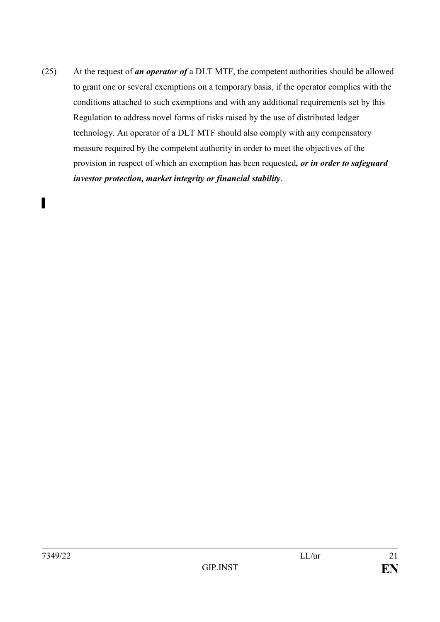(25) At the request of *an operator of* a DLT MTF, the competent authorities should be allowed to grant one or several exemptions on a temporary basis, if the operator complies with the conditions attached to such exemptions and with any additional requirements set by this Regulation to address novel forms of risks raised by the use of distributed ledger technology. An operator of a DLT MTF should also comply with any compensatory measure required by the competent authority in order to meet the objectives of the provision in respect of which an exemption has been requested*, or in order to safeguard investor protection, market integrity or financial stability*.

▌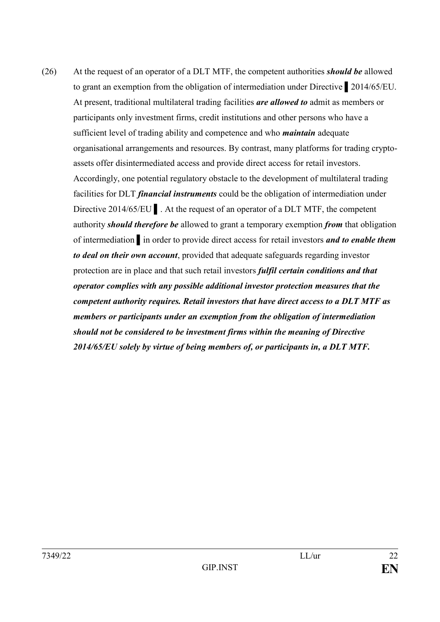(26) At the request of an operator of a DLT MTF, the competent authorities *should be* allowed to grant an exemption from the obligation of intermediation under Directive ▌2014/65/EU. At present, traditional multilateral trading facilities *are allowed to* admit as members or participants only investment firms, credit institutions and other persons who have a sufficient level of trading ability and competence and who *maintain* adequate organisational arrangements and resources. By contrast, many platforms for trading cryptoassets offer disintermediated access and provide direct access for retail investors. Accordingly, one potential regulatory obstacle to the development of multilateral trading facilities for DLT *financial instruments* could be the obligation of intermediation under Directive 2014/65/EU ▌. At the request of an operator of a DLT MTF, the competent authority *should therefore be* allowed to grant a temporary exemption *from* that obligation of intermediation ▌in order to provide direct access for retail investors *and to enable them to deal on their own account*, provided that adequate safeguards regarding investor protection are in place and that such retail investors *fulfil certain conditions and that operator complies with any possible additional investor protection measures that the competent authority requires. Retail investors that have direct access to a DLT MTF as members or participants under an exemption from the obligation of intermediation should not be considered to be investment firms within the meaning of Directive 2014/65/EU solely by virtue of being members of, or participants in, a DLT MTF.*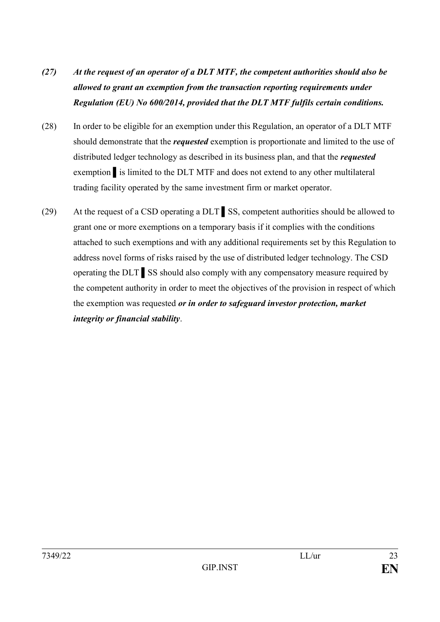- *(27) At the request of an operator of a DLT MTF, the competent authorities should also be allowed to grant an exemption from the transaction reporting requirements under Regulation (EU) No 600/2014, provided that the DLT MTF fulfils certain conditions.*
- (28) In order to be eligible for an exemption under this Regulation, an operator of a DLT MTF should demonstrate that the *requested* exemption is proportionate and limited to the use of distributed ledger technology as described in its business plan, and that the *requested* exemption ▌is limited to the DLT MTF and does not extend to any other multilateral trading facility operated by the same investment firm or market operator.
- (29) At the request of a CSD operating a DLT ▌SS, competent authorities should be allowed to grant one or more exemptions on a temporary basis if it complies with the conditions attached to such exemptions and with any additional requirements set by this Regulation to address novel forms of risks raised by the use of distributed ledger technology. The CSD operating the DLT ▌SS should also comply with any compensatory measure required by the competent authority in order to meet the objectives of the provision in respect of which the exemption was requested *or in order to safeguard investor protection, market integrity or financial stability*.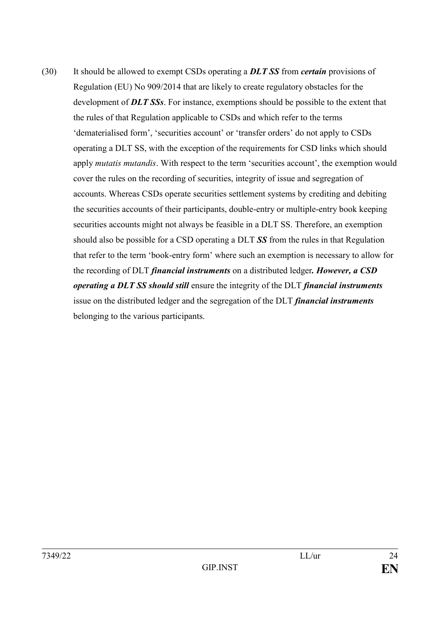(30) It should be allowed to exempt CSDs operating a *DLT SS* from *certain* provisions of Regulation (EU) No 909/2014 that are likely to create regulatory obstacles for the development of *DLT SSs*. For instance, exemptions should be possible to the extent that the rules of that Regulation applicable to CSDs and which refer to the terms 'dematerialised form', 'securities account' or 'transfer orders' do not apply to CSDs operating a DLT SS, with the exception of the requirements for CSD links which should apply *mutatis mutandis*. With respect to the term 'securities account', the exemption would cover the rules on the recording of securities, integrity of issue and segregation of accounts. Whereas CSDs operate securities settlement systems by crediting and debiting the securities accounts of their participants, double-entry or multiple-entry book keeping securities accounts might not always be feasible in a DLT SS. Therefore, an exemption should also be possible for a CSD operating a DLT *SS* from the rules in that Regulation that refer to the term 'book-entry form' where such an exemption is necessary to allow for the recording of DLT *financial instruments* on a distributed ledger*. However, a CSD operating a DLT SS should still* ensure the integrity of the DLT *financial instruments* issue on the distributed ledger and the segregation of the DLT *financial instruments* belonging to the various participants.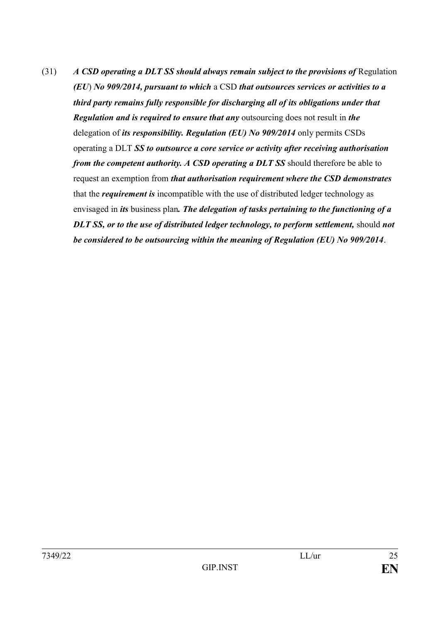(31) *A CSD operating a DLT SS should always remain subject to the provisions of* Regulation *(EU*) *No 909/2014, pursuant to which* a CSD *that outsources services or activities to a third party remains fully responsible for discharging all of its obligations under that Regulation and is required to ensure that any* outsourcing does not result in *the* delegation of *its responsibility. Regulation (EU) No 909/2014* only permits CSDs operating a DLT *SS to outsource a core service or activity after receiving authorisation from the competent authority. A CSD operating a DLT SS* should therefore be able to request an exemption from *that authorisation requirement where the CSD demonstrates* that the *requirement is* incompatible with the use of distributed ledger technology as envisaged in *its* business plan*. The delegation of tasks pertaining to the functioning of a DLT SS, or to the use of distributed ledger technology, to perform settlement,* should *not be considered to be outsourcing within the meaning of Regulation (EU) No 909/2014*.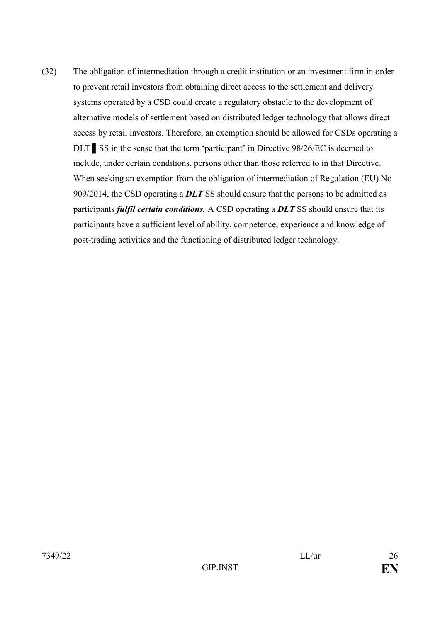(32) The obligation of intermediation through a credit institution or an investment firm in order to prevent retail investors from obtaining direct access to the settlement and delivery systems operated by a CSD could create a regulatory obstacle to the development of alternative models of settlement based on distributed ledger technology that allows direct access by retail investors. Therefore, an exemption should be allowed for CSDs operating a DLT SS in the sense that the term 'participant' in Directive 98/26/EC is deemed to include, under certain conditions, persons other than those referred to in that Directive. When seeking an exemption from the obligation of intermediation of Regulation (EU) No 909/2014, the CSD operating a *DLT* SS should ensure that the persons to be admitted as participants *fulfil certain conditions.* A CSD operating a *DLT* SS should ensure that its participants have a sufficient level of ability, competence, experience and knowledge of post-trading activities and the functioning of distributed ledger technology.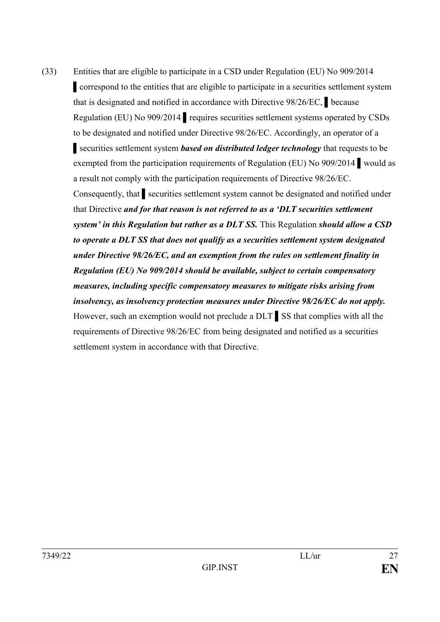(33) Entities that are eligible to participate in a CSD under Regulation (EU) No 909/2014 ▌correspond to the entities that are eligible to participate in a securities settlement system that is designated and notified in accordance with Directive 98/26/EC, ▌because Regulation (EU) No 909/2014 ▌requires securities settlement systems operated by CSDs to be designated and notified under Directive 98/26/EC. Accordingly, an operator of a ▌securities settlement system *based on distributed ledger technology* that requests to be exempted from the participation requirements of Regulation (EU) No 909/2014 ▌would as a result not comply with the participation requirements of Directive 98/26/EC. Consequently, that ▌securities settlement system cannot be designated and notified under that Directive *and for that reason is not referred to as a 'DLT securities settlement system' in this Regulation but rather as a DLT SS.* This Regulation *should allow a CSD to operate a DLT SS that does not qualify as a securities settlement system designated under Directive 98/26/EC, and an exemption from the rules on settlement finality in Regulation (EU) No 909/2014 should be available, subject to certain compensatory measures, including specific compensatory measures to mitigate risks arising from insolvency, as insolvency protection measures under Directive 98/26/EC do not apply.*  However, such an exemption would not preclude a DLT ▌SS that complies with all the requirements of Directive 98/26/EC from being designated and notified as a securities settlement system in accordance with that Directive.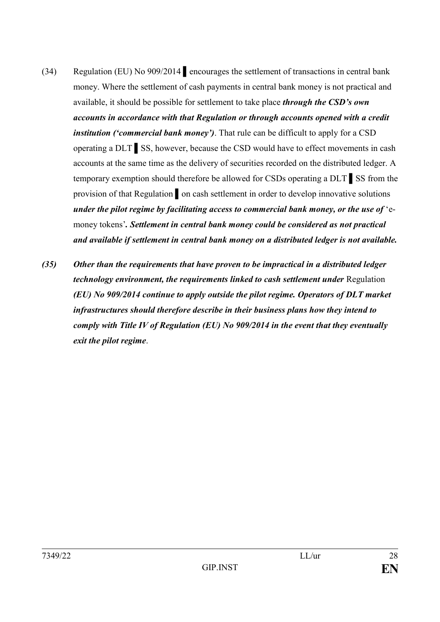- (34) Regulation (EU) No 909/2014 ▌encourages the settlement of transactions in central bank money. Where the settlement of cash payments in central bank money is not practical and available, it should be possible for settlement to take place *through the CSD's own accounts in accordance with that Regulation or through accounts opened with a credit institution ('commercial bank money')*. That rule can be difficult to apply for a CSD operating a DLT ▌SS, however, because the CSD would have to effect movements in cash accounts at the same time as the delivery of securities recorded on the distributed ledger. A temporary exemption should therefore be allowed for CSDs operating a DLT ▌SS from the provision of that Regulation on cash settlement in order to develop innovative solutions *under the pilot regime by facilitating access to commercial bank money, or the use of* 'emoney tokens'*. Settlement in central bank money could be considered as not practical and available if settlement in central bank money on a distributed ledger is not available.*
- *(35) Other than the requirements that have proven to be impractical in a distributed ledger technology environment, the requirements linked to cash settlement under Regulation (EU) No 909/2014 continue to apply outside the pilot regime. Operators of DLT market infrastructures should therefore describe in their business plans how they intend to comply with Title IV of Regulation (EU) No 909/2014 in the event that they eventually exit the pilot regime*.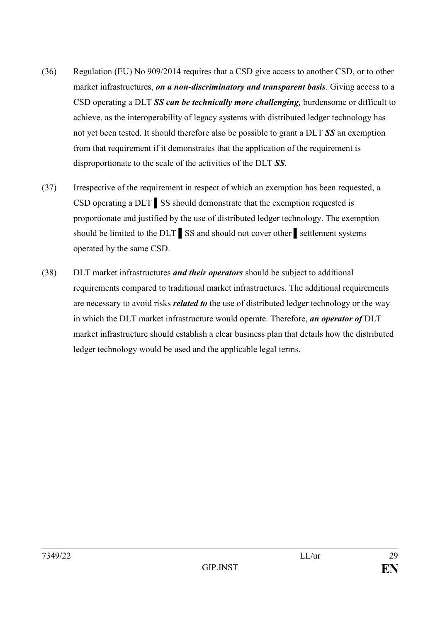- (36) Regulation (EU) No 909/2014 requires that a CSD give access to another CSD, or to other market infrastructures, *on a non-discriminatory and transparent basis*. Giving access to a CSD operating a DLT *SS can be technically more challenging,* burdensome or difficult to achieve, as the interoperability of legacy systems with distributed ledger technology has not yet been tested. It should therefore also be possible to grant a DLT *SS* an exemption from that requirement if it demonstrates that the application of the requirement is disproportionate to the scale of the activities of the DLT *SS*.
- (37) Irrespective of the requirement in respect of which an exemption has been requested, a CSD operating a DLT ▌SS should demonstrate that the exemption requested is proportionate and justified by the use of distributed ledger technology. The exemption should be limited to the DLT SS and should not cover other settlement systems operated by the same CSD.
- (38) DLT market infrastructures *and their operators* should be subject to additional requirements compared to traditional market infrastructures. The additional requirements are necessary to avoid risks *related to* the use of distributed ledger technology or the way in which the DLT market infrastructure would operate. Therefore, *an operator of* DLT market infrastructure should establish a clear business plan that details how the distributed ledger technology would be used and the applicable legal terms.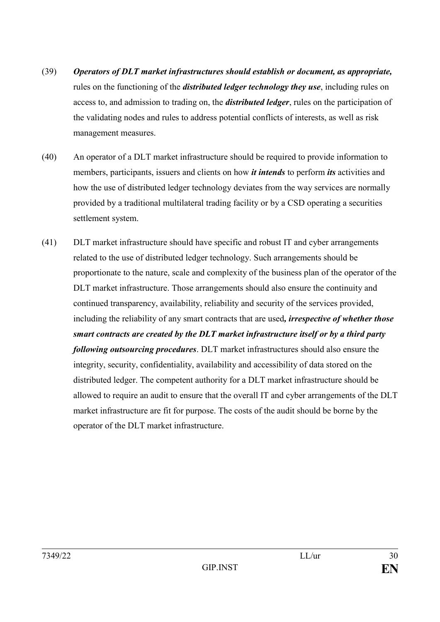- (39) *Operators of DLT market infrastructures should establish or document, as appropriate,*  rules on the functioning of the *distributed ledger technology they use*, including rules on access to, and admission to trading on, the *distributed ledger*, rules on the participation of the validating nodes and rules to address potential conflicts of interests, as well as risk management measures.
- (40) An operator of a DLT market infrastructure should be required to provide information to members, participants, issuers and clients on how *it intends* to perform *its* activities and how the use of distributed ledger technology deviates from the way services are normally provided by a traditional multilateral trading facility or by a CSD operating a securities settlement system.
- (41) DLT market infrastructure should have specific and robust IT and cyber arrangements related to the use of distributed ledger technology. Such arrangements should be proportionate to the nature, scale and complexity of the business plan of the operator of the DLT market infrastructure. Those arrangements should also ensure the continuity and continued transparency, availability, reliability and security of the services provided, including the reliability of any smart contracts that are used*, irrespective of whether those smart contracts are created by the DLT market infrastructure itself or by a third party following outsourcing procedures*. DLT market infrastructures should also ensure the integrity, security, confidentiality, availability and accessibility of data stored on the distributed ledger. The competent authority for a DLT market infrastructure should be allowed to require an audit to ensure that the overall IT and cyber arrangements of the DLT market infrastructure are fit for purpose. The costs of the audit should be borne by the operator of the DLT market infrastructure.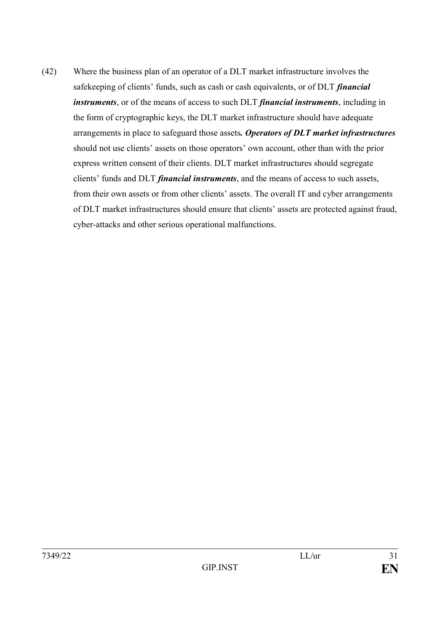(42) Where the business plan of an operator of a DLT market infrastructure involves the safekeeping of clients' funds, such as cash or cash equivalents, or of DLT *financial instruments*, or of the means of access to such DLT *financial instruments*, including in the form of cryptographic keys, the DLT market infrastructure should have adequate arrangements in place to safeguard those assets*. Operators of DLT market infrastructures* should not use clients' assets on those operators' own account, other than with the prior express written consent of their clients. DLT market infrastructures should segregate clients' funds and DLT *financial instruments*, and the means of access to such assets, from their own assets or from other clients' assets. The overall IT and cyber arrangements of DLT market infrastructures should ensure that clients' assets are protected against fraud, cyber-attacks and other serious operational malfunctions.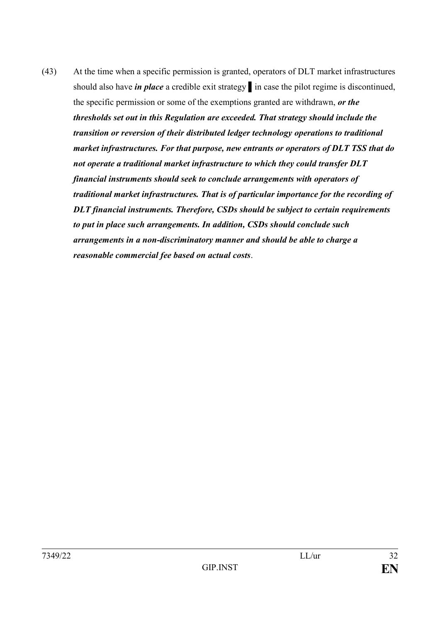(43) At the time when a specific permission is granted, operators of DLT market infrastructures should also have *in place* a credible exit strategy ▌in case the pilot regime is discontinued, the specific permission or some of the exemptions granted are withdrawn, *or the thresholds set out in this Regulation are exceeded. That strategy should include the transition or reversion of their distributed ledger technology operations to traditional market infrastructures. For that purpose, new entrants or operators of DLT TSS that do not operate a traditional market infrastructure to which they could transfer DLT financial instruments should seek to conclude arrangements with operators of traditional market infrastructures. That is of particular importance for the recording of DLT financial instruments. Therefore, CSDs should be subject to certain requirements to put in place such arrangements. In addition, CSDs should conclude such arrangements in a non-discriminatory manner and should be able to charge a reasonable commercial fee based on actual costs*.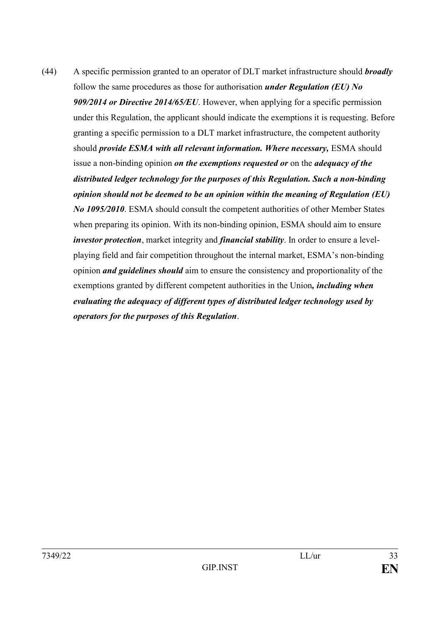(44) A specific permission granted to an operator of DLT market infrastructure should *broadly*  follow the same procedures as those for authorisation *under Regulation (EU) No 909/2014 or Directive 2014/65/EU*. However, when applying for a specific permission under this Regulation, the applicant should indicate the exemptions it is requesting. Before granting a specific permission to a DLT market infrastructure, the competent authority should *provide ESMA with all relevant information. Where necessary*, ESMA should issue a non-binding opinion *on the exemptions requested or* on the *adequacy of the distributed ledger technology for the purposes of this Regulation. Such a non-binding opinion should not be deemed to be an opinion within the meaning of Regulation (EU) No 1095/2010*. ESMA should consult the competent authorities of other Member States when preparing its opinion. With its non-binding opinion, ESMA should aim to ensure *investor protection*, market integrity and *financial stability*. In order to ensure a levelplaying field and fair competition throughout the internal market, ESMA's non-binding opinion *and guidelines should* aim to ensure the consistency and proportionality of the exemptions granted by different competent authorities in the Union*, including when evaluating the adequacy of different types of distributed ledger technology used by operators for the purposes of this Regulation*.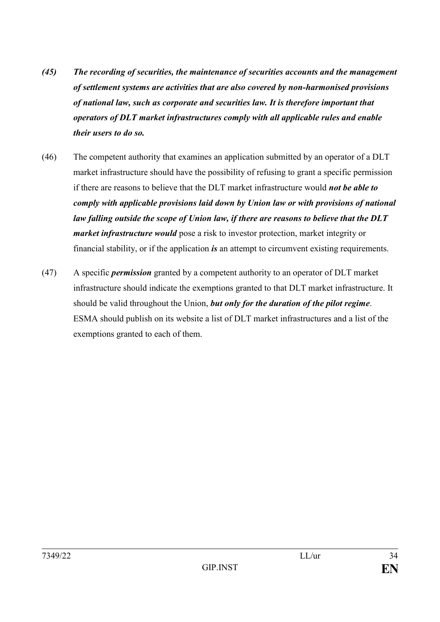- *(45) The recording of securities, the maintenance of securities accounts and the management of settlement systems are activities that are also covered by non-harmonised provisions of national law, such as corporate and securities law. It is therefore important that operators of DLT market infrastructures comply with all applicable rules and enable their users to do so.*
- (46) The competent authority that examines an application submitted by an operator of a DLT market infrastructure should have the possibility of refusing to grant a specific permission if there are reasons to believe that the DLT market infrastructure would *not be able to comply with applicable provisions laid down by Union law or with provisions of national law falling outside the scope of Union law, if there are reasons to believe that the DLT market infrastructure would* pose a risk to investor protection, market integrity or financial stability, or if the application *is* an attempt to circumvent existing requirements.
- (47) A specific *permission* granted by a competent authority to an operator of DLT market infrastructure should indicate the exemptions granted to that DLT market infrastructure. It should be valid throughout the Union, *but only for the duration of the pilot regime*. ESMA should publish on its website a list of DLT market infrastructures and a list of the exemptions granted to each of them.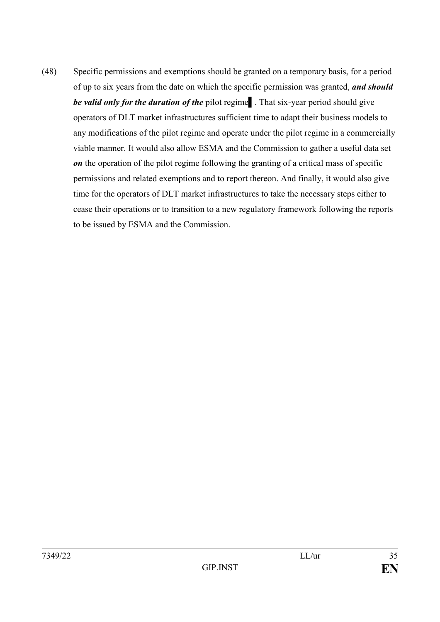(48) Specific permissions and exemptions should be granted on a temporary basis, for a period of up to six years from the date on which the specific permission was granted, *and should be valid only for the duration of the pilot regime*. That six-year period should give operators of DLT market infrastructures sufficient time to adapt their business models to any modifications of the pilot regime and operate under the pilot regime in a commercially viable manner. It would also allow ESMA and the Commission to gather a useful data set *on* the operation of the pilot regime following the granting of a critical mass of specific permissions and related exemptions and to report thereon. And finally, it would also give time for the operators of DLT market infrastructures to take the necessary steps either to cease their operations or to transition to a new regulatory framework following the reports to be issued by ESMA and the Commission.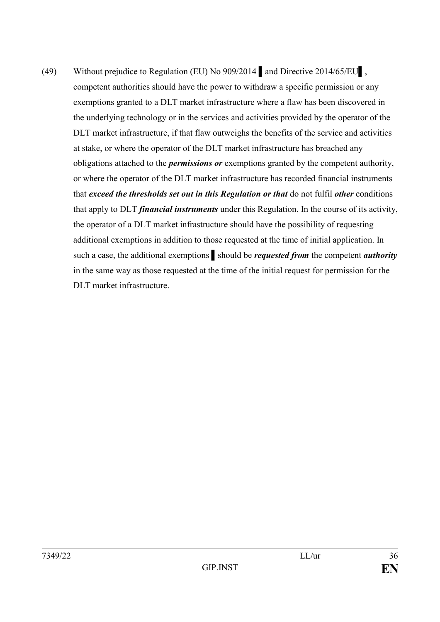(49) Without prejudice to Regulation (EU) No 909/2014 ▌and Directive 2014/65/EU▌, competent authorities should have the power to withdraw a specific permission or any exemptions granted to a DLT market infrastructure where a flaw has been discovered in the underlying technology or in the services and activities provided by the operator of the DLT market infrastructure, if that flaw outweighs the benefits of the service and activities at stake, or where the operator of the DLT market infrastructure has breached any obligations attached to the *permissions or* exemptions granted by the competent authority, or where the operator of the DLT market infrastructure has recorded financial instruments that *exceed the thresholds set out in this Regulation or that* do not fulfil *other* conditions that apply to DLT *financial instruments* under this Regulation. In the course of its activity, the operator of a DLT market infrastructure should have the possibility of requesting additional exemptions in addition to those requested at the time of initial application. In such a case, the additional exemptions ▌should be *requested from* the competent *authority* in the same way as those requested at the time of the initial request for permission for the DLT market infrastructure.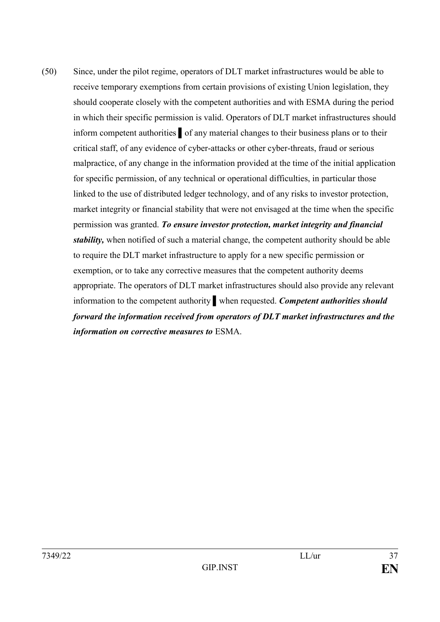(50) Since, under the pilot regime, operators of DLT market infrastructures would be able to receive temporary exemptions from certain provisions of existing Union legislation, they should cooperate closely with the competent authorities and with ESMA during the period in which their specific permission is valid. Operators of DLT market infrastructures should inform competent authorities ▌of any material changes to their business plans or to their critical staff, of any evidence of cyber-attacks or other cyber-threats, fraud or serious malpractice, of any change in the information provided at the time of the initial application for specific permission, of any technical or operational difficulties, in particular those linked to the use of distributed ledger technology, and of any risks to investor protection, market integrity or financial stability that were not envisaged at the time when the specific permission was granted. *To ensure investor protection, market integrity and financial stability,* when notified of such a material change, the competent authority should be able to require the DLT market infrastructure to apply for a new specific permission or exemption, or to take any corrective measures that the competent authority deems appropriate. The operators of DLT market infrastructures should also provide any relevant information to the competent authority ▌when requested. *Competent authorities should forward the information received from operators of DLT market infrastructures and the information on corrective measures to* ESMA.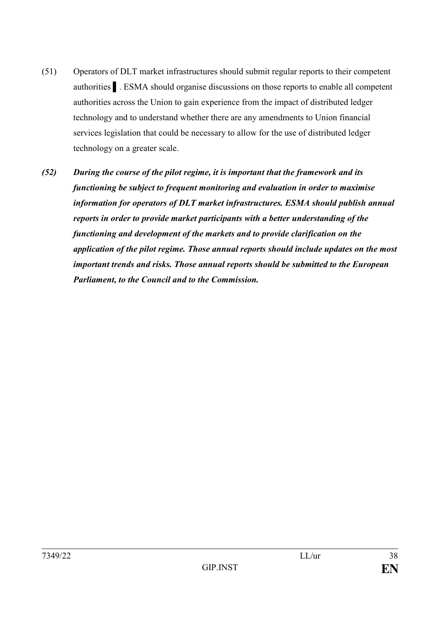- (51) Operators of DLT market infrastructures should submit regular reports to their competent authorities ▌. ESMA should organise discussions on those reports to enable all competent authorities across the Union to gain experience from the impact of distributed ledger technology and to understand whether there are any amendments to Union financial services legislation that could be necessary to allow for the use of distributed ledger technology on a greater scale.
- *(52) During the course of the pilot regime, it is important that the framework and its functioning be subject to frequent monitoring and evaluation in order to maximise information for operators of DLT market infrastructures. ESMA should publish annual reports in order to provide market participants with a better understanding of the functioning and development of the markets and to provide clarification on the application of the pilot regime. Those annual reports should include updates on the most important trends and risks. Those annual reports should be submitted to the European Parliament, to the Council and to the Commission.*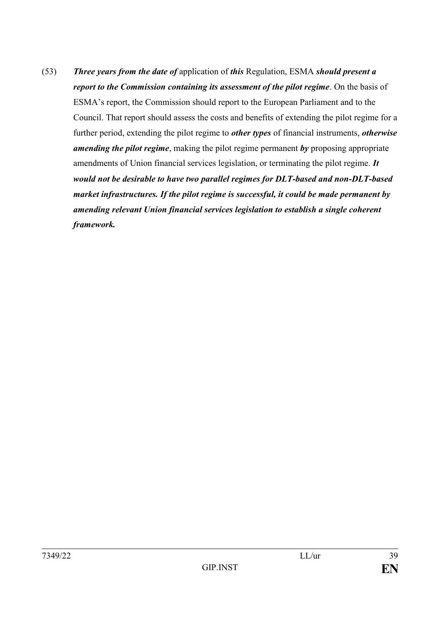(53) *Three years from the date of* application of *this* Regulation, ESMA *should present a report to the Commission containing its assessment of the pilot regime*. On the basis of ESMA's report, the Commission should report to the European Parliament and to the Council. That report should assess the costs and benefits of extending the pilot regime for a further period, extending the pilot regime to *other types* of financial instruments, *otherwise amending the pilot regime*, making the pilot regime permanent *by* proposing appropriate amendments of Union financial services legislation, or terminating the pilot regime. *It would not be desirable to have two parallel regimes for DLT-based and non-DLT-based market infrastructures. If the pilot regime is successful, it could be made permanent by amending relevant Union financial services legislation to establish a single coherent framework.*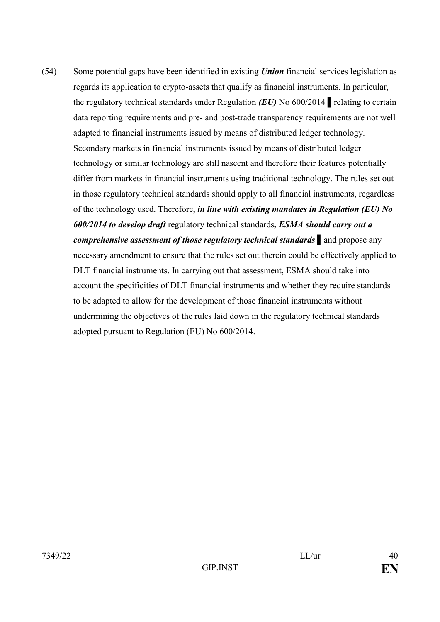(54) Some potential gaps have been identified in existing *Union* financial services legislation as regards its application to crypto-assets that qualify as financial instruments. In particular, the regulatory technical standards under Regulation *(EU)* No 600/2014 ▌relating to certain data reporting requirements and pre- and post-trade transparency requirements are not well adapted to financial instruments issued by means of distributed ledger technology. Secondary markets in financial instruments issued by means of distributed ledger technology or similar technology are still nascent and therefore their features potentially differ from markets in financial instruments using traditional technology. The rules set out in those regulatory technical standards should apply to all financial instruments, regardless of the technology used. Therefore, *in line with existing mandates in Regulation (EU) No 600/2014 to develop draft* regulatory technical standards*, ESMA should carry out a comprehensive assessment of those regulatory technical standards ▌*and propose any necessary amendment to ensure that the rules set out therein could be effectively applied to DLT financial instruments. In carrying out that assessment, ESMA should take into account the specificities of DLT financial instruments and whether they require standards to be adapted to allow for the development of those financial instruments without undermining the objectives of the rules laid down in the regulatory technical standards adopted pursuant to Regulation (EU) No 600/2014.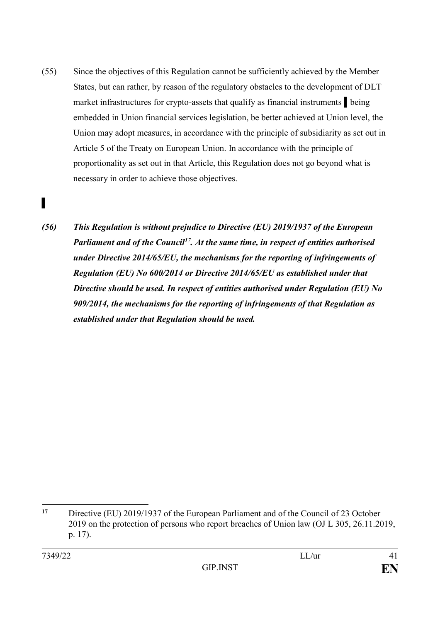- (55) Since the objectives of this Regulation cannot be sufficiently achieved by the Member States, but can rather, by reason of the regulatory obstacles to the development of DLT market infrastructures for crypto-assets that qualify as financial instruments ▌being embedded in Union financial services legislation, be better achieved at Union level, the Union may adopt measures, in accordance with the principle of subsidiarity as set out in Article 5 of the Treaty on European Union. In accordance with the principle of proportionality as set out in that Article, this Regulation does not go beyond what is necessary in order to achieve those objectives.
- *(56) This Regulation is without prejudice to Directive (EU) 2019/1937 of the European Parliament and of the Council<sup>17</sup>. At the same time, in respect of entities authorised under Directive 2014/65/EU, the mechanisms for the reporting of infringements of Regulation (EU) No 600/2014 or Directive 2014/65/EU as established under that Directive should be used. In respect of entities authorised under Regulation (EU) No 909/2014, the mechanisms for the reporting of infringements of that Regulation as established under that Regulation should be used.*

<sup>&</sup>lt;u>.</u> **<sup>17</sup>** Directive (EU) 2019/1937 of the European Parliament and of the Council of 23 October 2019 on the protection of persons who report breaches of Union law (OJ L 305, 26.11.2019, p. 17).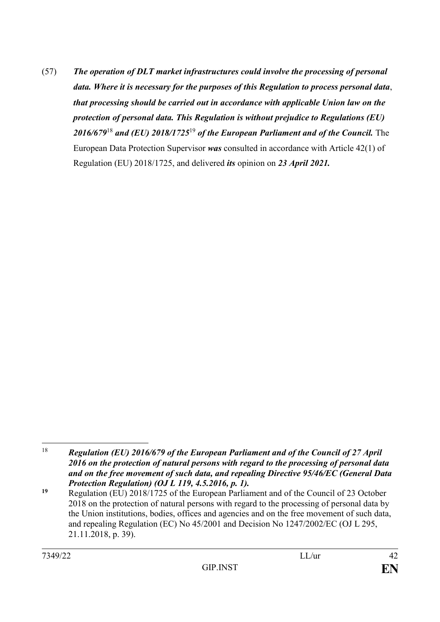(57) *The operation of DLT market infrastructures could involve the processing of personal data. Where it is necessary for the purposes of this Regulation to process personal data*, *that processing should be carried out in accordance with applicable Union law on the protection of personal data. This Regulation is without prejudice to Regulations (EU) 2016/679*<sup>18</sup> *and (EU) 2018/1725*<sup>19</sup> *of the European Parliament and of the Council.* The European Data Protection Supervisor *was* consulted in accordance with Article 42(1) of Regulation (EU) 2018/1725, and delivered *its* opinion on *23 April 2021.*

<sup>18</sup> <sup>18</sup> *Regulation (EU) 2016/679 of the European Parliament and of the Council of 27 April 2016 on the protection of natural persons with regard to the processing of personal data and on the free movement of such data, and repealing Directive 95/46/EC (General Data Protection Regulation) (OJ L 119, 4.5.2016, p. 1).*

**<sup>19</sup>** Regulation (EU) 2018/1725 of the European Parliament and of the Council of 23 October 2018 on the protection of natural persons with regard to the processing of personal data by the Union institutions, bodies, offices and agencies and on the free movement of such data, and repealing Regulation (EC) No 45/2001 and Decision No 1247/2002/EC (OJ L 295, 21.11.2018, p. 39).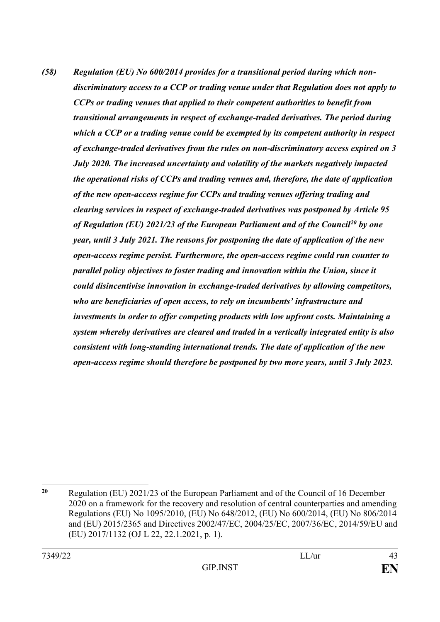*(58) Regulation (EU) No 600/2014 provides for a transitional period during which nondiscriminatory access to a CCP or trading venue under that Regulation does not apply to CCPs or trading venues that applied to their competent authorities to benefit from transitional arrangements in respect of exchange-traded derivatives. The period during which a CCP or a trading venue could be exempted by its competent authority in respect of exchange-traded derivatives from the rules on non-discriminatory access expired on 3 July 2020. The increased uncertainty and volatility of the markets negatively impacted the operational risks of CCPs and trading venues and, therefore, the date of application of the new open-access regime for CCPs and trading venues offering trading and clearing services in respect of exchange-traded derivatives was postponed by Article 95 of Regulation (EU) 2021/23 of the European Parliament and of the Council<sup>20</sup> by one year, until 3 July 2021. The reasons for postponing the date of application of the new open-access regime persist. Furthermore, the open-access regime could run counter to parallel policy objectives to foster trading and innovation within the Union, since it could disincentivise innovation in exchange-traded derivatives by allowing competitors, who are beneficiaries of open access, to rely on incumbents' infrastructure and investments in order to offer competing products with low upfront costs. Maintaining a system whereby derivatives are cleared and traded in a vertically integrated entity is also consistent with long-standing international trends. The date of application of the new open-access regime should therefore be postponed by two more years, until 3 July 2023.* 

<sup>1</sup> **<sup>20</sup>** Regulation (EU) 2021/23 of the European Parliament and of the Council of 16 December 2020 on a framework for the recovery and resolution of central counterparties and amending Regulations (EU) No 1095/2010, (EU) No 648/2012, (EU) No 600/2014, (EU) No 806/2014 and (EU) 2015/2365 and Directives 2002/47/EC, 2004/25/EC, 2007/36/EC, 2014/59/EU and (EU) 2017/1132 (OJ L 22, 22.1.2021, p. 1).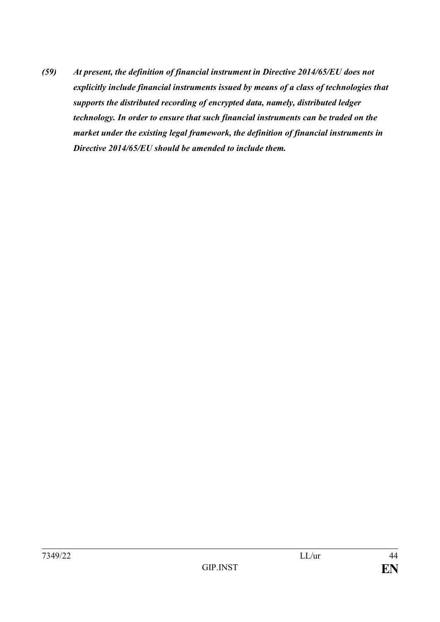*(59) At present, the definition of financial instrument in Directive 2014/65/EU does not explicitly include financial instruments issued by means of a class of technologies that supports the distributed recording of encrypted data, namely, distributed ledger technology. In order to ensure that such financial instruments can be traded on the market under the existing legal framework, the definition of financial instruments in Directive 2014/65/EU should be amended to include them.*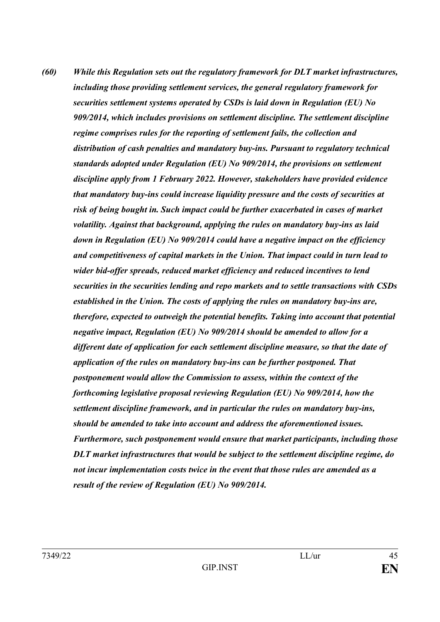*(60) While this Regulation sets out the regulatory framework for DLT market infrastructures, including those providing settlement services, the general regulatory framework for securities settlement systems operated by CSDs is laid down in Regulation (EU) No 909/2014, which includes provisions on settlement discipline. The settlement discipline regime comprises rules for the reporting of settlement fails, the collection and distribution of cash penalties and mandatory buy-ins. Pursuant to regulatory technical standards adopted under Regulation (EU) No 909/2014, the provisions on settlement discipline apply from 1 February 2022. However, stakeholders have provided evidence that mandatory buy-ins could increase liquidity pressure and the costs of securities at risk of being bought in. Such impact could be further exacerbated in cases of market volatility. Against that background, applying the rules on mandatory buy-ins as laid down in Regulation (EU) No 909/2014 could have a negative impact on the efficiency and competitiveness of capital markets in the Union. That impact could in turn lead to wider bid-offer spreads, reduced market efficiency and reduced incentives to lend securities in the securities lending and repo markets and to settle transactions with CSDs established in the Union. The costs of applying the rules on mandatory buy-ins are, therefore, expected to outweigh the potential benefits. Taking into account that potential negative impact, Regulation (EU) No 909/2014 should be amended to allow for a different date of application for each settlement discipline measure, so that the date of application of the rules on mandatory buy-ins can be further postponed. That postponement would allow the Commission to assess, within the context of the forthcoming legislative proposal reviewing Regulation (EU) No 909/2014, how the settlement discipline framework, and in particular the rules on mandatory buy-ins, should be amended to take into account and address the aforementioned issues. Furthermore, such postponement would ensure that market participants, including those DLT market infrastructures that would be subject to the settlement discipline regime, do not incur implementation costs twice in the event that those rules are amended as a result of the review of Regulation (EU) No 909/2014.*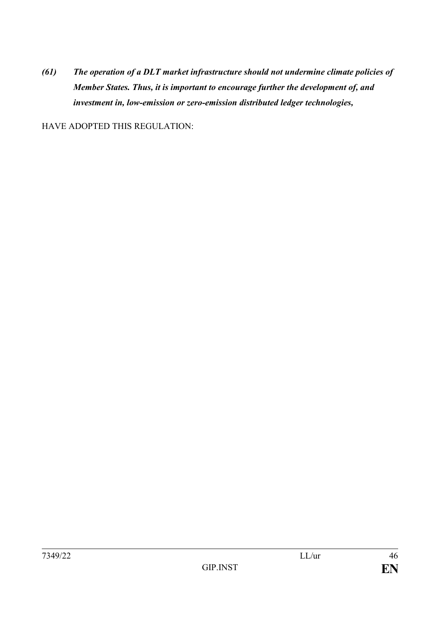*(61) The operation of a DLT market infrastructure should not undermine climate policies of Member States. Thus, it is important to encourage further the development of, and investment in, low-emission or zero-emission distributed ledger technologies,*

HAVE ADOPTED THIS REGULATION: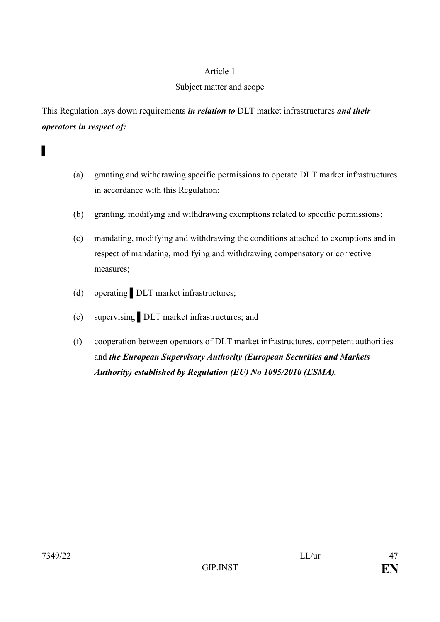### Subject matter and scope

This Regulation lays down requirements *in relation to* DLT market infrastructures *and their operators in respect of:*

- (a) granting and withdrawing specific permissions to operate DLT market infrastructures in accordance with this Regulation;
- (b) granting, modifying and withdrawing exemptions related to specific permissions;
- (c) mandating, modifying and withdrawing the conditions attached to exemptions and in respect of mandating, modifying and withdrawing compensatory or corrective measures;
- (d) operating DLT market infrastructures;
- (e) supervising ▌DLT market infrastructures; and
- (f) cooperation between operators of DLT market infrastructures, competent authorities and *the European Supervisory Authority (European Securities and Markets Authority) established by Regulation (EU) No 1095/2010 (ESMA).*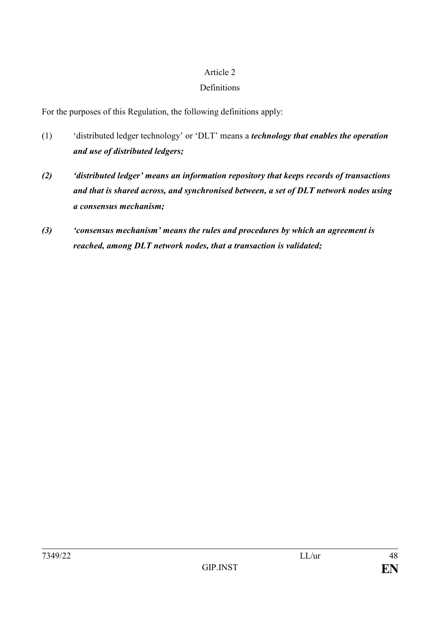#### **Definitions**

For the purposes of this Regulation, the following definitions apply:

- (1) 'distributed ledger technology' or 'DLT' means a *technology that enables the operation and use of distributed ledgers;*
- *(2) 'distributed ledger' means an information repository that keeps records of transactions and that is shared across, and synchronised between, a set of DLT network nodes using a consensus mechanism;*
- *(3) 'consensus mechanism' means the rules and procedures by which an agreement is reached, among DLT network nodes, that a transaction is validated;*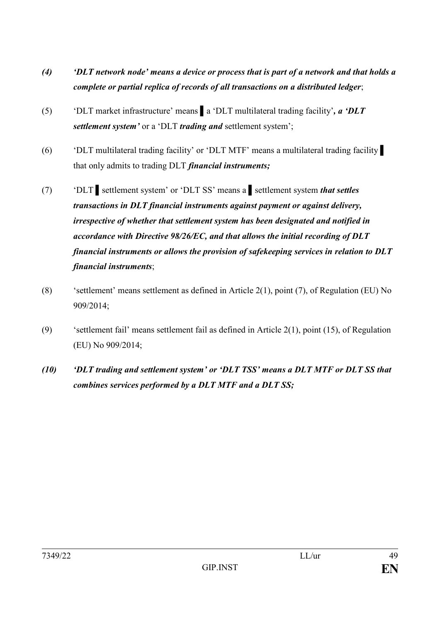- *(4) 'DLT network node' means a device or process that is part of a network and that holds a complete or partial replica of records of all transactions on a distributed ledger*;
- (5) 'DLT market infrastructure' means ▌a 'DLT multilateral trading facility'*, a 'DLT settlement system'* or a 'DLT *trading and* settlement system';
- (6) 'DLT multilateral trading facility' or 'DLT MTF' means a multilateral trading facility ▌ that only admits to trading DLT *financial instruments;*
- (7) 'DLT ▌settlement system' or 'DLT SS' means a ▌settlement system *that settles transactions in DLT financial instruments against payment or against delivery, irrespective of whether that settlement system has been designated and notified in accordance with Directive 98/26/EC, and that allows the initial recording of DLT financial instruments or allows the provision of safekeeping services in relation to DLT financial instruments*;
- (8) 'settlement' means settlement as defined in Article 2(1), point (7), of Regulation (EU) No 909/2014;
- (9) 'settlement fail' means settlement fail as defined in Article 2(1), point (15), of Regulation (EU) No 909/2014;
- *(10) 'DLT trading and settlement system' or 'DLT TSS' means a DLT MTF or DLT SS that combines services performed by a DLT MTF and a DLT SS;*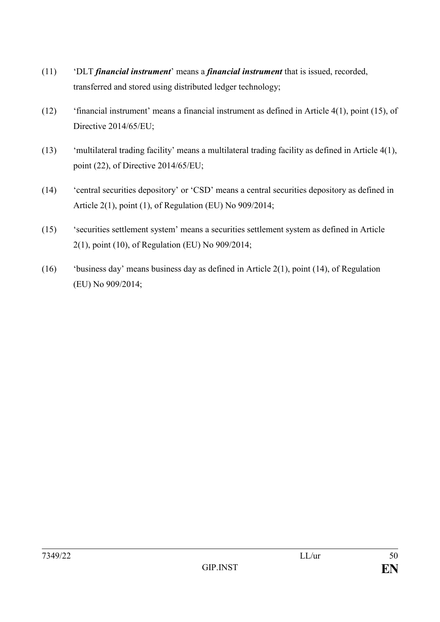- (11) 'DLT *financial instrument*' means a *financial instrument* that is issued, recorded, transferred and stored using distributed ledger technology;
- (12) 'financial instrument' means a financial instrument as defined in Article 4(1), point (15), of Directive 2014/65/EU;
- (13) 'multilateral trading facility' means a multilateral trading facility as defined in Article 4(1), point (22), of Directive 2014/65/EU;
- (14) 'central securities depository' or 'CSD' means a central securities depository as defined in Article 2(1), point (1), of Regulation (EU) No 909/2014;
- (15) 'securities settlement system' means a securities settlement system as defined in Article 2(1), point (10), of Regulation (EU) No 909/2014;
- (16) 'business day' means business day as defined in Article 2(1), point (14), of Regulation (EU) No 909/2014;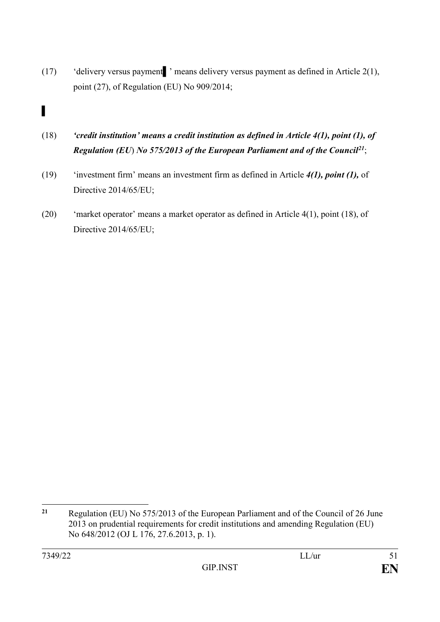(17) 'delivery versus payment▌' means delivery versus payment as defined in Article 2(1), point (27), of Regulation (EU) No 909/2014;

# ▌

- (18) *'credit institution' means a credit institution as defined in Article 4(1), point (1), of Regulation (EU*) *No 575/2013 of the European Parliament and of the Council<sup>21</sup>*;
- (19) 'investment firm' means an investment firm as defined in Article *4(1), point (1),* of Directive 2014/65/EU;
- (20) 'market operator' means a market operator as defined in Article 4(1), point (18), of Directive 2014/65/EU;

<u>.</u>

**<sup>21</sup>** Regulation (EU) No 575/2013 of the European Parliament and of the Council of 26 June 2013 on prudential requirements for credit institutions and amending Regulation (EU) No 648/2012 (OJ L 176, 27.6.2013, p. 1).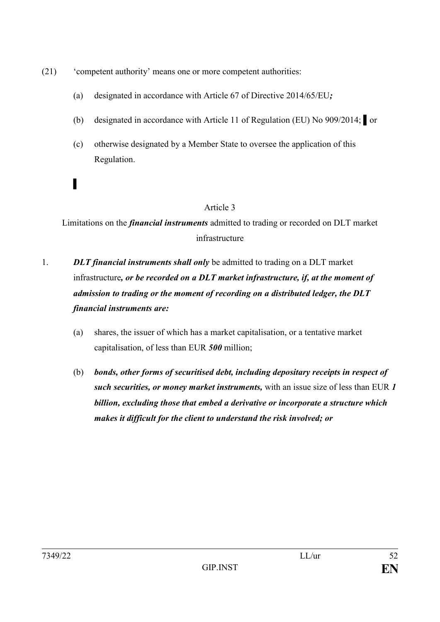- (21) 'competent authority' means one or more competent authorities:
	- (a) designated in accordance with Article 67 of Directive 2014/65/EU*;*
	- (b) designated in accordance with Article 11 of Regulation (EU) No 909/2014; ▌or
	- (c) otherwise designated by a Member State to oversee the application of this Regulation.

Limitations on the *financial instruments* admitted to trading or recorded on DLT market infrastructure

- 1. *DLT financial instruments shall only* be admitted to trading on a DLT market infrastructure*, or be recorded on a DLT market infrastructure, if, at the moment of admission to trading or the moment of recording on a distributed ledger, the DLT financial instruments are:*
	- (a) shares, the issuer of which has a market capitalisation, or a tentative market capitalisation, of less than EUR *500* million;
	- (b) *bonds, other forms of securitised debt, including depositary receipts in respect of such securities, or money market instruments,* with an issue size of less than EUR *1 billion, excluding those that embed a derivative or incorporate a structure which makes it difficult for the client to understand the risk involved; or*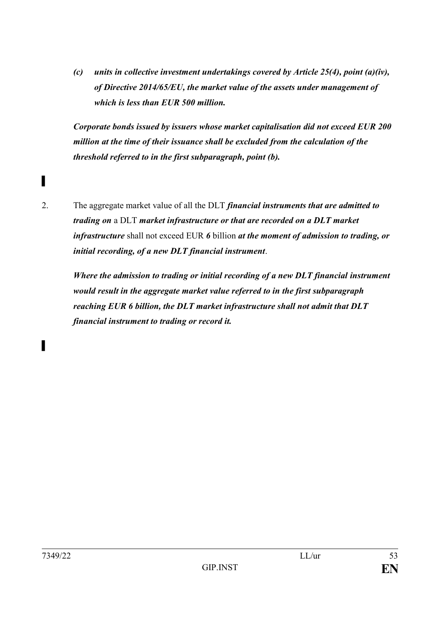*(c) units in collective investment undertakings covered by Article 25(4), point (a)(iv), of Directive 2014/65/EU, the market value of the assets under management of which is less than EUR 500 million.*

*Corporate bonds issued by issuers whose market capitalisation did not exceed EUR 200 million at the time of their issuance shall be excluded from the calculation of the threshold referred to in the first subparagraph, point (b).*

▌

*▌*

2. The aggregate market value of all the DLT *financial instruments that are admitted to trading on* a DLT *market infrastructure or that are recorded on a DLT market infrastructure* shall not exceed EUR *6* billion *at the moment of admission to trading, or initial recording, of a new DLT financial instrument*.

*Where the admission to trading or initial recording of a new DLT financial instrument would result in the aggregate market value referred to in the first subparagraph reaching EUR 6 billion, the DLT market infrastructure shall not admit that DLT financial instrument to trading or record it.*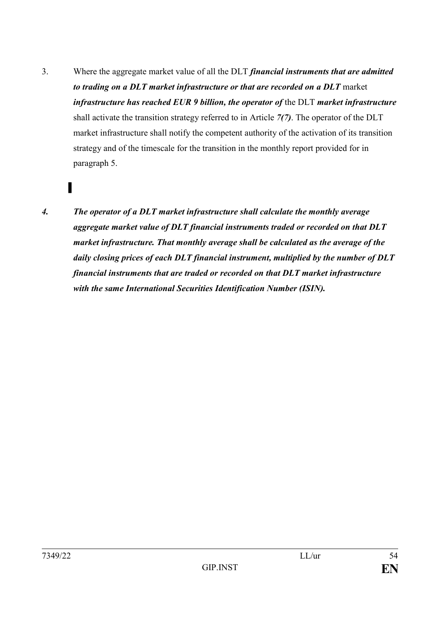3. Where the aggregate market value of all the DLT *financial instruments that are admitted to trading on a DLT market infrastructure or that are recorded on a DLT* market *infrastructure has reached EUR 9 billion, the operator of* the DLT *market infrastructure* shall activate the transition strategy referred to in Article *7(7)*. The operator of the DLT market infrastructure shall notify the competent authority of the activation of its transition strategy and of the timescale for the transition in the monthly report provided for in paragraph 5.

▌

*4. The operator of a DLT market infrastructure shall calculate the monthly average aggregate market value of DLT financial instruments traded or recorded on that DLT market infrastructure. That monthly average shall be calculated as the average of the daily closing prices of each DLT financial instrument, multiplied by the number of DLT financial instruments that are traded or recorded on that DLT market infrastructure with the same International Securities Identification Number (ISIN).*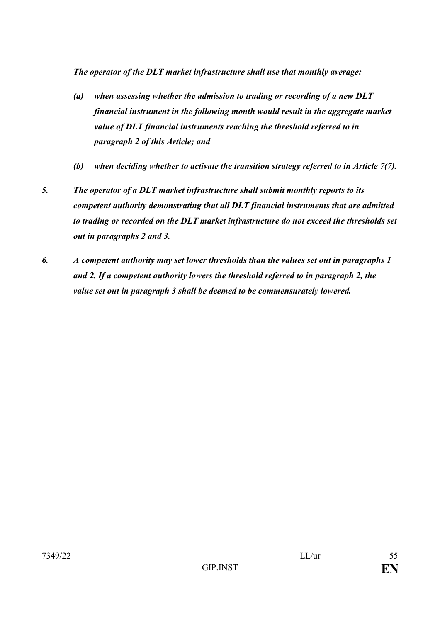*The operator of the DLT market infrastructure shall use that monthly average:*

- *(a) when assessing whether the admission to trading or recording of a new DLT financial instrument in the following month would result in the aggregate market value of DLT financial instruments reaching the threshold referred to in paragraph 2 of this Article; and*
- *(b) when deciding whether to activate the transition strategy referred to in Article 7(7).*
- *5. The operator of a DLT market infrastructure shall submit monthly reports to its competent authority demonstrating that all DLT financial instruments that are admitted to trading or recorded on the DLT market infrastructure do not exceed the thresholds set out in paragraphs 2 and 3.*
- *6. A competent authority may set lower thresholds than the values set out in paragraphs 1 and 2. If a competent authority lowers the threshold referred to in paragraph 2, the value set out in paragraph 3 shall be deemed to be commensurately lowered.*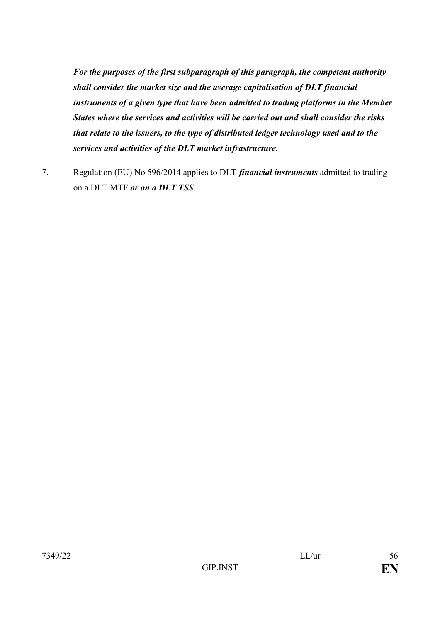*For the purposes of the first subparagraph of this paragraph, the competent authority shall consider the market size and the average capitalisation of DLT financial instruments of a given type that have been admitted to trading platforms in the Member States where the services and activities will be carried out and shall consider the risks that relate to the issuers, to the type of distributed ledger technology used and to the services and activities of the DLT market infrastructure.*

7. Regulation (EU) No 596/2014 applies to DLT *financial instruments* admitted to trading on a DLT MTF *or on a DLT TSS*.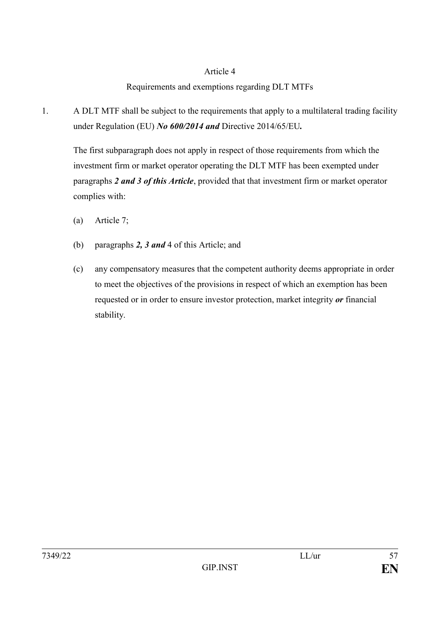### Requirements and exemptions regarding DLT MTFs

1. A DLT MTF shall be subject to the requirements that apply to a multilateral trading facility under Regulation (EU) *No 600/2014 and* Directive 2014/65/EU*.*

The first subparagraph does not apply in respect of those requirements from which the investment firm or market operator operating the DLT MTF has been exempted under paragraphs *2 and 3 of this Article*, provided that that investment firm or market operator complies with:

- (a) Article 7;
- (b) paragraphs *2, 3 and* 4 of this Article; and
- (c) any compensatory measures that the competent authority deems appropriate in order to meet the objectives of the provisions in respect of which an exemption has been requested or in order to ensure investor protection, market integrity *or* financial stability.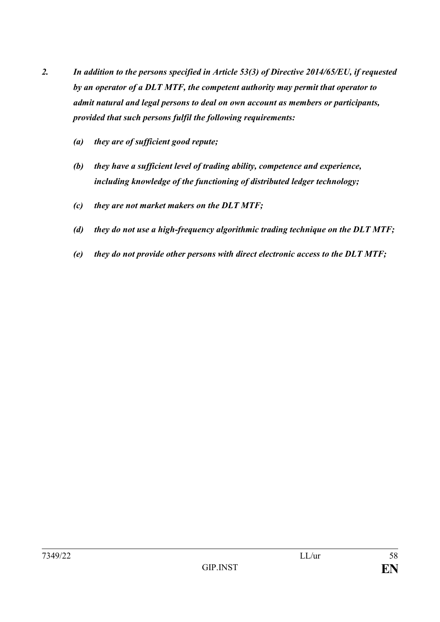- *2. In addition to the persons specified in Article 53(3) of Directive 2014/65/EU, if requested by an operator of a DLT MTF, the competent authority may permit that operator to admit natural and legal persons to deal on own account as members or participants, provided that such persons fulfil the following requirements:* 
	- *(a) they are of sufficient good repute;*
	- *(b) they have a sufficient level of trading ability, competence and experience, including knowledge of the functioning of distributed ledger technology;*
	- *(c) they are not market makers on the DLT MTF;*
	- *(d) they do not use a high-frequency algorithmic trading technique on the DLT MTF;*
	- *(e) they do not provide other persons with direct electronic access to the DLT MTF;*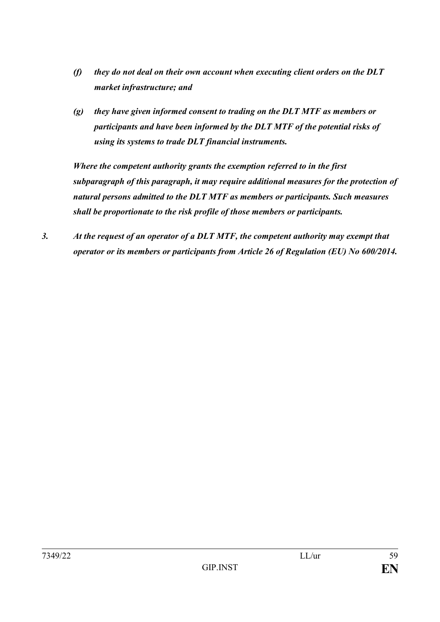- *(f) they do not deal on their own account when executing client orders on the DLT market infrastructure; and*
- *(g) they have given informed consent to trading on the DLT MTF as members or participants and have been informed by the DLT MTF of the potential risks of using its systems to trade DLT financial instruments.*

*Where the competent authority grants the exemption referred to in the first subparagraph of this paragraph, it may require additional measures for the protection of natural persons admitted to the DLT MTF as members or participants. Such measures shall be proportionate to the risk profile of those members or participants.*

*3. At the request of an operator of a DLT MTF, the competent authority may exempt that operator or its members or participants from Article 26 of Regulation (EU) No 600/2014.*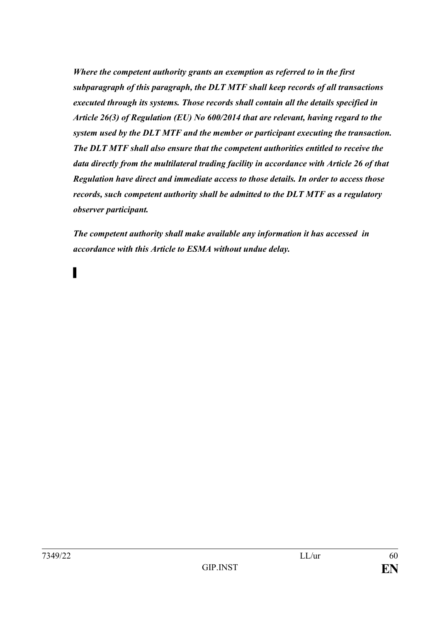*Where the competent authority grants an exemption as referred to in the first subparagraph of this paragraph, the DLT MTF shall keep records of all transactions executed through its systems. Those records shall contain all the details specified in Article 26(3) of Regulation (EU) No 600/2014 that are relevant, having regard to the system used by the DLT MTF and the member or participant executing the transaction. The DLT MTF shall also ensure that the competent authorities entitled to receive the data directly from the multilateral trading facility in accordance with Article 26 of that Regulation have direct and immediate access to those details. In order to access those records, such competent authority shall be admitted to the DLT MTF as a regulatory observer participant.* 

*The competent authority shall make available any information it has accessed in accordance with this Article to ESMA without undue delay.*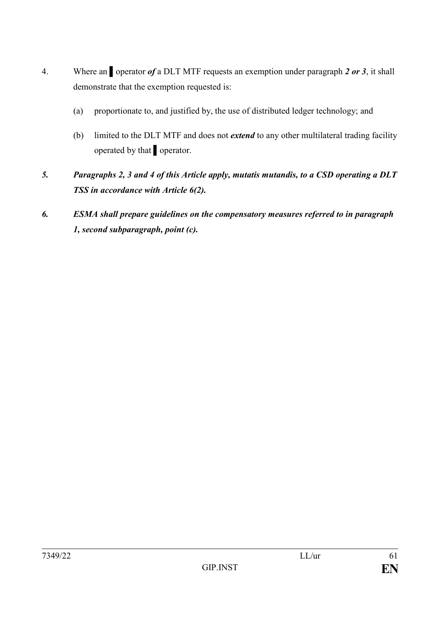- 4. Where an **operator of** a DLT MTF requests an exemption under paragraph 2 or 3, it shall demonstrate that the exemption requested is:
	- (a) proportionate to, and justified by, the use of distributed ledger technology; and
	- (b) limited to the DLT MTF and does not *extend* to any other multilateral trading facility operated by that ▌operator.
- *5. Paragraphs 2, 3 and 4 of this Article apply, mutatis mutandis, to a CSD operating a DLT TSS in accordance with Article 6(2).*
- *6. ESMA shall prepare guidelines on the compensatory measures referred to in paragraph 1, second subparagraph, point (c).*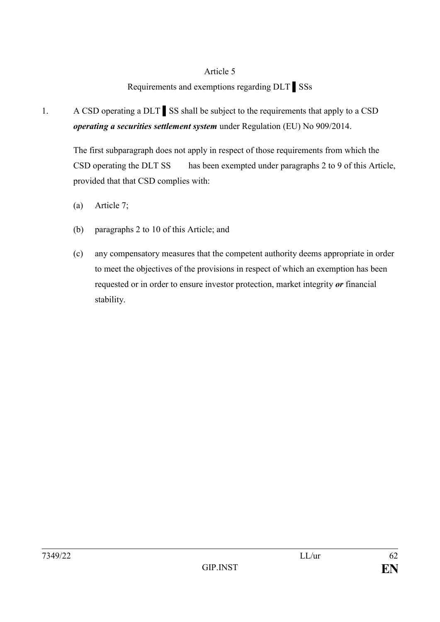## Requirements and exemptions regarding DLT ▌SSs

# 1. A CSD operating a DLT ▌SS shall be subject to the requirements that apply to a CSD *operating a securities settlement system* under Regulation (EU) No 909/2014.

The first subparagraph does not apply in respect of those requirements from which the CSD operating the DLT SS has been exempted under paragraphs 2 to 9 of this Article, provided that that CSD complies with:

- (a) Article 7;
- (b) paragraphs 2 to 10 of this Article; and
- (c) any compensatory measures that the competent authority deems appropriate in order to meet the objectives of the provisions in respect of which an exemption has been requested or in order to ensure investor protection, market integrity *or* financial stability.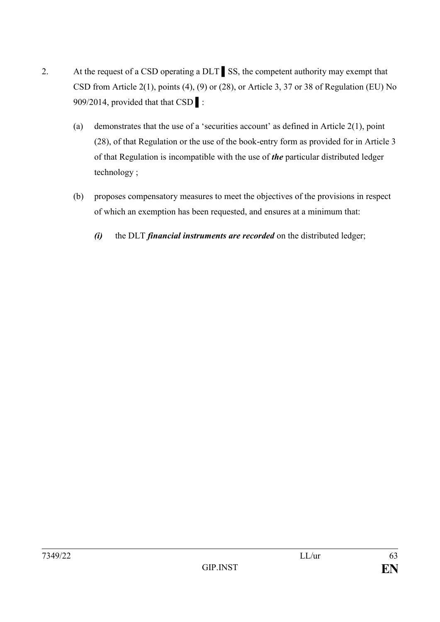- 2. At the request of a CSD operating a DLT SS, the competent authority may exempt that CSD from Article 2(1), points (4), (9) or (28), or Article 3, 37 or 38 of Regulation (EU) No 909/2014, provided that that CSD  $\blacksquare$ :
	- (a) demonstrates that the use of a 'securities account' as defined in Article 2(1), point (28), of that Regulation or the use of the book-entry form as provided for in Article 3 of that Regulation is incompatible with the use of *the* particular distributed ledger technology ;
	- (b) proposes compensatory measures to meet the objectives of the provisions in respect of which an exemption has been requested, and ensures at a minimum that:
		- *(i)* the DLT *financial instruments are recorded* on the distributed ledger;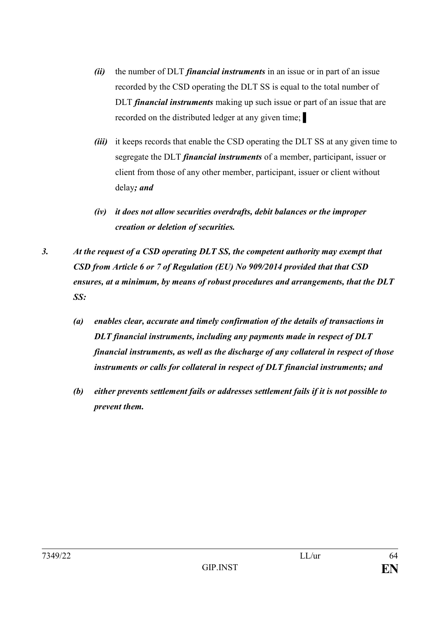- *(ii)* the number of DLT *financial instruments* in an issue or in part of an issue recorded by the CSD operating the DLT SS is equal to the total number of DLT *financial instruments* making up such issue or part of an issue that are recorded on the distributed ledger at any given time; ▌
- *(iii)* it keeps records that enable the CSD operating the DLT SS at any given time to segregate the DLT *financial instruments* of a member, participant, issuer or client from those of any other member, participant, issuer or client without delay*; and*
- *(iv) it does not allow securities overdrafts, debit balances or the improper creation or deletion of securities.*
- *3. At the request of a CSD operating DLT SS, the competent authority may exempt that CSD from Article 6 or 7 of Regulation (EU) No 909/2014 provided that that CSD ensures, at a minimum, by means of robust procedures and arrangements, that the DLT SS:*
	- *(a) enables clear, accurate and timely confirmation of the details of transactions in DLT financial instruments, including any payments made in respect of DLT financial instruments, as well as the discharge of any collateral in respect of those instruments or calls for collateral in respect of DLT financial instruments; and*
	- *(b) either prevents settlement fails or addresses settlement fails if it is not possible to prevent them.*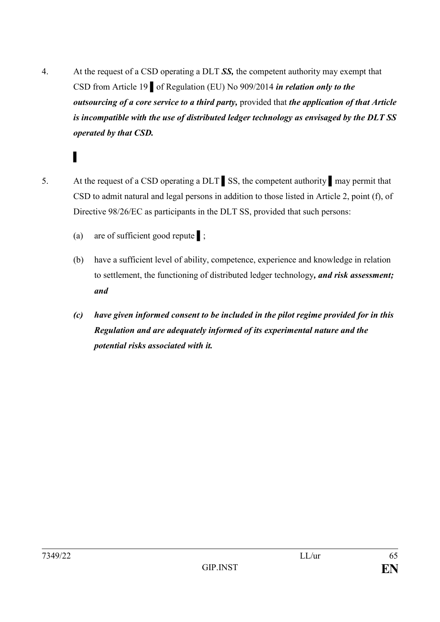- 4. At the request of a CSD operating a DLT *SS,* the competent authority may exempt that CSD from Article 19 ▌of Regulation (EU) No 909/2014 *in relation only to the outsourcing of a core service to a third party,* provided that *the application of that Article is incompatible with the use of distributed ledger technology as envisaged by the DLT SS operated by that CSD.*
- 

- 5. At the request of a CSD operating a DLT SS, the competent authority may permit that CSD to admit natural and legal persons in addition to those listed in Article 2, point (f), of Directive 98/26/EC as participants in the DLT SS, provided that such persons:
	- (a) are of sufficient good repute ▌;
	- (b) have a sufficient level of ability, competence, experience and knowledge in relation to settlement, the functioning of distributed ledger technology*, and risk assessment; and*
	- *(c) have given informed consent to be included in the pilot regime provided for in this Regulation and are adequately informed of its experimental nature and the potential risks associated with it.*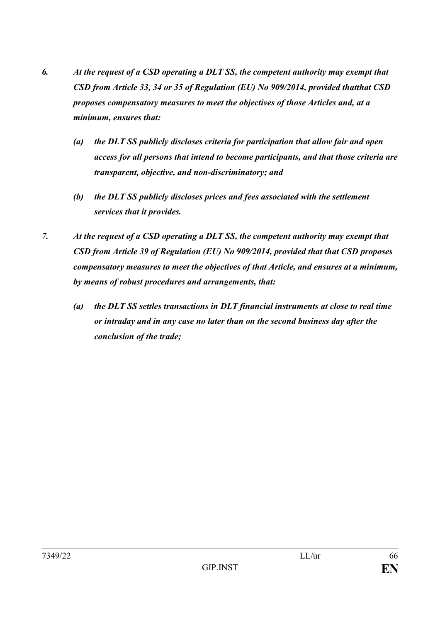- *6. At the request of a CSD operating a DLT SS, the competent authority may exempt that CSD from Article 33, 34 or 35 of Regulation (EU) No 909/2014, provided thatthat CSD proposes compensatory measures to meet the objectives of those Articles and, at a minimum, ensures that:*
	- *(a) the DLT SS publicly discloses criteria for participation that allow fair and open access for all persons that intend to become participants, and that those criteria are transparent, objective, and non-discriminatory; and*
	- *(b) the DLT SS publicly discloses prices and fees associated with the settlement services that it provides.*
- *7. At the request of a CSD operating a DLT SS, the competent authority may exempt that CSD from Article 39 of Regulation (EU) No 909/2014, provided that that CSD proposes compensatory measures to meet the objectives of that Article, and ensures at a minimum, by means of robust procedures and arrangements, that:* 
	- *(a) the DLT SS settles transactions in DLT financial instruments at close to real time or intraday and in any case no later than on the second business day after the conclusion of the trade;*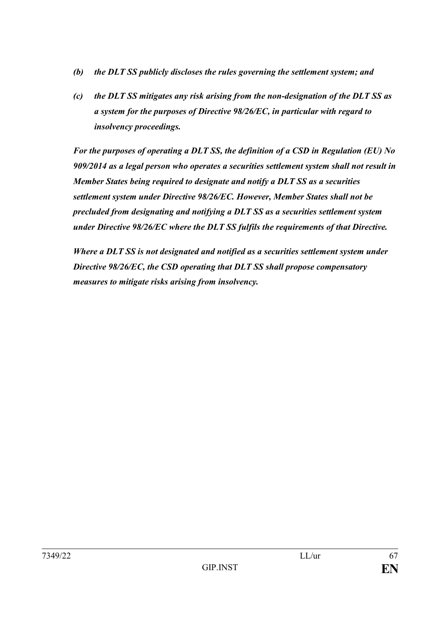- *(b) the DLT SS publicly discloses the rules governing the settlement system; and*
- *(c) the DLT SS mitigates any risk arising from the non-designation of the DLT SS as a system for the purposes of Directive 98/26/EC, in particular with regard to insolvency proceedings.*

*For the purposes of operating a DLT SS, the definition of a CSD in Regulation (EU) No 909/2014 as a legal person who operates a securities settlement system shall not result in Member States being required to designate and notify a DLT SS as a securities settlement system under Directive 98/26/EC. However, Member States shall not be precluded from designating and notifying a DLT SS as a securities settlement system under Directive 98/26/EC where the DLT SS fulfils the requirements of that Directive.*

*Where a DLT SS is not designated and notified as a securities settlement system under Directive 98/26/EC, the CSD operating that DLT SS shall propose compensatory measures to mitigate risks arising from insolvency.*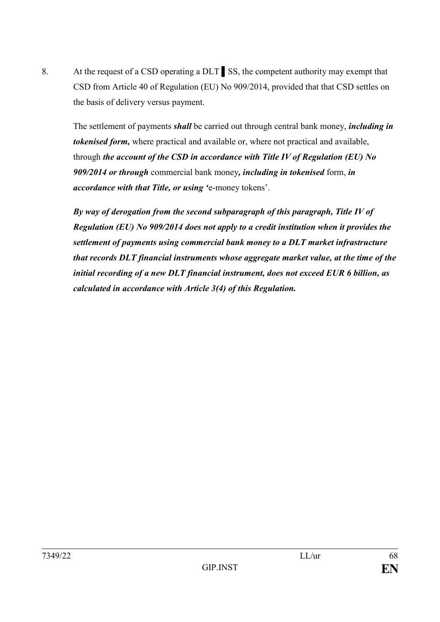8. At the request of a CSD operating a DLT ▌SS, the competent authority may exempt that CSD from Article 40 of Regulation (EU) No 909/2014, provided that that CSD settles on the basis of delivery versus payment.

The settlement of payments *shall* be carried out through central bank money, *including in tokenised form,* where practical and available or, where not practical and available, through *the account of the CSD in accordance with Title IV of Regulation (EU) No 909/2014 or through* commercial bank money*, including in tokenised* form, *in accordance with that Title, or using '*e-money tokens'.

*By way of derogation from the second subparagraph of this paragraph, Title IV of Regulation (EU) No 909/2014 does not apply to a credit institution when it provides the settlement of payments using commercial bank money to a DLT market infrastructure that records DLT financial instruments whose aggregate market value, at the time of the initial recording of a new DLT financial instrument, does not exceed EUR 6 billion, as calculated in accordance with Article 3(4) of this Regulation.*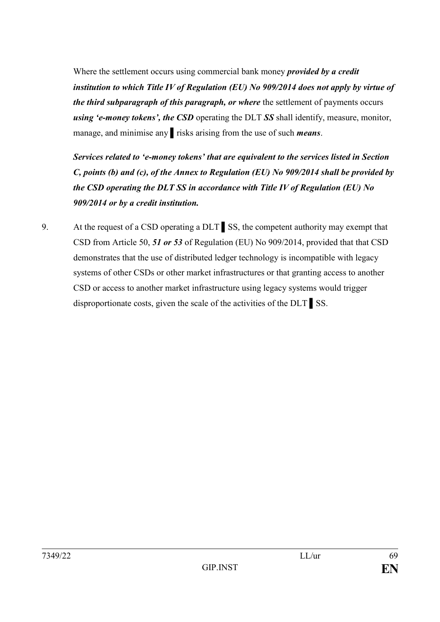Where the settlement occurs using commercial bank money *provided by a credit institution to which Title IV of Regulation (EU) No 909/2014 does not apply by virtue of the third subparagraph of this paragraph, or where* the settlement of payments occurs *using 'e-money tokens', the CSD* operating the DLT *SS* shall identify, measure, monitor, manage, and minimise any ▌risks arising from the use of such *means*.

*Services related to 'e-money tokens' that are equivalent to the services listed in Section C, points (b) and (c), of the Annex to Regulation (EU) No 909/2014 shall be provided by the CSD operating the DLT SS in accordance with Title IV of Regulation (EU) No 909/2014 or by a credit institution.*

9. At the request of a CSD operating a DLT SS, the competent authority may exempt that CSD from Article 50, *51 or 53* of Regulation (EU) No 909/2014, provided that that CSD demonstrates that the use of distributed ledger technology is incompatible with legacy systems of other CSDs or other market infrastructures or that granting access to another CSD or access to another market infrastructure using legacy systems would trigger disproportionate costs, given the scale of the activities of the DLT ▌SS.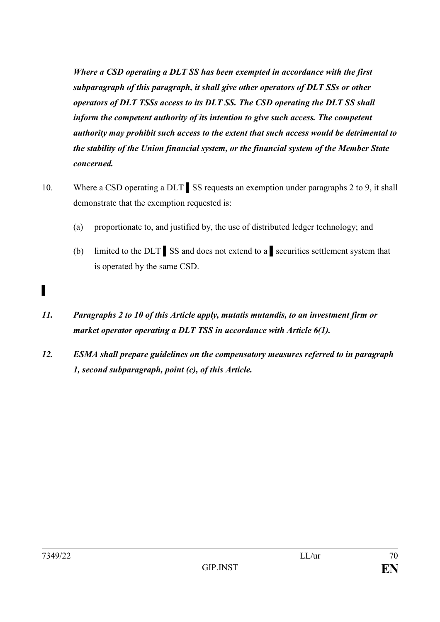*Where a CSD operating a DLT SS has been exempted in accordance with the first subparagraph of this paragraph, it shall give other operators of DLT SSs or other operators of DLT TSSs access to its DLT SS. The CSD operating the DLT SS shall inform the competent authority of its intention to give such access. The competent authority may prohibit such access to the extent that such access would be detrimental to the stability of the Union financial system, or the financial system of the Member State concerned.*

- 10. Where a CSD operating a DLT SS requests an exemption under paragraphs 2 to 9, it shall demonstrate that the exemption requested is:
	- (a) proportionate to, and justified by, the use of distributed ledger technology; and
	- (b) limited to the DLT ▌SS and does not extend to a ▌securities settlement system that is operated by the same CSD.
- *11. Paragraphs 2 to 10 of this Article apply, mutatis mutandis, to an investment firm or market operator operating a DLT TSS in accordance with Article 6(1).*
- *12. ESMA shall prepare guidelines on the compensatory measures referred to in paragraph 1, second subparagraph, point (c), of this Article.*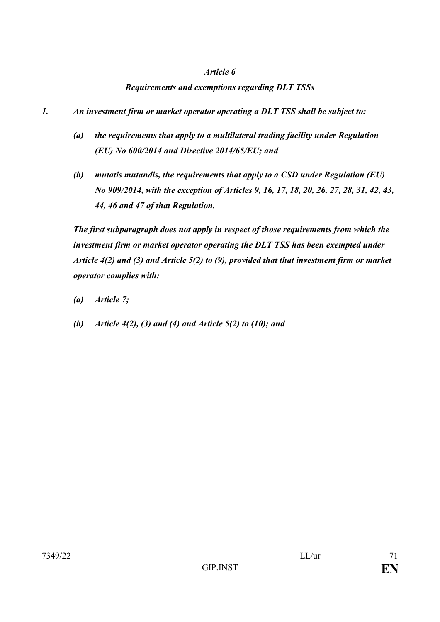#### *Requirements and exemptions regarding DLT TSSs*

- *1. An investment firm or market operator operating a DLT TSS shall be subject to:*
	- *(a) the requirements that apply to a multilateral trading facility under Regulation (EU) No 600/2014 and Directive 2014/65/EU; and*
	- *(b) mutatis mutandis, the requirements that apply to a CSD under Regulation (EU) No 909/2014, with the exception of Articles 9, 16, 17, 18, 20, 26, 27, 28, 31, 42, 43, 44, 46 and 47 of that Regulation.*

*The first subparagraph does not apply in respect of those requirements from which the investment firm or market operator operating the DLT TSS has been exempted under Article 4(2) and (3) and Article 5(2) to (9), provided that that investment firm or market operator complies with:*

- *(a) Article 7;*
- *(b) Article 4(2), (3) and (4) and Article 5(2) to (10); and*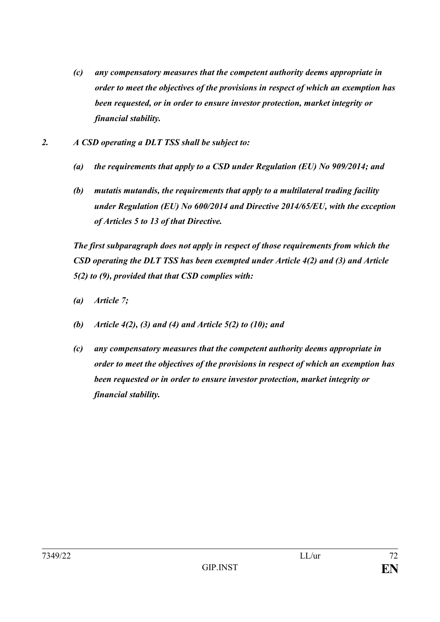- *(c) any compensatory measures that the competent authority deems appropriate in order to meet the objectives of the provisions in respect of which an exemption has been requested, or in order to ensure investor protection, market integrity or financial stability.*
- *2. A CSD operating a DLT TSS shall be subject to:* 
	- *(a) the requirements that apply to a CSD under Regulation (EU) No 909/2014; and*
	- *(b) mutatis mutandis, the requirements that apply to a multilateral trading facility under Regulation (EU) No 600/2014 and Directive 2014/65/EU, with the exception of Articles 5 to 13 of that Directive.*

*The first subparagraph does not apply in respect of those requirements from which the CSD operating the DLT TSS has been exempted under Article 4(2) and (3) and Article 5(2) to (9), provided that that CSD complies with:* 

- *(a) Article 7;*
- *(b) Article 4(2), (3) and (4) and Article 5(2) to (10); and*
- *(c) any compensatory measures that the competent authority deems appropriate in order to meet the objectives of the provisions in respect of which an exemption has been requested or in order to ensure investor protection, market integrity or financial stability.*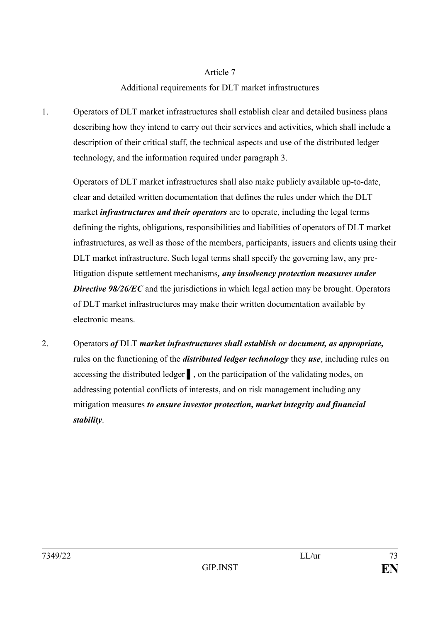## Article 7

## Additional requirements for DLT market infrastructures

1. Operators of DLT market infrastructures shall establish clear and detailed business plans describing how they intend to carry out their services and activities, which shall include a description of their critical staff, the technical aspects and use of the distributed ledger technology, and the information required under paragraph 3.

Operators of DLT market infrastructures shall also make publicly available up-to-date, clear and detailed written documentation that defines the rules under which the DLT market *infrastructures and their operators* are to operate, including the legal terms defining the rights, obligations, responsibilities and liabilities of operators of DLT market infrastructures, as well as those of the members, participants, issuers and clients using their DLT market infrastructure. Such legal terms shall specify the governing law, any prelitigation dispute settlement mechanisms*, any insolvency protection measures under*  **Directive 98/26/EC** and the jurisdictions in which legal action may be brought. Operators of DLT market infrastructures may make their written documentation available by electronic means.

2. Operators *of* DLT *market infrastructures shall establish or document, as appropriate,*  rules on the functioning of the *distributed ledger technology* they *use*, including rules on accessing the distributed ledger ▌, on the participation of the validating nodes, on addressing potential conflicts of interests, and on risk management including any mitigation measures *to ensure investor protection, market integrity and financial stability*.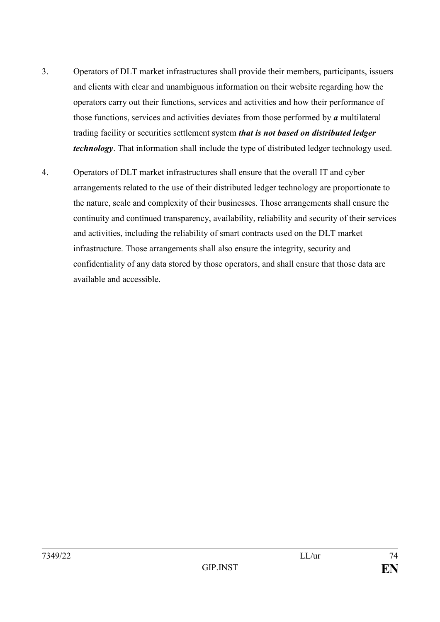- 3. Operators of DLT market infrastructures shall provide their members, participants, issuers and clients with clear and unambiguous information on their website regarding how the operators carry out their functions, services and activities and how their performance of those functions, services and activities deviates from those performed by *a* multilateral trading facility or securities settlement system *that is not based on distributed ledger technology*. That information shall include the type of distributed ledger technology used.
- 4. Operators of DLT market infrastructures shall ensure that the overall IT and cyber arrangements related to the use of their distributed ledger technology are proportionate to the nature, scale and complexity of their businesses. Those arrangements shall ensure the continuity and continued transparency, availability, reliability and security of their services and activities, including the reliability of smart contracts used on the DLT market infrastructure. Those arrangements shall also ensure the integrity, security and confidentiality of any data stored by those operators, and shall ensure that those data are available and accessible.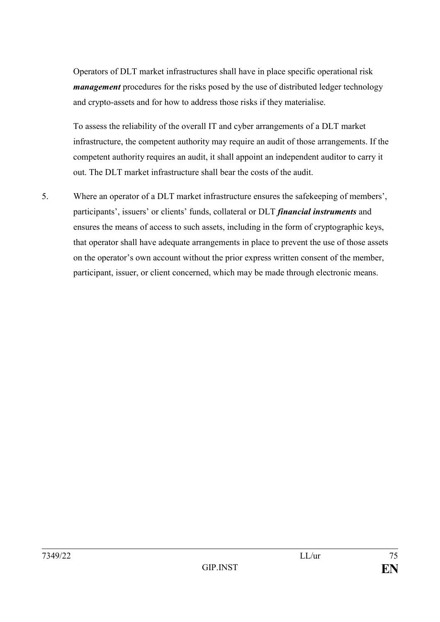Operators of DLT market infrastructures shall have in place specific operational risk *management* procedures for the risks posed by the use of distributed ledger technology and crypto-assets and for how to address those risks if they materialise.

To assess the reliability of the overall IT and cyber arrangements of a DLT market infrastructure, the competent authority may require an audit of those arrangements. If the competent authority requires an audit, it shall appoint an independent auditor to carry it out. The DLT market infrastructure shall bear the costs of the audit.

5. Where an operator of a DLT market infrastructure ensures the safekeeping of members', participants', issuers' or clients' funds, collateral or DLT *financial instruments* and ensures the means of access to such assets, including in the form of cryptographic keys, that operator shall have adequate arrangements in place to prevent the use of those assets on the operator's own account without the prior express written consent of the member, participant, issuer, or client concerned, which may be made through electronic means.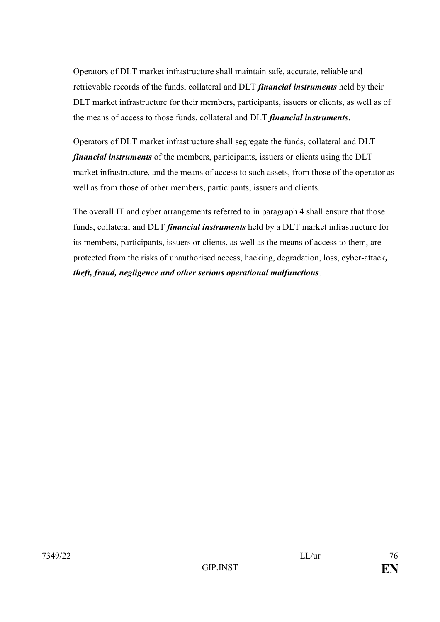Operators of DLT market infrastructure shall maintain safe, accurate, reliable and retrievable records of the funds, collateral and DLT *financial instruments* held by their DLT market infrastructure for their members, participants, issuers or clients, as well as of the means of access to those funds, collateral and DLT *financial instruments*.

Operators of DLT market infrastructure shall segregate the funds, collateral and DLT *financial instruments* of the members, participants, issuers or clients using the DLT market infrastructure, and the means of access to such assets, from those of the operator as well as from those of other members, participants, issuers and clients.

The overall IT and cyber arrangements referred to in paragraph 4 shall ensure that those funds, collateral and DLT *financial instruments* held by a DLT market infrastructure for its members, participants, issuers or clients, as well as the means of access to them, are protected from the risks of unauthorised access, hacking, degradation, loss, cyber-attack*, theft, fraud, negligence and other serious operational malfunctions*.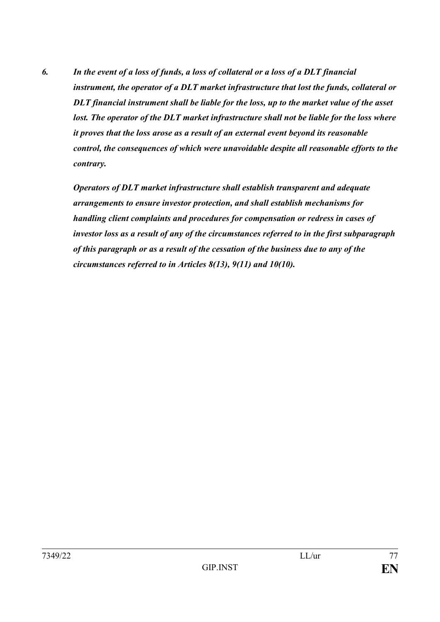*6. In the event of a loss of funds, a loss of collateral or a loss of a DLT financial instrument, the operator of a DLT market infrastructure that lost the funds, collateral or DLT financial instrument shall be liable for the loss, up to the market value of the asset*  lost. The operator of the DLT market infrastructure shall not be liable for the loss where *it proves that the loss arose as a result of an external event beyond its reasonable control, the consequences of which were unavoidable despite all reasonable efforts to the contrary.*

*Operators of DLT market infrastructure shall establish transparent and adequate arrangements to ensure investor protection, and shall establish mechanisms for handling client complaints and procedures for compensation or redress in cases of investor loss as a result of any of the circumstances referred to in the first subparagraph of this paragraph or as a result of the cessation of the business due to any of the circumstances referred to in Articles 8(13), 9(11) and 10(10).*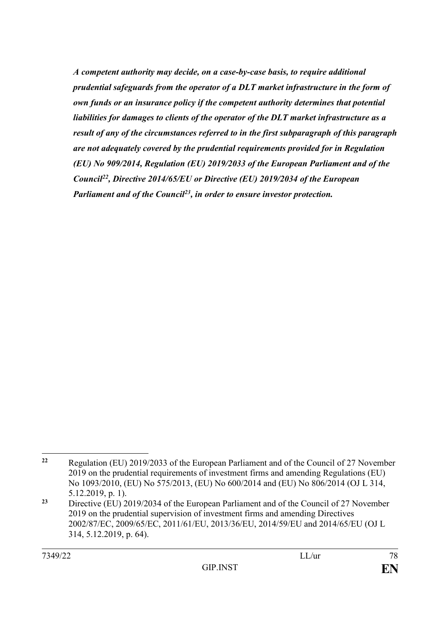*A competent authority may decide, on a case-by-case basis, to require additional prudential safeguards from the operator of a DLT market infrastructure in the form of own funds or an insurance policy if the competent authority determines that potential liabilities for damages to clients of the operator of the DLT market infrastructure as a result of any of the circumstances referred to in the first subparagraph of this paragraph are not adequately covered by the prudential requirements provided for in Regulation (EU) No 909/2014, Regulation (EU) 2019/2033 of the European Parliament and of the Council<sup>22</sup>, Directive 2014/65/EU or Directive (EU) 2019/2034 of the European Parliament and of the Council<sup>23</sup>, in order to ensure investor protection.*

<sup>1</sup> **<sup>22</sup>** Regulation (EU) 2019/2033 of the European Parliament and of the Council of 27 November 2019 on the prudential requirements of investment firms and amending Regulations (EU) No 1093/2010, (EU) No 575/2013, (EU) No 600/2014 and (EU) No 806/2014 (OJ L 314, 5.12.2019, p. 1).

**<sup>23</sup>** Directive (EU) 2019/2034 of the European Parliament and of the Council of 27 November 2019 on the prudential supervision of investment firms and amending Directives 2002/87/EC, 2009/65/EC, 2011/61/EU, 2013/36/EU, 2014/59/EU and 2014/65/EU (OJ L 314, 5.12.2019, p. 64).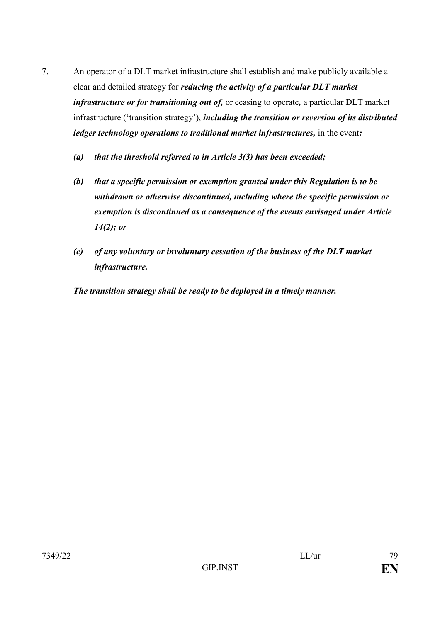- 7. An operator of a DLT market infrastructure shall establish and make publicly available a clear and detailed strategy for *reducing the activity of a particular DLT market infrastructure or for transitioning out of,* or ceasing to operate*,* a particular DLT market infrastructure ('transition strategy'), *including the transition or reversion of its distributed ledger technology operations to traditional market infrastructures,* in the event*:*
	- *(a) that the threshold referred to in Article 3(3) has been exceeded;*
	- *(b) that a specific permission or exemption granted under this Regulation is to be withdrawn or otherwise discontinued, including where the specific permission or exemption is discontinued as a consequence of the events envisaged under Article 14(2); or*
	- *(c) of any voluntary or involuntary cessation of the business of the DLT market infrastructure.*

*The transition strategy shall be ready to be deployed in a timely manner.*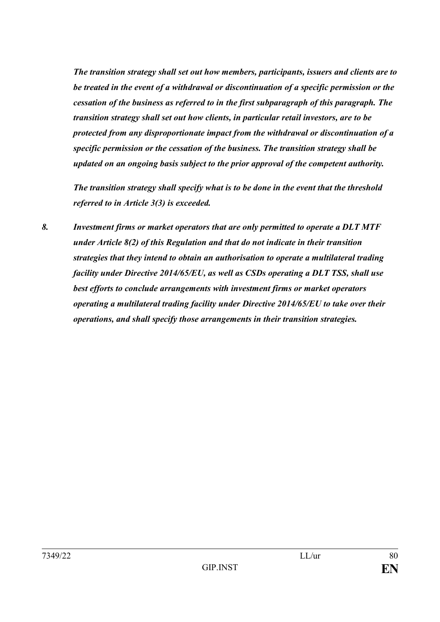*The transition strategy shall set out how members, participants, issuers and clients are to be treated in the event of a withdrawal or discontinuation of a specific permission or the cessation of the business as referred to in the first subparagraph of this paragraph. The transition strategy shall set out how clients, in particular retail investors, are to be protected from any disproportionate impact from the withdrawal or discontinuation of a specific permission or the cessation of the business. The transition strategy shall be updated on an ongoing basis subject to the prior approval of the competent authority.*

*The transition strategy shall specify what is to be done in the event that the threshold referred to in Article 3(3) is exceeded.*

*8. Investment firms or market operators that are only permitted to operate a DLT MTF under Article 8(2) of this Regulation and that do not indicate in their transition strategies that they intend to obtain an authorisation to operate a multilateral trading facility under Directive 2014/65/EU, as well as CSDs operating a DLT TSS, shall use best efforts to conclude arrangements with investment firms or market operators operating a multilateral trading facility under Directive 2014/65/EU to take over their operations, and shall specify those arrangements in their transition strategies.*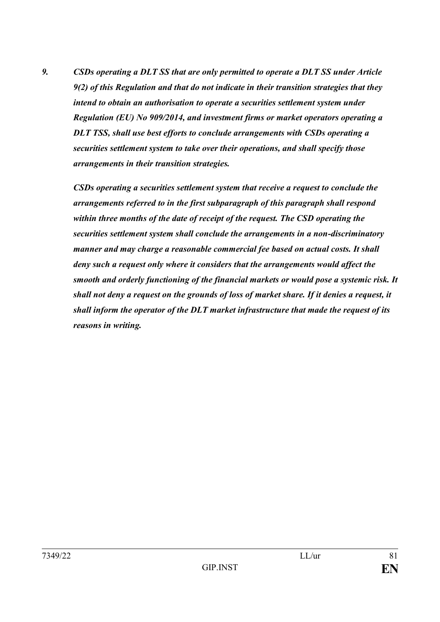*9. CSDs operating a DLT SS that are only permitted to operate a DLT SS under Article 9(2) of this Regulation and that do not indicate in their transition strategies that they intend to obtain an authorisation to operate a securities settlement system under Regulation (EU) No 909/2014, and investment firms or market operators operating a DLT TSS, shall use best efforts to conclude arrangements with CSDs operating a securities settlement system to take over their operations, and shall specify those arrangements in their transition strategies.*

*CSDs operating a securities settlement system that receive a request to conclude the arrangements referred to in the first subparagraph of this paragraph shall respond within three months of the date of receipt of the request. The CSD operating the securities settlement system shall conclude the arrangements in a non-discriminatory manner and may charge a reasonable commercial fee based on actual costs. It shall deny such a request only where it considers that the arrangements would affect the smooth and orderly functioning of the financial markets or would pose a systemic risk. It shall not deny a request on the grounds of loss of market share. If it denies a request, it shall inform the operator of the DLT market infrastructure that made the request of its reasons in writing.*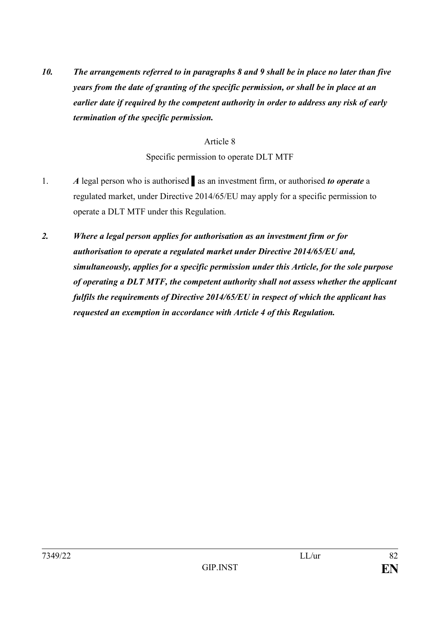*10. The arrangements referred to in paragraphs 8 and 9 shall be in place no later than five years from the date of granting of the specific permission, or shall be in place at an earlier date if required by the competent authority in order to address any risk of early termination of the specific permission.*

## Article 8

Specific permission to operate DLT MTF

- 1. *A* legal person who is authorised as an investment firm, or authorised *to operate* a regulated market, under Directive 2014/65/EU may apply for a specific permission to operate a DLT MTF under this Regulation.
- *2. Where a legal person applies for authorisation as an investment firm or for authorisation to operate a regulated market under Directive 2014/65/EU and, simultaneously, applies for a specific permission under this Article, for the sole purpose of operating a DLT MTF, the competent authority shall not assess whether the applicant fulfils the requirements of Directive 2014/65/EU in respect of which the applicant has requested an exemption in accordance with Article 4 of this Regulation.*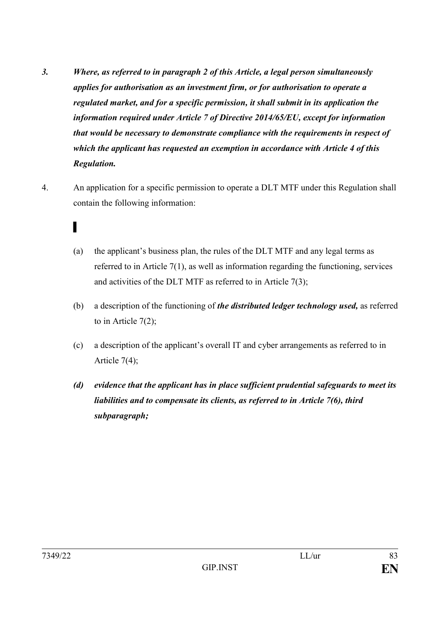- *3. Where, as referred to in paragraph 2 of this Article, a legal person simultaneously applies for authorisation as an investment firm, or for authorisation to operate a regulated market, and for a specific permission, it shall submit in its application the information required under Article 7 of Directive 2014/65/EU, except for information that would be necessary to demonstrate compliance with the requirements in respect of which the applicant has requested an exemption in accordance with Article 4 of this Regulation.*
- 4. An application for a specific permission to operate a DLT MTF under this Regulation shall contain the following information:
	- ▌
	- (a) the applicant's business plan, the rules of the DLT MTF and any legal terms as referred to in Article 7(1), as well as information regarding the functioning, services and activities of the DLT MTF as referred to in Article 7(3);
	- (b) a description of the functioning of *the distributed ledger technology used,* as referred to in Article 7(2);
	- (c) a description of the applicant's overall IT and cyber arrangements as referred to in Article 7(4);
	- *(d) evidence that the applicant has in place sufficient prudential safeguards to meet its liabilities and to compensate its clients, as referred to in Article 7(6), third subparagraph;*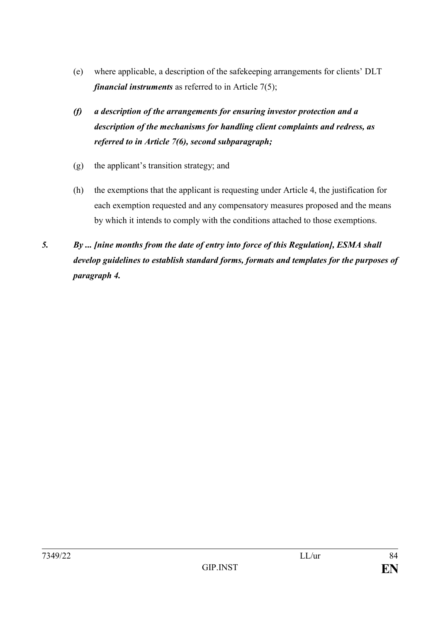- (e) where applicable, a description of the safekeeping arrangements for clients' DLT *financial instruments* as referred to in Article 7(5);
- *(f) a description of the arrangements for ensuring investor protection and a description of the mechanisms for handling client complaints and redress, as referred to in Article 7(6), second subparagraph;*
- (g) the applicant's transition strategy; and
- (h) the exemptions that the applicant is requesting under Article 4, the justification for each exemption requested and any compensatory measures proposed and the means by which it intends to comply with the conditions attached to those exemptions.
- *5. By ... [nine months from the date of entry into force of this Regulation], ESMA shall develop guidelines to establish standard forms, formats and templates for the purposes of paragraph 4.*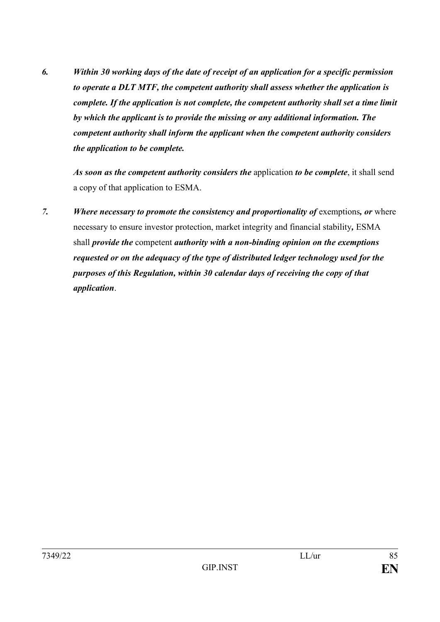*6. Within 30 working days of the date of receipt of an application for a specific permission to operate a DLT MTF, the competent authority shall assess whether the application is complete. If the application is not complete, the competent authority shall set a time limit by which the applicant is to provide the missing or any additional information. The competent authority shall inform the applicant when the competent authority considers the application to be complete.*

*As soon as the competent authority considers the* application *to be complete*, it shall send a copy of that application to ESMA.

*7. Where necessary to promote the consistency and proportionality of* exemptions*, or* where necessary to ensure investor protection, market integrity and financial stability*,* ESMA shall *provide the* competent *authority with a non-binding opinion on the exemptions requested or on the adequacy of the type of distributed ledger technology used for the purposes of this Regulation, within 30 calendar days of receiving the copy of that application*.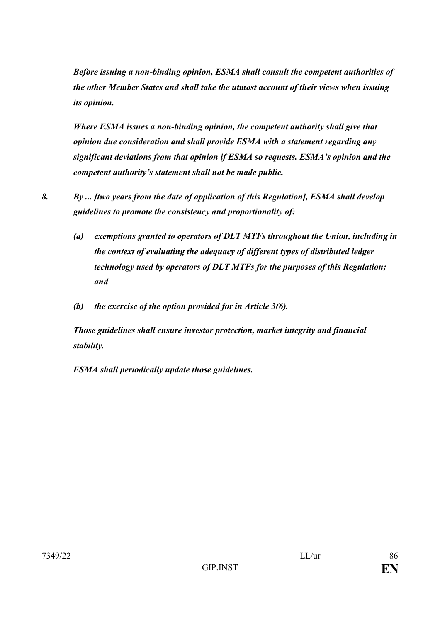*Before issuing a non-binding opinion, ESMA shall consult the competent authorities of the other Member States and shall take the utmost account of their views when issuing its opinion.*

*Where ESMA issues a non-binding opinion, the competent authority shall give that opinion due consideration and shall provide ESMA with a statement regarding any significant deviations from that opinion if ESMA so requests. ESMA's opinion and the competent authority's statement shall not be made public.*

- *8. By ... [two years from the date of application of this Regulation], ESMA shall develop guidelines to promote the consistency and proportionality of:*
	- *(a) exemptions granted to operators of DLT MTFs throughout the Union, including in the context of evaluating the adequacy of different types of distributed ledger technology used by operators of DLT MTFs for the purposes of this Regulation; and*
	- *(b) the exercise of the option provided for in Article 3(6).*

*Those guidelines shall ensure investor protection, market integrity and financial stability.* 

*ESMA shall periodically update those guidelines.*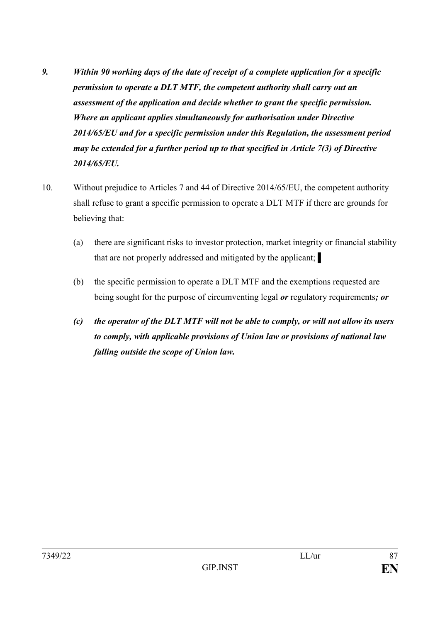- *9. Within 90 working days of the date of receipt of a complete application for a specific permission to operate a DLT MTF, the competent authority shall carry out an assessment of the application and decide whether to grant the specific permission. Where an applicant applies simultaneously for authorisation under Directive 2014/65/EU and for a specific permission under this Regulation, the assessment period may be extended for a further period up to that specified in Article 7(3) of Directive 2014/65/EU.*
- 10. Without prejudice to Articles 7 and 44 of Directive 2014/65/EU, the competent authority shall refuse to grant a specific permission to operate a DLT MTF if there are grounds for believing that:
	- (a) there are significant risks to investor protection, market integrity or financial stability that are not properly addressed and mitigated by the applicant; ▌
	- (b) the specific permission to operate a DLT MTF and the exemptions requested are being sought for the purpose of circumventing legal *or* regulatory requirements*; or*
	- *(c) the operator of the DLT MTF will not be able to comply, or will not allow its users to comply, with applicable provisions of Union law or provisions of national law falling outside the scope of Union law.*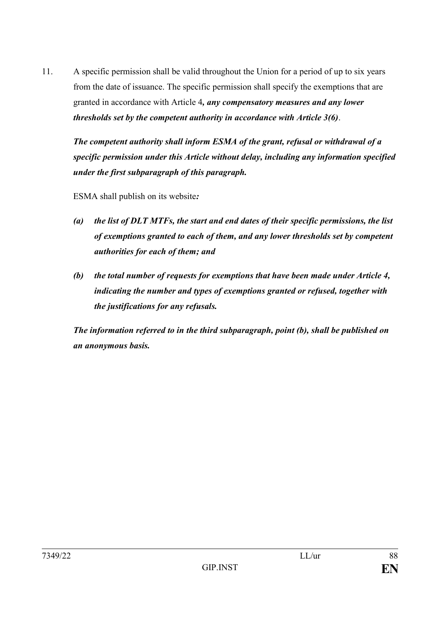11. A specific permission shall be valid throughout the Union for a period of up to six years from the date of issuance. The specific permission shall specify the exemptions that are granted in accordance with Article 4*, any compensatory measures and any lower thresholds set by the competent authority in accordance with Article 3(6)*.

*The competent authority shall inform ESMA of the grant, refusal or withdrawal of a specific permission under this Article without delay, including any information specified under the first subparagraph of this paragraph.*

ESMA shall publish on its website*:*

- *(a) the list of DLT MTFs, the start and end dates of their specific permissions, the list of exemptions granted to each of them, and any lower thresholds set by competent authorities for each of them; and*
- *(b) the total number of requests for exemptions that have been made under Article 4, indicating the number and types of exemptions granted or refused, together with the justifications for any refusals.*

*The information referred to in the third subparagraph, point (b), shall be published on an anonymous basis.*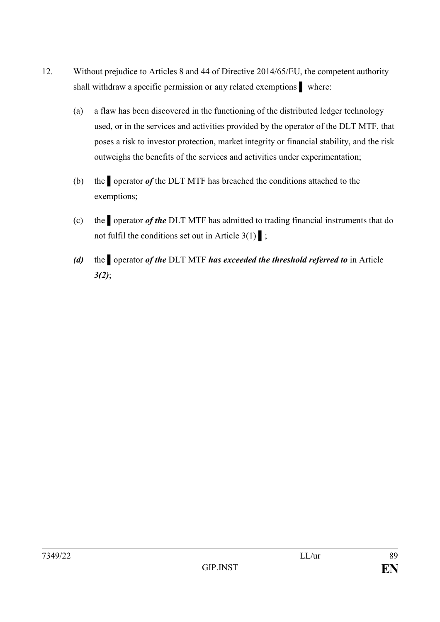- 12. Without prejudice to Articles 8 and 44 of Directive 2014/65/EU, the competent authority shall withdraw a specific permission or any related exemptions vehere:
	- (a) a flaw has been discovered in the functioning of the distributed ledger technology used, or in the services and activities provided by the operator of the DLT MTF, that poses a risk to investor protection, market integrity or financial stability, and the risk outweighs the benefits of the services and activities under experimentation;
	- (b) the ▌operator *of* the DLT MTF has breached the conditions attached to the exemptions;
	- (c) the ▌operator *of the* DLT MTF has admitted to trading financial instruments that do not fulfil the conditions set out in Article  $3(1)$  ;
	- *(d)* the ▌operator *of the* DLT MTF *has exceeded the threshold referred to* in Article *3(2)*;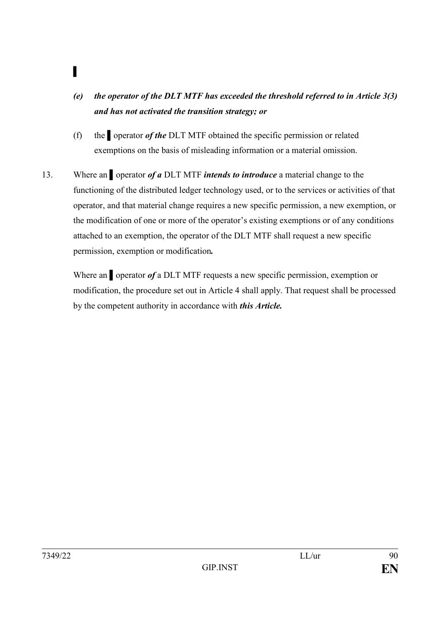- *(e) the operator of the DLT MTF has exceeded the threshold referred to in Article 3(3) and has not activated the transition strategy; or*
- (f) the ▌operator *of the* DLT MTF obtained the specific permission or related exemptions on the basis of misleading information or a material omission.
- 13. Where an ▌operator *of a* DLT MTF *intends to introduce* a material change to the functioning of the distributed ledger technology used, or to the services or activities of that operator, and that material change requires a new specific permission, a new exemption, or the modification of one or more of the operator's existing exemptions or of any conditions attached to an exemption, the operator of the DLT MTF shall request a new specific permission, exemption or modification*.*

Where an ▌operator *of* a DLT MTF requests a new specific permission, exemption or modification, the procedure set out in Article 4 shall apply. That request shall be processed by the competent authority in accordance with *this Article.* 

▌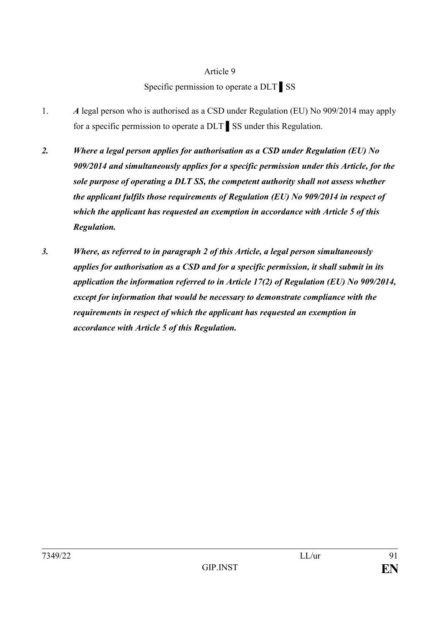## Article 9

Specific permission to operate a DLT ▌SS

- 1. *A* legal person who is authorised as a CSD under Regulation (EU) No 909/2014 may apply for a specific permission to operate a DLT ▌SS under this Regulation.
- *2. Where a legal person applies for authorisation as a CSD under Regulation (EU) No 909/2014 and simultaneously applies for a specific permission under this Article, for the sole purpose of operating a DLT SS, the competent authority shall not assess whether the applicant fulfils those requirements of Regulation (EU) No 909/2014 in respect of which the applicant has requested an exemption in accordance with Article 5 of this Regulation.*
- *3. Where, as referred to in paragraph 2 of this Article, a legal person simultaneously applies for authorisation as a CSD and for a specific permission, it shall submit in its application the information referred to in Article 17(2) of Regulation (EU) No 909/2014, except for information that would be necessary to demonstrate compliance with the requirements in respect of which the applicant has requested an exemption in accordance with Article 5 of this Regulation.*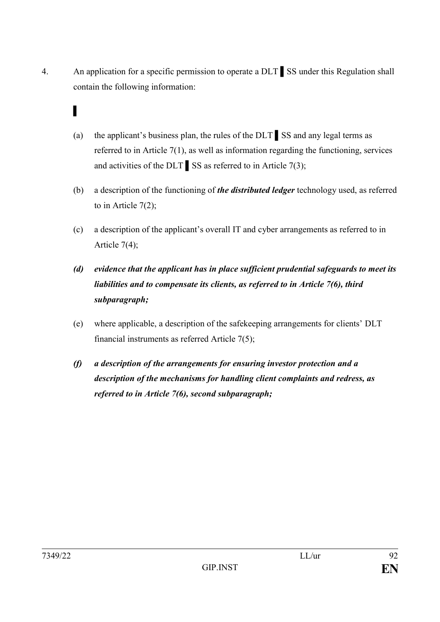- 4. An application for a specific permission to operate a DLT ▌SS under this Regulation shall contain the following information:
	- ▌
	- (a) the applicant's business plan, the rules of the DLT ▌SS and any legal terms as referred to in Article 7(1), as well as information regarding the functioning, services and activities of the DLT  $\Big|$  SS as referred to in Article 7(3);
	- (b) a description of the functioning of *the distributed ledger* technology used, as referred to in Article  $7(2)$ ;
	- (c) a description of the applicant's overall IT and cyber arrangements as referred to in Article 7(4);
	- *(d) evidence that the applicant has in place sufficient prudential safeguards to meet its liabilities and to compensate its clients, as referred to in Article 7(6), third subparagraph;*
	- (e) where applicable, a description of the safekeeping arrangements for clients' DLT financial instruments as referred Article 7(5);
	- *(f) a description of the arrangements for ensuring investor protection and a description of the mechanisms for handling client complaints and redress, as referred to in Article 7(6), second subparagraph;*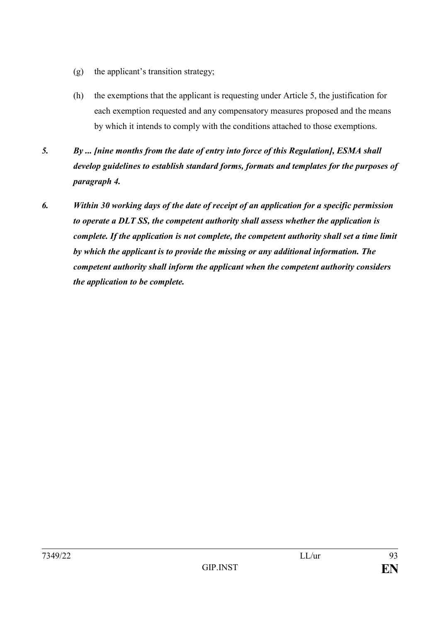- (g) the applicant's transition strategy;
- (h) the exemptions that the applicant is requesting under Article 5, the justification for each exemption requested and any compensatory measures proposed and the means by which it intends to comply with the conditions attached to those exemptions.
- *5. By ... [nine months from the date of entry into force of this Regulation], ESMA shall develop guidelines to establish standard forms, formats and templates for the purposes of paragraph 4.*
- *6. Within 30 working days of the date of receipt of an application for a specific permission to operate a DLT SS, the competent authority shall assess whether the application is complete. If the application is not complete, the competent authority shall set a time limit by which the applicant is to provide the missing or any additional information. The competent authority shall inform the applicant when the competent authority considers the application to be complete.*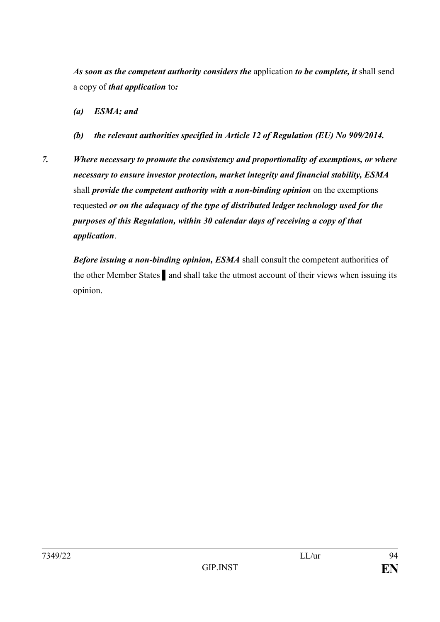*As soon as the competent authority considers the* application *to be complete, it* shall send a copy of *that application* to*:*

- *(a) ESMA; and*
- *(b) the relevant authorities specified in Article 12 of Regulation (EU) No 909/2014.*
- *7. Where necessary to promote the consistency and proportionality of exemptions, or where necessary to ensure investor protection, market integrity and financial stability, ESMA* shall *provide the competent authority with a non-binding opinion* on the exemptions requested *or on the adequacy of the type of distributed ledger technology used for the purposes of this Regulation, within 30 calendar days of receiving a copy of that application*.

*Before issuing a non-binding opinion, ESMA* shall consult the competent authorities of the other Member States ▌and shall take the utmost account of their views when issuing its opinion.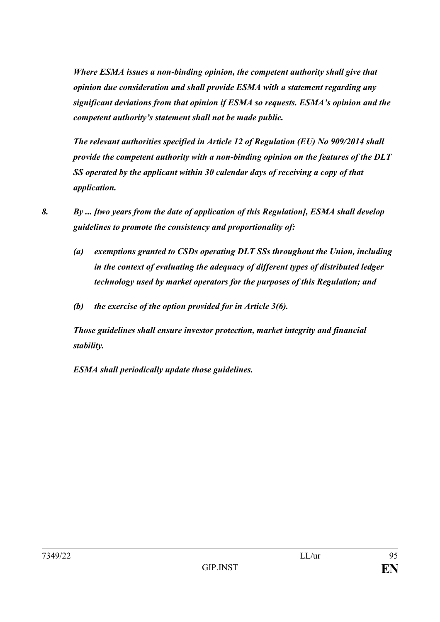*Where ESMA issues a non-binding opinion, the competent authority shall give that opinion due consideration and shall provide ESMA with a statement regarding any significant deviations from that opinion if ESMA so requests. ESMA's opinion and the competent authority's statement shall not be made public.*

*The relevant authorities specified in Article 12 of Regulation (EU) No 909/2014 shall provide the competent authority with a non-binding opinion on the features of the DLT SS operated by the applicant within 30 calendar days of receiving a copy of that application.*

- *8. By ... [two years from the date of application of this Regulation], ESMA shall develop guidelines to promote the consistency and proportionality of:*
	- *(a) exemptions granted to CSDs operating DLT SSs throughout the Union, including in the context of evaluating the adequacy of different types of distributed ledger technology used by market operators for the purposes of this Regulation; and*
	- *(b) the exercise of the option provided for in Article 3(6).*

*Those guidelines shall ensure investor protection, market integrity and financial stability.*

*ESMA shall periodically update those guidelines.*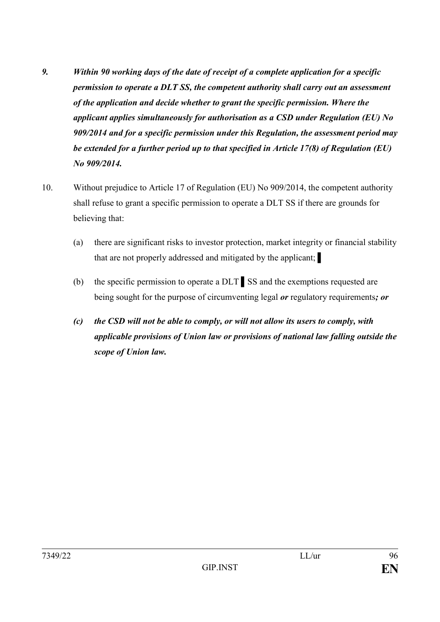- *9. Within 90 working days of the date of receipt of a complete application for a specific permission to operate a DLT SS, the competent authority shall carry out an assessment of the application and decide whether to grant the specific permission. Where the applicant applies simultaneously for authorisation as a CSD under Regulation (EU) No 909/2014 and for a specific permission under this Regulation, the assessment period may be extended for a further period up to that specified in Article 17(8) of Regulation (EU) No 909/2014.*
- 10. Without prejudice to Article 17 of Regulation (EU) No 909/2014, the competent authority shall refuse to grant a specific permission to operate a DLT SS if there are grounds for believing that:
	- (a) there are significant risks to investor protection, market integrity or financial stability that are not properly addressed and mitigated by the applicant; ▌
	- (b) the specific permission to operate a DLT ▌SS and the exemptions requested are being sought for the purpose of circumventing legal *or* regulatory requirements*; or*
	- *(c) the CSD will not be able to comply, or will not allow its users to comply, with applicable provisions of Union law or provisions of national law falling outside the scope of Union law.*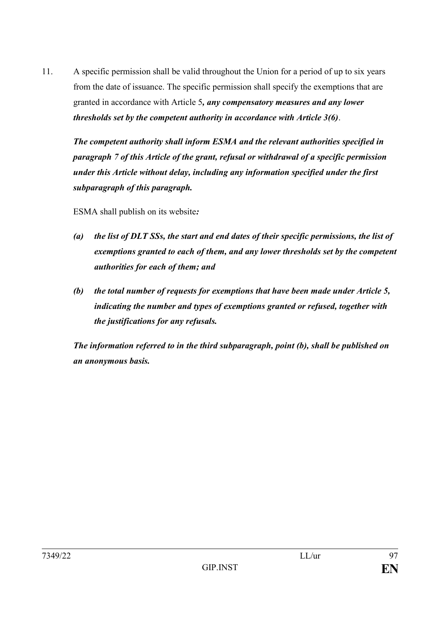11. A specific permission shall be valid throughout the Union for a period of up to six years from the date of issuance. The specific permission shall specify the exemptions that are granted in accordance with Article 5*, any compensatory measures and any lower thresholds set by the competent authority in accordance with Article 3(6)*.

*The competent authority shall inform ESMA and the relevant authorities specified in paragraph 7 of this Article of the grant, refusal or withdrawal of a specific permission under this Article without delay, including any information specified under the first subparagraph of this paragraph.*

ESMA shall publish on its website*:*

- *(a) the list of DLT SSs, the start and end dates of their specific permissions, the list of exemptions granted to each of them, and any lower thresholds set by the competent authorities for each of them; and*
- *(b) the total number of requests for exemptions that have been made under Article 5, indicating the number and types of exemptions granted or refused, together with the justifications for any refusals.*

*The information referred to in the third subparagraph, point (b), shall be published on an anonymous basis.*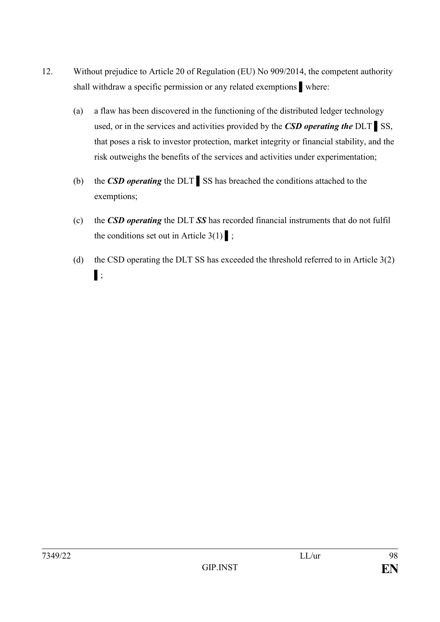- 12. Without prejudice to Article 20 of Regulation (EU) No 909/2014, the competent authority shall withdraw a specific permission or any related exemptions where:
	- (a) a flaw has been discovered in the functioning of the distributed ledger technology used, or in the services and activities provided by the *CSD operating the* DLT ▌SS, that poses a risk to investor protection, market integrity or financial stability, and the risk outweighs the benefits of the services and activities under experimentation;
	- (b) the *CSD operating* the DLT ▌SS has breached the conditions attached to the exemptions;
	- (c) the *CSD operating* the DLT *SS* has recorded financial instruments that do not fulfil the conditions set out in Article  $3(1)$  ;
	- (d) the CSD operating the DLT SS has exceeded the threshold referred to in Article 3(2) ▌;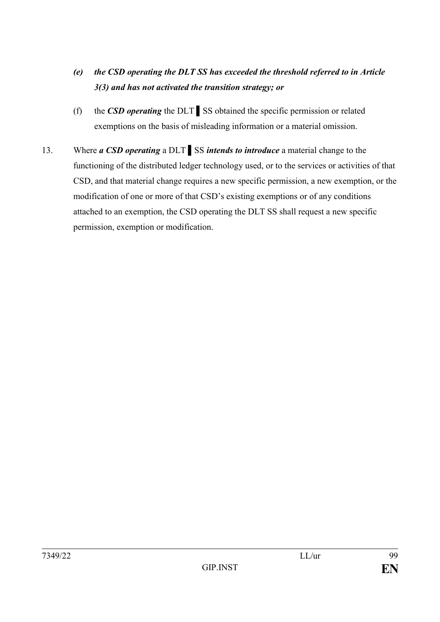- *(e) the CSD operating the DLT SS has exceeded the threshold referred to in Article 3(3) and has not activated the transition strategy; or*
- (f) the *CSD operating* the DLT ▌SS obtained the specific permission or related exemptions on the basis of misleading information or a material omission.
- 13. Where *a CSD operating* a DLT ▌SS *intends to introduce* a material change to the functioning of the distributed ledger technology used, or to the services or activities of that CSD, and that material change requires a new specific permission, a new exemption, or the modification of one or more of that CSD's existing exemptions or of any conditions attached to an exemption, the CSD operating the DLT SS shall request a new specific permission, exemption or modification.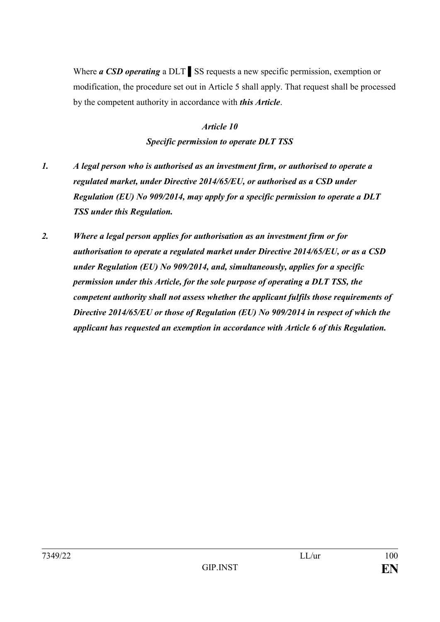Where *a CSD operating* a DLT ▌SS requests a new specific permission, exemption or modification, the procedure set out in Article 5 shall apply. That request shall be processed by the competent authority in accordance with *this Article*.

> *Article 10 Specific permission to operate DLT TSS*

- *1. A legal person who is authorised as an investment firm, or authorised to operate a regulated market, under Directive 2014/65/EU, or authorised as a CSD under Regulation (EU) No 909/2014, may apply for a specific permission to operate a DLT TSS under this Regulation.*
- *2. Where a legal person applies for authorisation as an investment firm or for authorisation to operate a regulated market under Directive 2014/65/EU, or as a CSD under Regulation (EU) No 909/2014, and, simultaneously, applies for a specific permission under this Article, for the sole purpose of operating a DLT TSS, the competent authority shall not assess whether the applicant fulfils those requirements of Directive 2014/65/EU or those of Regulation (EU) No 909/2014 in respect of which the applicant has requested an exemption in accordance with Article 6 of this Regulation.*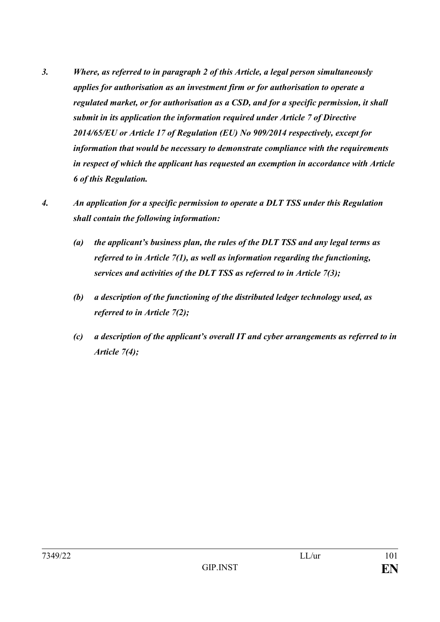- *3. Where, as referred to in paragraph 2 of this Article, a legal person simultaneously applies for authorisation as an investment firm or for authorisation to operate a regulated market, or for authorisation as a CSD, and for a specific permission, it shall submit in its application the information required under Article 7 of Directive 2014/65/EU or Article 17 of Regulation (EU) No 909/2014 respectively, except for information that would be necessary to demonstrate compliance with the requirements in respect of which the applicant has requested an exemption in accordance with Article 6 of this Regulation.*
- *4. An application for a specific permission to operate a DLT TSS under this Regulation shall contain the following information:* 
	- *(a) the applicant's business plan, the rules of the DLT TSS and any legal terms as referred to in Article 7(1), as well as information regarding the functioning, services and activities of the DLT TSS as referred to in Article 7(3);*
	- *(b) a description of the functioning of the distributed ledger technology used, as referred to in Article 7(2);*
	- *(c) a description of the applicant's overall IT and cyber arrangements as referred to in Article 7(4);*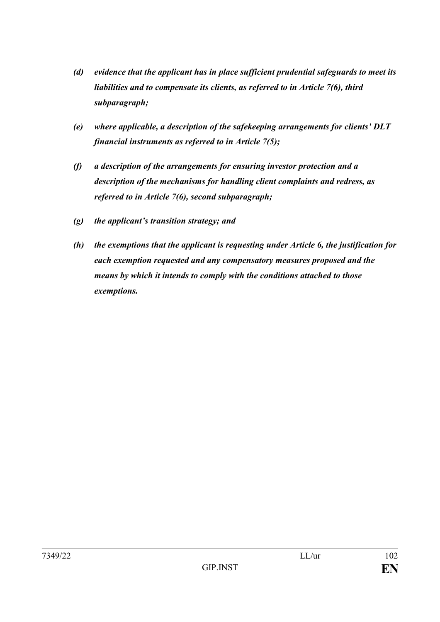- *(d) evidence that the applicant has in place sufficient prudential safeguards to meet its liabilities and to compensate its clients, as referred to in Article 7(6), third subparagraph;*
- *(e) where applicable, a description of the safekeeping arrangements for clients' DLT financial instruments as referred to in Article 7(5);*
- *(f) a description of the arrangements for ensuring investor protection and a description of the mechanisms for handling client complaints and redress, as referred to in Article 7(6), second subparagraph;*
- *(g) the applicant's transition strategy; and*
- *(h) the exemptions that the applicant is requesting under Article 6, the justification for each exemption requested and any compensatory measures proposed and the means by which it intends to comply with the conditions attached to those exemptions.*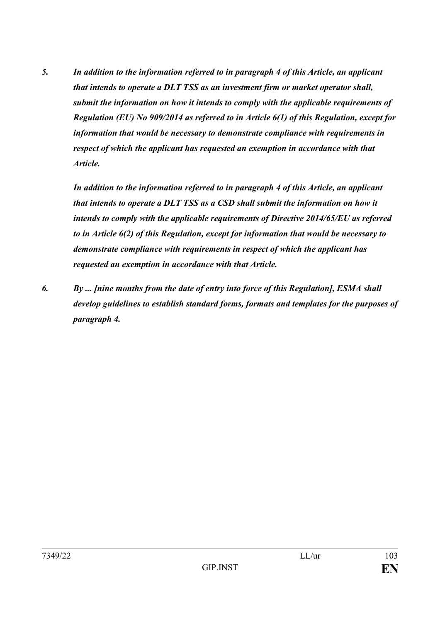*5. In addition to the information referred to in paragraph 4 of this Article, an applicant that intends to operate a DLT TSS as an investment firm or market operator shall, submit the information on how it intends to comply with the applicable requirements of Regulation (EU) No 909/2014 as referred to in Article 6(1) of this Regulation, except for information that would be necessary to demonstrate compliance with requirements in respect of which the applicant has requested an exemption in accordance with that Article.*

*In addition to the information referred to in paragraph 4 of this Article, an applicant that intends to operate a DLT TSS as a CSD shall submit the information on how it intends to comply with the applicable requirements of Directive 2014/65/EU as referred to in Article 6(2) of this Regulation, except for information that would be necessary to demonstrate compliance with requirements in respect of which the applicant has requested an exemption in accordance with that Article.* 

*6. By ... [nine months from the date of entry into force of this Regulation], ESMA shall develop guidelines to establish standard forms, formats and templates for the purposes of paragraph 4.*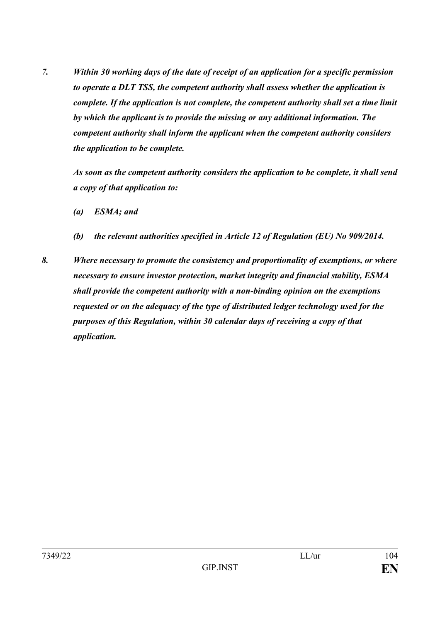*7. Within 30 working days of the date of receipt of an application for a specific permission to operate a DLT TSS, the competent authority shall assess whether the application is complete. If the application is not complete, the competent authority shall set a time limit by which the applicant is to provide the missing or any additional information. The competent authority shall inform the applicant when the competent authority considers the application to be complete.*

*As soon as the competent authority considers the application to be complete, it shall send a copy of that application to:*

- *(a) ESMA; and*
- *(b) the relevant authorities specified in Article 12 of Regulation (EU) No 909/2014.*
- *8. Where necessary to promote the consistency and proportionality of exemptions, or where necessary to ensure investor protection, market integrity and financial stability, ESMA shall provide the competent authority with a non-binding opinion on the exemptions requested or on the adequacy of the type of distributed ledger technology used for the purposes of this Regulation, within 30 calendar days of receiving a copy of that application.*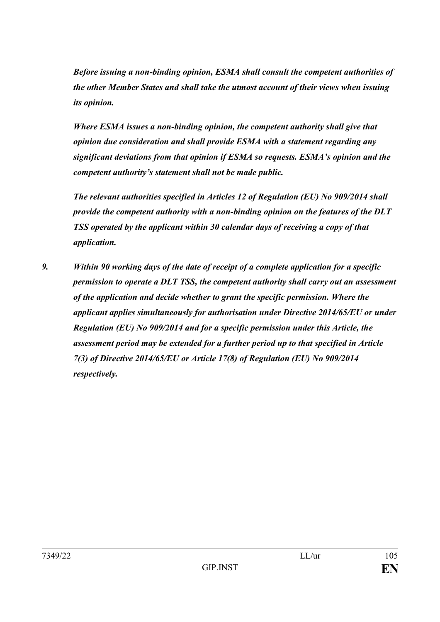*Before issuing a non-binding opinion, ESMA shall consult the competent authorities of the other Member States and shall take the utmost account of their views when issuing its opinion.*

*Where ESMA issues a non-binding opinion, the competent authority shall give that opinion due consideration and shall provide ESMA with a statement regarding any significant deviations from that opinion if ESMA so requests. ESMA's opinion and the competent authority's statement shall not be made public.*

*The relevant authorities specified in Articles 12 of Regulation (EU) No 909/2014 shall provide the competent authority with a non-binding opinion on the features of the DLT TSS operated by the applicant within 30 calendar days of receiving a copy of that application.*

*9. Within 90 working days of the date of receipt of a complete application for a specific permission to operate a DLT TSS, the competent authority shall carry out an assessment of the application and decide whether to grant the specific permission. Where the applicant applies simultaneously for authorisation under Directive 2014/65/EU or under Regulation (EU) No 909/2014 and for a specific permission under this Article, the assessment period may be extended for a further period up to that specified in Article 7(3) of Directive 2014/65/EU or Article 17(8) of Regulation (EU) No 909/2014 respectively.*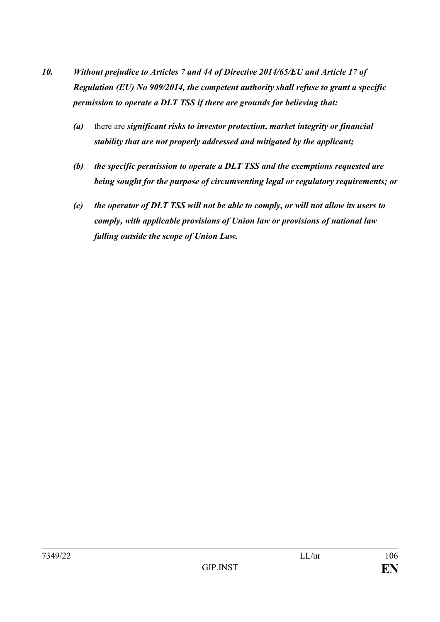- *10. Without prejudice to Articles 7 and 44 of Directive 2014/65/EU and Article 17 of Regulation (EU) No 909/2014, the competent authority shall refuse to grant a specific permission to operate a DLT TSS if there are grounds for believing that:*
	- *(a)* there are *significant risks to investor protection, market integrity or financial stability that are not properly addressed and mitigated by the applicant;*
	- *(b) the specific permission to operate a DLT TSS and the exemptions requested are being sought for the purpose of circumventing legal or regulatory requirements; or*
	- *(c) the operator of DLT TSS will not be able to comply, or will not allow its users to comply, with applicable provisions of Union law or provisions of national law falling outside the scope of Union Law.*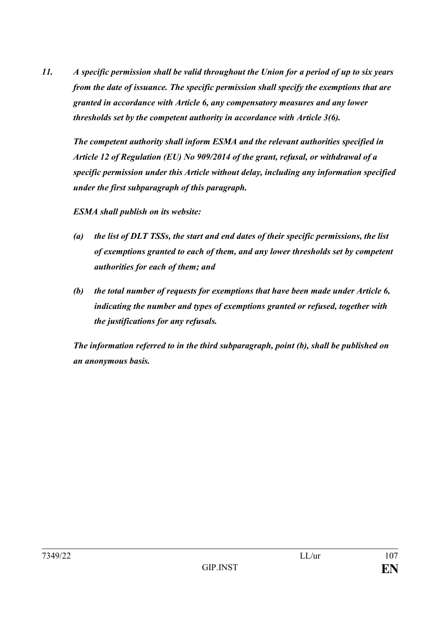*11. A specific permission shall be valid throughout the Union for a period of up to six years from the date of issuance. The specific permission shall specify the exemptions that are granted in accordance with Article 6, any compensatory measures and any lower thresholds set by the competent authority in accordance with Article 3(6).*

*The competent authority shall inform ESMA and the relevant authorities specified in Article 12 of Regulation (EU) No 909/2014 of the grant, refusal, or withdrawal of a specific permission under this Article without delay, including any information specified under the first subparagraph of this paragraph.*

*ESMA shall publish on its website:*

- *(a) the list of DLT TSSs, the start and end dates of their specific permissions, the list of exemptions granted to each of them, and any lower thresholds set by competent authorities for each of them; and*
- *(b) the total number of requests for exemptions that have been made under Article 6, indicating the number and types of exemptions granted or refused, together with the justifications for any refusals.*

*The information referred to in the third subparagraph, point (b), shall be published on an anonymous basis.*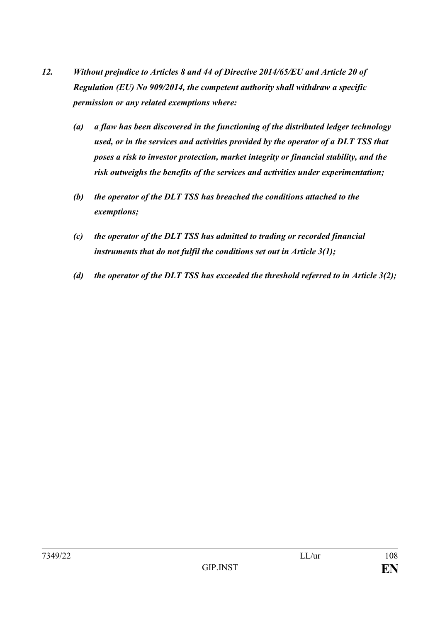- *12. Without prejudice to Articles 8 and 44 of Directive 2014/65/EU and Article 20 of Regulation (EU) No 909/2014, the competent authority shall withdraw a specific permission or any related exemptions where:*
	- *(a) a flaw has been discovered in the functioning of the distributed ledger technology used, or in the services and activities provided by the operator of a DLT TSS that poses a risk to investor protection, market integrity or financial stability, and the risk outweighs the benefits of the services and activities under experimentation;*
	- *(b) the operator of the DLT TSS has breached the conditions attached to the exemptions;*
	- *(c) the operator of the DLT TSS has admitted to trading or recorded financial instruments that do not fulfil the conditions set out in Article 3(1);*
	- *(d) the operator of the DLT TSS has exceeded the threshold referred to in Article 3(2);*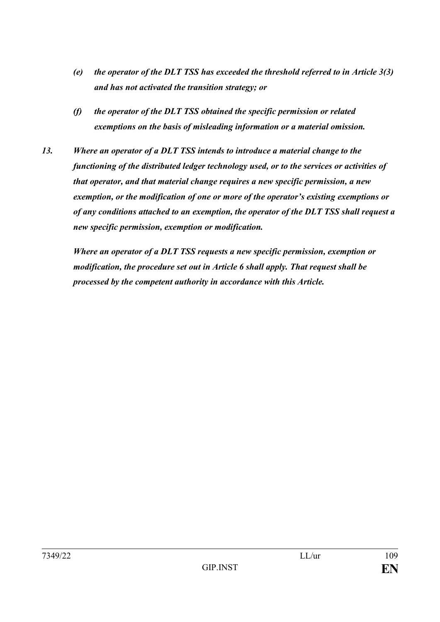- *(e) the operator of the DLT TSS has exceeded the threshold referred to in Article 3(3) and has not activated the transition strategy; or*
- *(f) the operator of the DLT TSS obtained the specific permission or related exemptions on the basis of misleading information or a material omission.*
- *13. Where an operator of a DLT TSS intends to introduce a material change to the functioning of the distributed ledger technology used, or to the services or activities of that operator, and that material change requires a new specific permission, a new exemption, or the modification of one or more of the operator's existing exemptions or of any conditions attached to an exemption, the operator of the DLT TSS shall request a new specific permission, exemption or modification.*

*Where an operator of a DLT TSS requests a new specific permission, exemption or modification, the procedure set out in Article 6 shall apply. That request shall be processed by the competent authority in accordance with this Article.*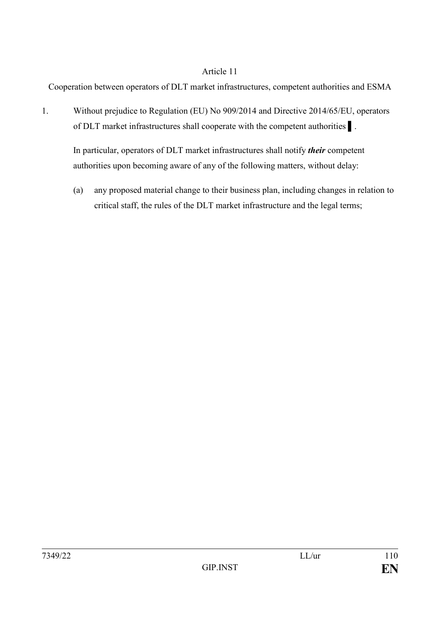Cooperation between operators of DLT market infrastructures, competent authorities and ESMA

1. Without prejudice to Regulation (EU) No 909/2014 and Directive 2014/65/EU, operators of DLT market infrastructures shall cooperate with the competent authorities ▌.

In particular, operators of DLT market infrastructures shall notify *their* competent authorities upon becoming aware of any of the following matters, without delay:

(a) any proposed material change to their business plan, including changes in relation to critical staff, the rules of the DLT market infrastructure and the legal terms;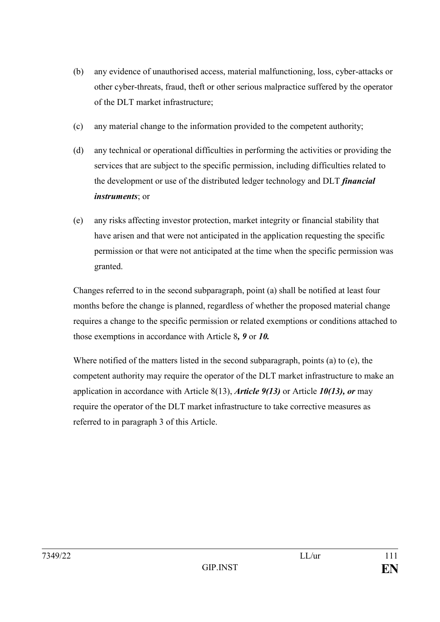- (b) any evidence of unauthorised access, material malfunctioning, loss, cyber-attacks or other cyber-threats, fraud, theft or other serious malpractice suffered by the operator of the DLT market infrastructure;
- (c) any material change to the information provided to the competent authority;
- (d) any technical or operational difficulties in performing the activities or providing the services that are subject to the specific permission, including difficulties related to the development or use of the distributed ledger technology and DLT *financial instruments*; or
- (e) any risks affecting investor protection, market integrity or financial stability that have arisen and that were not anticipated in the application requesting the specific permission or that were not anticipated at the time when the specific permission was granted.

Changes referred to in the second subparagraph, point (a) shall be notified at least four months before the change is planned, regardless of whether the proposed material change requires a change to the specific permission or related exemptions or conditions attached to those exemptions in accordance with Article 8*, 9* or *10.*

Where notified of the matters listed in the second subparagraph, points (a) to (e), the competent authority may require the operator of the DLT market infrastructure to make an application in accordance with Article 8(13), *Article 9(13)* or Article *10(13), or* may require the operator of the DLT market infrastructure to take corrective measures as referred to in paragraph 3 of this Article.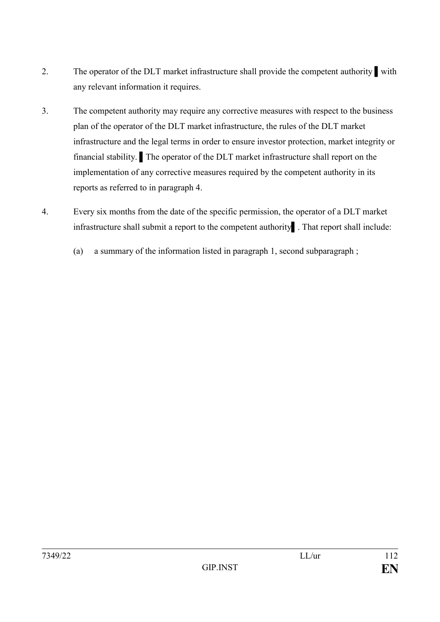- 2. The operator of the DLT market infrastructure shall provide the competent authority ▌with any relevant information it requires.
- 3. The competent authority may require any corrective measures with respect to the business plan of the operator of the DLT market infrastructure, the rules of the DLT market infrastructure and the legal terms in order to ensure investor protection, market integrity or financial stability. The operator of the DLT market infrastructure shall report on the implementation of any corrective measures required by the competent authority in its reports as referred to in paragraph 4.
- 4. Every six months from the date of the specific permission, the operator of a DLT market infrastructure shall submit a report to the competent authority That report shall include:
	- (a) a summary of the information listed in paragraph 1, second subparagraph ;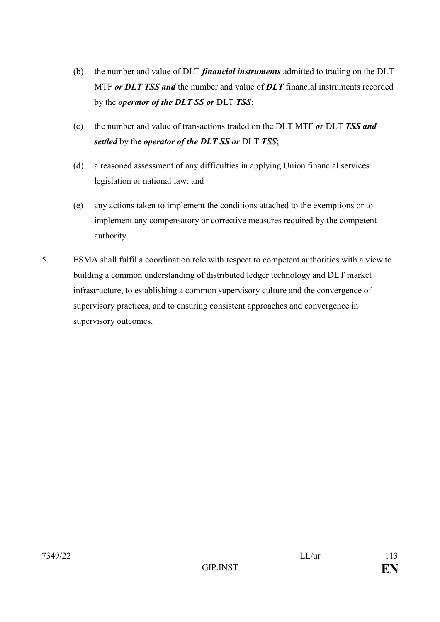- (b) the number and value of DLT *financial instruments* admitted to trading on the DLT MTF *or DLT TSS and* the number and value of *DLT* financial instruments recorded by the *operator of the DLT SS or* DLT *TSS*;
- (c) the number and value of transactions traded on the DLT MTF *or* DLT *TSS and settled* by the *operator of the DLT SS or* DLT *TSS*;
- (d) a reasoned assessment of any difficulties in applying Union financial services legislation or national law; and
- (e) any actions taken to implement the conditions attached to the exemptions or to implement any compensatory or corrective measures required by the competent authority.
- 5. ESMA shall fulfil a coordination role with respect to competent authorities with a view to building a common understanding of distributed ledger technology and DLT market infrastructure, to establishing a common supervisory culture and the convergence of supervisory practices, and to ensuring consistent approaches and convergence in supervisory outcomes.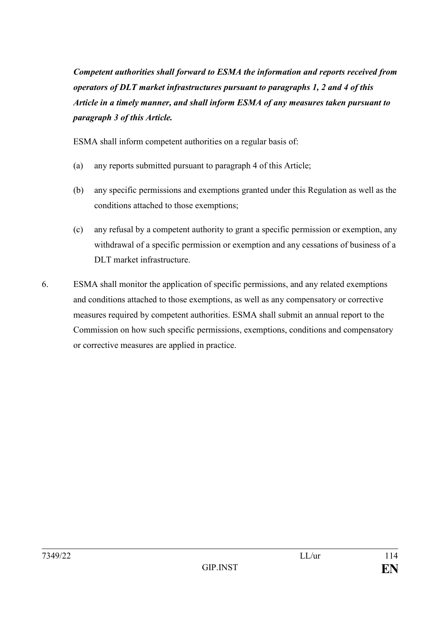*Competent authorities shall forward to ESMA the information and reports received from operators of DLT market infrastructures pursuant to paragraphs 1, 2 and 4 of this Article in a timely manner, and shall inform ESMA of any measures taken pursuant to paragraph 3 of this Article.* 

ESMA shall inform competent authorities on a regular basis of:

- (a) any reports submitted pursuant to paragraph 4 of this Article;
- (b) any specific permissions and exemptions granted under this Regulation as well as the conditions attached to those exemptions;
- (c) any refusal by a competent authority to grant a specific permission or exemption, any withdrawal of a specific permission or exemption and any cessations of business of a DLT market infrastructure.
- 6. ESMA shall monitor the application of specific permissions, and any related exemptions and conditions attached to those exemptions, as well as any compensatory or corrective measures required by competent authorities. ESMA shall submit an annual report to the Commission on how such specific permissions, exemptions, conditions and compensatory or corrective measures are applied in practice.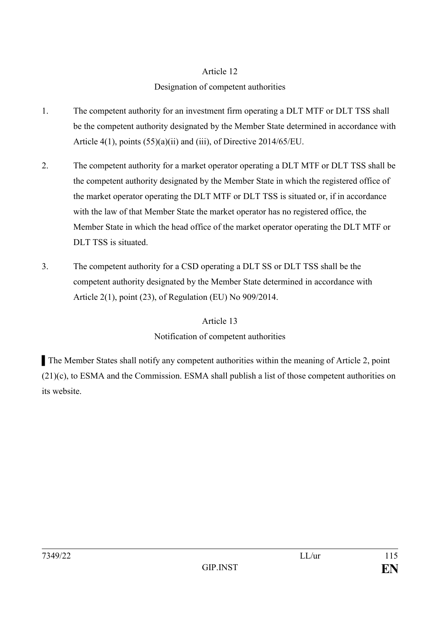# Designation of competent authorities

- 1. The competent authority for an investment firm operating a DLT MTF or DLT TSS shall be the competent authority designated by the Member State determined in accordance with Article 4(1), points (55)(a)(ii) and (iii), of Directive 2014/65/EU.
- 2. The competent authority for a market operator operating a DLT MTF or DLT TSS shall be the competent authority designated by the Member State in which the registered office of the market operator operating the DLT MTF or DLT TSS is situated or, if in accordance with the law of that Member State the market operator has no registered office, the Member State in which the head office of the market operator operating the DLT MTF or DLT TSS is situated.
- 3. The competent authority for a CSD operating a DLT SS or DLT TSS shall be the competent authority designated by the Member State determined in accordance with Article 2(1), point (23), of Regulation (EU) No 909/2014.

## Article 13

# Notification of competent authorities

▌The Member States shall notify any competent authorities within the meaning of Article 2, point (21)(c), to ESMA and the Commission. ESMA shall publish a list of those competent authorities on its website.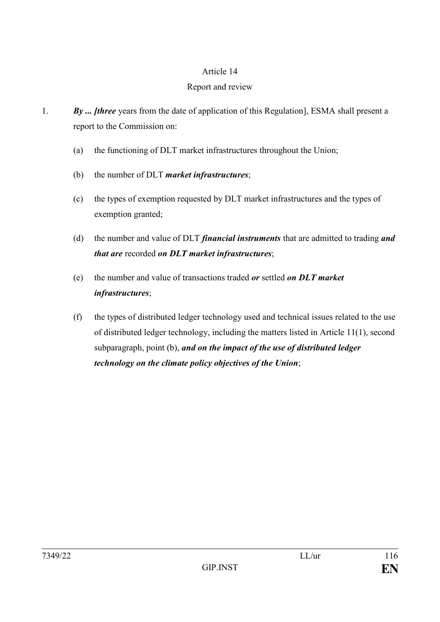## Report and review

- 1. *By ... [three* years from the date of application of this Regulation], ESMA shall present a report to the Commission on:
	- (a) the functioning of DLT market infrastructures throughout the Union;
	- (b) the number of DLT *market infrastructures*;
	- (c) the types of exemption requested by DLT market infrastructures and the types of exemption granted;
	- (d) the number and value of DLT *financial instruments* that are admitted to trading *and that are* recorded *on DLT market infrastructures*;
	- (e) the number and value of transactions traded *or* settled *on DLT market infrastructures*;
	- (f) the types of distributed ledger technology used and technical issues related to the use of distributed ledger technology, including the matters listed in Article 11(1), second subparagraph, point (b), *and on the impact of the use of distributed ledger technology on the climate policy objectives of the Union*;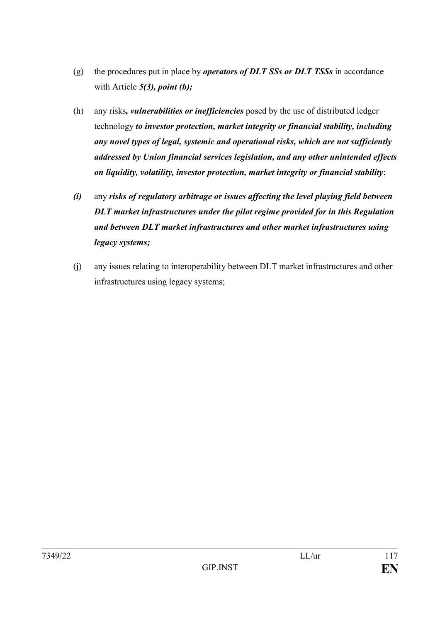- (g) the procedures put in place by *operators of DLT SSs or DLT TSSs* in accordance with Article *5(3), point (b);*
- (h) any risks*, vulnerabilities or inefficiencies* posed by the use of distributed ledger technology *to investor protection, market integrity or financial stability, including any novel types of legal, systemic and operational risks, which are not sufficiently addressed by Union financial services legislation, and any other unintended effects on liquidity, volatility, investor protection, market integrity or financial stability*;
- *(i)* any *risks of regulatory arbitrage or issues affecting the level playing field between DLT market infrastructures under the pilot regime provided for in this Regulation and between DLT market infrastructures and other market infrastructures using legacy systems;*
- (j) any issues relating to interoperability between DLT market infrastructures and other infrastructures using legacy systems;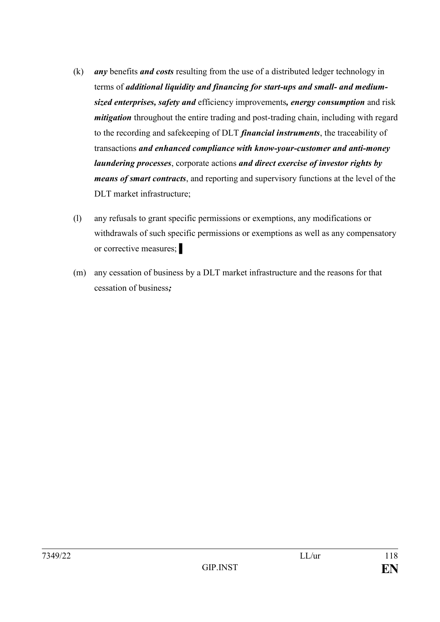- (k) *any* benefits *and costs* resulting from the use of a distributed ledger technology in terms of *additional liquidity and financing for start-ups and small- and mediumsized enterprises, safety and* efficiency improvements*, energy consumption* and risk *mitigation* throughout the entire trading and post-trading chain, including with regard to the recording and safekeeping of DLT *financial instruments*, the traceability of transactions *and enhanced compliance with know-your-customer and anti-money laundering processes*, corporate actions *and direct exercise of investor rights by means of smart contracts*, and reporting and supervisory functions at the level of the DLT market infrastructure;
- (l) any refusals to grant specific permissions or exemptions, any modifications or withdrawals of such specific permissions or exemptions as well as any compensatory or corrective measures;
- (m) any cessation of business by a DLT market infrastructure and the reasons for that cessation of business*;*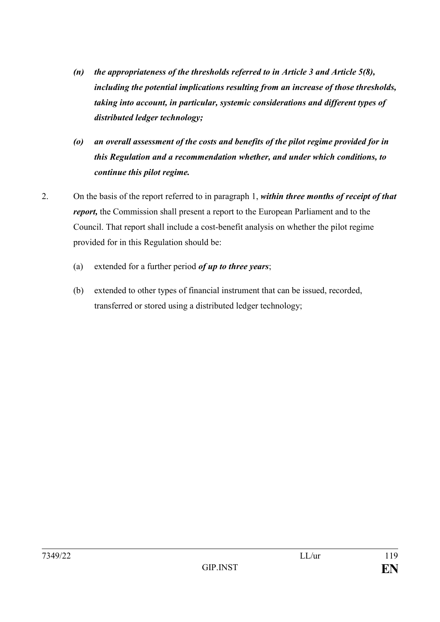- *(n) the appropriateness of the thresholds referred to in Article 3 and Article 5(8), including the potential implications resulting from an increase of those thresholds, taking into account, in particular, systemic considerations and different types of distributed ledger technology;*
- *(o) an overall assessment of the costs and benefits of the pilot regime provided for in this Regulation and a recommendation whether, and under which conditions, to continue this pilot regime.*
- 2. On the basis of the report referred to in paragraph 1, *within three months of receipt of that report,* the Commission shall present a report to the European Parliament and to the Council. That report shall include a cost-benefit analysis on whether the pilot regime provided for in this Regulation should be:
	- (a) extended for a further period *of up to three years*;
	- (b) extended to other types of financial instrument that can be issued, recorded, transferred or stored using a distributed ledger technology;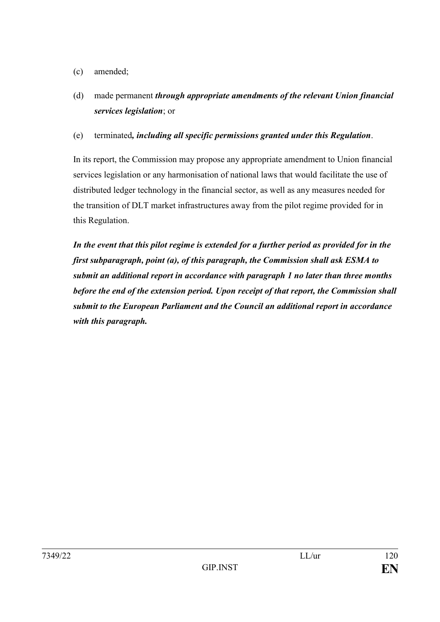- (c) amended;
- (d) made permanent *through appropriate amendments of the relevant Union financial services legislation*; or
- (e) terminated*, including all specific permissions granted under this Regulation*.

In its report, the Commission may propose any appropriate amendment to Union financial services legislation or any harmonisation of national laws that would facilitate the use of distributed ledger technology in the financial sector, as well as any measures needed for the transition of DLT market infrastructures away from the pilot regime provided for in this Regulation.

*In the event that this pilot regime is extended for a further period as provided for in the first subparagraph, point (a), of this paragraph, the Commission shall ask ESMA to submit an additional report in accordance with paragraph 1 no later than three months before the end of the extension period. Upon receipt of that report, the Commission shall submit to the European Parliament and the Council an additional report in accordance with this paragraph.*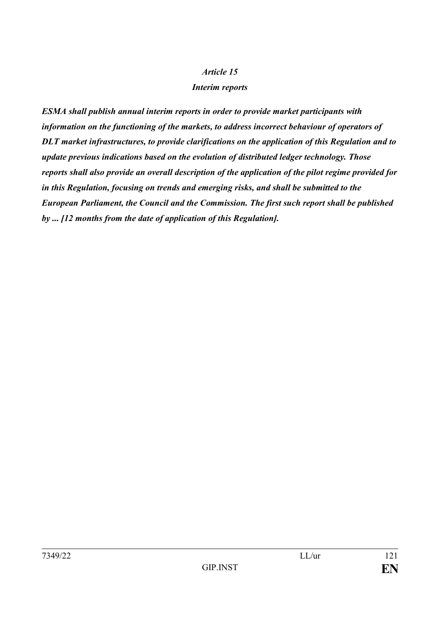### *Interim reports*

*ESMA shall publish annual interim reports in order to provide market participants with information on the functioning of the markets, to address incorrect behaviour of operators of DLT market infrastructures, to provide clarifications on the application of this Regulation and to update previous indications based on the evolution of distributed ledger technology. Those reports shall also provide an overall description of the application of the pilot regime provided for in this Regulation, focusing on trends and emerging risks, and shall be submitted to the European Parliament, the Council and the Commission. The first such report shall be published by ... [12 months from the date of application of this Regulation].*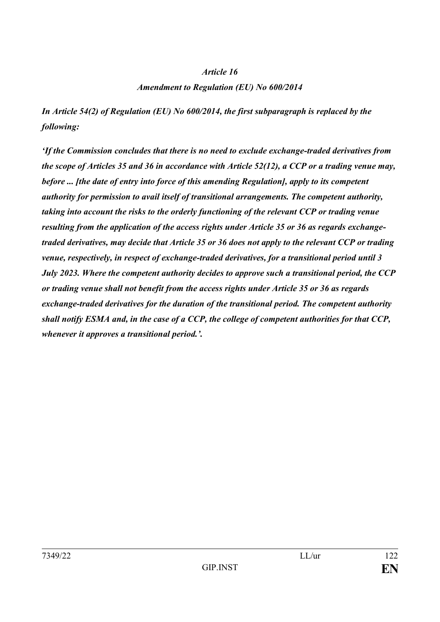#### *Amendment to Regulation (EU) No 600/2014*

*In Article 54(2) of Regulation (EU) No 600/2014, the first subparagraph is replaced by the following:*

*'If the Commission concludes that there is no need to exclude exchange-traded derivatives from the scope of Articles 35 and 36 in accordance with Article 52(12), a CCP or a trading venue may, before ... [the date of entry into force of this amending Regulation], apply to its competent authority for permission to avail itself of transitional arrangements. The competent authority, taking into account the risks to the orderly functioning of the relevant CCP or trading venue resulting from the application of the access rights under Article 35 or 36 as regards exchangetraded derivatives, may decide that Article 35 or 36 does not apply to the relevant CCP or trading venue, respectively, in respect of exchange-traded derivatives, for a transitional period until 3 July 2023. Where the competent authority decides to approve such a transitional period, the CCP or trading venue shall not benefit from the access rights under Article 35 or 36 as regards exchange-traded derivatives for the duration of the transitional period. The competent authority shall notify ESMA and, in the case of a CCP, the college of competent authorities for that CCP, whenever it approves a transitional period.'.*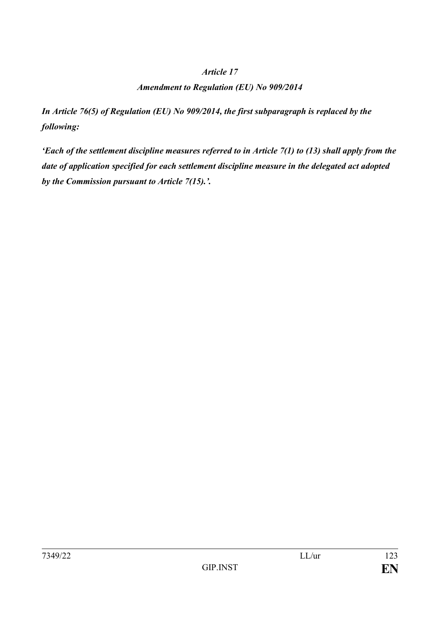### *Amendment to Regulation (EU) No 909/2014*

*In Article 76(5) of Regulation (EU) No 909/2014, the first subparagraph is replaced by the following:*

*'Each of the settlement discipline measures referred to in Article 7(1) to (13) shall apply from the date of application specified for each settlement discipline measure in the delegated act adopted by the Commission pursuant to Article 7(15).'.*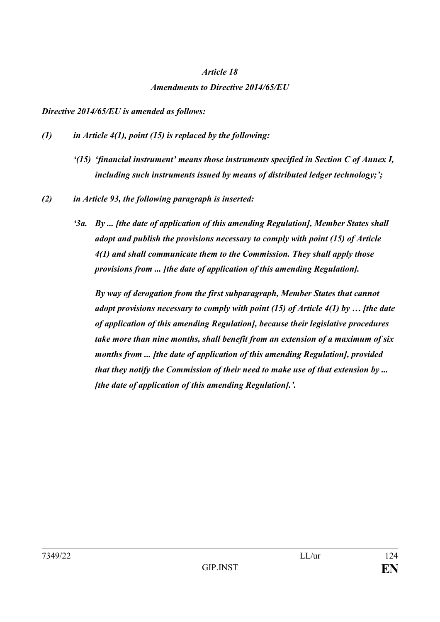# *Article 18 Amendments to Directive 2014/65/EU*

#### *Directive 2014/65/EU is amended as follows:*

- *(1) in Article 4(1), point (15) is replaced by the following:* 
	- *'(15) 'financial instrument' means those instruments specified in Section C of Annex I, including such instruments issued by means of distributed ledger technology;';*
- *(2) in Article 93, the following paragraph is inserted:*
	- *'3a. By ... [the date of application of this amending Regulation], Member States shall adopt and publish the provisions necessary to comply with point (15) of Article 4(1) and shall communicate them to the Commission. They shall apply those provisions from ... [the date of application of this amending Regulation].*

*By way of derogation from the first subparagraph, Member States that cannot adopt provisions necessary to comply with point (15) of Article 4(1) by … [the date of application of this amending Regulation], because their legislative procedures take more than nine months, shall benefit from an extension of a maximum of six months from ... [the date of application of this amending Regulation], provided that they notify the Commission of their need to make use of that extension by ... [the date of application of this amending Regulation].'.*